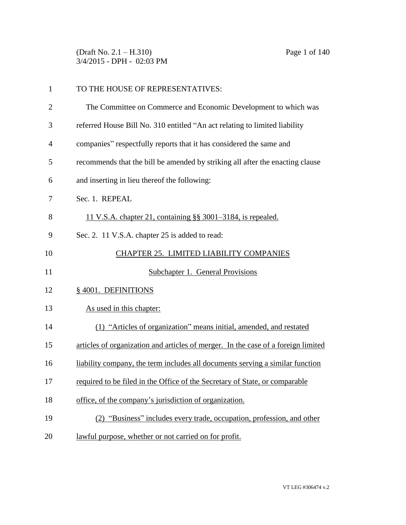(Draft No. 2.1 – H.310) Page 1 of 140 3/4/2015 - DPH - 02:03 PM

| $\mathbf{1}$   | TO THE HOUSE OF REPRESENTATIVES:                                                  |
|----------------|-----------------------------------------------------------------------------------|
| $\overline{2}$ | The Committee on Commerce and Economic Development to which was                   |
| 3              | referred House Bill No. 310 entitled "An act relating to limited liability        |
| $\overline{4}$ | companies" respectfully reports that it has considered the same and               |
| 5              | recommends that the bill be amended by striking all after the enacting clause     |
| 6              | and inserting in lieu thereof the following:                                      |
| 7              | Sec. 1. REPEAL                                                                    |
| 8              | 11 V.S.A. chapter 21, containing §§ 3001–3184, is repealed.                       |
| 9              | Sec. 2. 11 V.S.A. chapter 25 is added to read:                                    |
| 10             | CHAPTER 25. LIMITED LIABILITY COMPANIES                                           |
| 11             | Subchapter 1. General Provisions                                                  |
| 12             | §4001. DEFINITIONS                                                                |
| 13             | As used in this chapter:                                                          |
| 14             | (1) "Articles of organization" means initial, amended, and restated               |
| 15             | articles of organization and articles of merger. In the case of a foreign limited |
| 16             | liability company, the term includes all documents serving a similar function     |
| 17             | required to be filed in the Office of the Secretary of State, or comparable       |
|                |                                                                                   |
| 18             | office, of the company's jurisdiction of organization.                            |
| 19             | "Business" includes every trade, occupation, profession, and other                |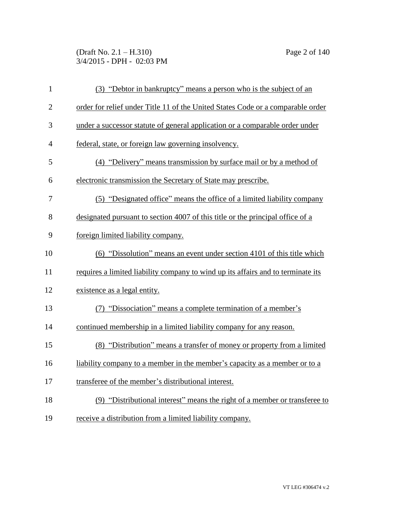(Draft No. 2.1 – H.310) Page 2 of 140 3/4/2015 - DPH - 02:03 PM

| $\mathbf{1}$   | (3) "Debtor in bankruptcy" means a person who is the subject of an               |
|----------------|----------------------------------------------------------------------------------|
| $\overline{2}$ | order for relief under Title 11 of the United States Code or a comparable order  |
| 3              | under a successor statute of general application or a comparable order under     |
| $\overline{4}$ | federal, state, or foreign law governing insolvency.                             |
| 5              | (4) "Delivery" means transmission by surface mail or by a method of              |
| 6              | electronic transmission the Secretary of State may prescribe.                    |
| 7              | (5) "Designated office" means the office of a limited liability company          |
| 8              | designated pursuant to section 4007 of this title or the principal office of a   |
| 9              | foreign limited liability company.                                               |
| 10             | (6) "Dissolution" means an event under section 4101 of this title which          |
| 11             | requires a limited liability company to wind up its affairs and to terminate its |
| 12             | existence as a legal entity.                                                     |
| 13             | (7) "Dissociation" means a complete termination of a member's                    |
| 14             | continued membership in a limited liability company for any reason.              |
| 15             | (8) "Distribution" means a transfer of money or property from a limited          |
| 16             | liability company to a member in the member's capacity as a member or to a       |
| 17             | transferee of the member's distributional interest.                              |
| 18             | (9) "Distributional interest" means the right of a member or transferee to       |
| 19             | receive a distribution from a limited liability company.                         |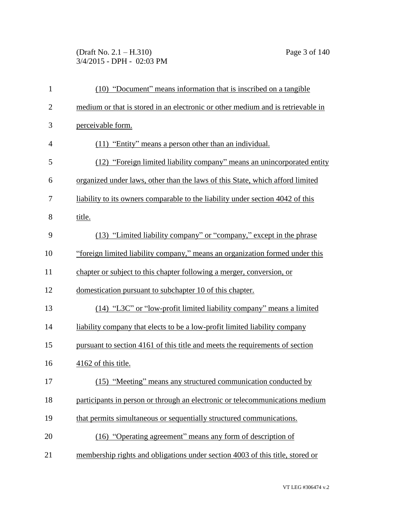(Draft No. 2.1 – H.310) Page 3 of 140 3/4/2015 - DPH - 02:03 PM

| $\mathbf{1}$   | (10) "Document" means information that is inscribed on a tangible               |
|----------------|---------------------------------------------------------------------------------|
| $\overline{2}$ | medium or that is stored in an electronic or other medium and is retrievable in |
| 3              | perceivable form.                                                               |
| $\overline{4}$ | (11) "Entity" means a person other than an individual.                          |
| 5              | (12) "Foreign limited liability company" means an unincorporated entity         |
| 6              | organized under laws, other than the laws of this State, which afford limited   |
| 7              | liability to its owners comparable to the liability under section 4042 of this  |
| 8              | title.                                                                          |
| 9              | (13) "Limited liability company" or "company," except in the phrase             |
| 10             | "foreign limited liability company," means an organization formed under this    |
| 11             | chapter or subject to this chapter following a merger, conversion, or           |
| 12             | domestication pursuant to subchapter 10 of this chapter.                        |
| 13             | (14) "L3C" or "low-profit limited liability company" means a limited            |
| 14             | liability company that elects to be a low-profit limited liability company      |
| 15             | pursuant to section 4161 of this title and meets the requirements of section    |
| 16             | 4162 of this title.                                                             |
| 17             | (15) "Meeting" means any structured communication conducted by                  |
| 18             | participants in person or through an electronic or telecommunications medium    |
| 19             | that permits simultaneous or sequentially structured communications.            |
| 20             | (16) "Operating agreement" means any form of description of                     |
| 21             | membership rights and obligations under section 4003 of this title, stored or   |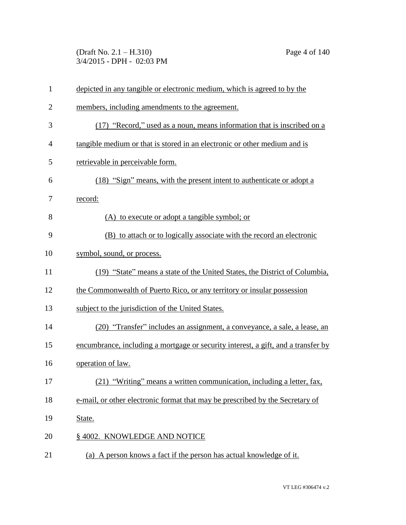(Draft No. 2.1 – H.310) Page 4 of 140 3/4/2015 - DPH - 02:03 PM

| $\mathbf{1}$   | depicted in any tangible or electronic medium, which is agreed to by the          |
|----------------|-----------------------------------------------------------------------------------|
| $\overline{2}$ | members, including amendments to the agreement.                                   |
| 3              | (17) "Record," used as a noun, means information that is inscribed on a           |
| $\overline{4}$ | tangible medium or that is stored in an electronic or other medium and is         |
| 5              | retrievable in perceivable form.                                                  |
| 6              | (18) "Sign" means, with the present intent to authenticate or adopt a             |
| 7              | record:                                                                           |
| 8              | (A) to execute or adopt a tangible symbol; or                                     |
| 9              | (B) to attach or to logically associate with the record an electronic             |
| 10             | symbol, sound, or process.                                                        |
| 11             | (19) "State" means a state of the United States, the District of Columbia,        |
| 12             | the Commonwealth of Puerto Rico, or any territory or insular possession           |
| 13             | subject to the jurisdiction of the United States.                                 |
| 14             | (20) "Transfer" includes an assignment, a conveyance, a sale, a lease, an         |
| 15             | encumbrance, including a mortgage or security interest, a gift, and a transfer by |
| 16             | operation of law.                                                                 |
| 17             | (21) "Writing" means a written communication, including a letter, fax,            |
| 18             | e-mail, or other electronic format that may be prescribed by the Secretary of     |
| 19             | State.                                                                            |
| 20             | § 4002. KNOWLEDGE AND NOTICE                                                      |
| 21             | (a) A person knows a fact if the person has actual knowledge of it.               |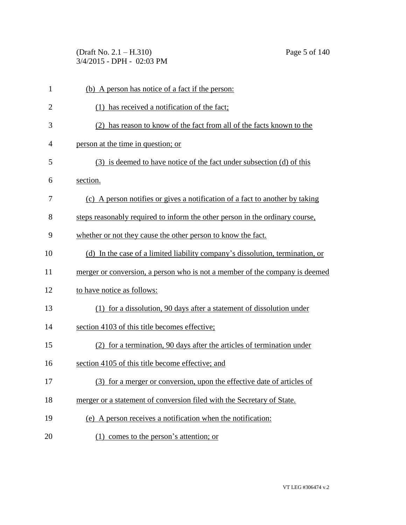(Draft No. 2.1 – H.310) Page 5 of 140 3/4/2015 - DPH - 02:03 PM

| $\mathbf{1}$   | (b) A person has notice of a fact if the person:                              |
|----------------|-------------------------------------------------------------------------------|
| $\overline{2}$ | (1) has received a notification of the fact;                                  |
| 3              | (2) has reason to know of the fact from all of the facts known to the         |
| 4              | person at the time in question; or                                            |
| 5              | (3) is deemed to have notice of the fact under subsection (d) of this         |
| 6              | section.                                                                      |
| 7              | (c) A person notifies or gives a notification of a fact to another by taking  |
| 8              | steps reasonably required to inform the other person in the ordinary course,  |
| 9              | whether or not they cause the other person to know the fact.                  |
| 10             | (d) In the case of a limited liability company's dissolution, termination, or |
| 11             | merger or conversion, a person who is not a member of the company is deemed   |
| 12             | to have notice as follows:                                                    |
| 13             | (1) for a dissolution, 90 days after a statement of dissolution under         |
| 14             | section 4103 of this title becomes effective;                                 |
| 15             | (2) for a termination, 90 days after the articles of termination under        |
| 16             | section 4105 of this title become effective; and                              |
| 17             | (3) for a merger or conversion, upon the effective date of articles of        |
| 18             | merger or a statement of conversion filed with the Secretary of State.        |
| 19             | (e) A person receives a notification when the notification:                   |
| 20             | (1) comes to the person's attention; or                                       |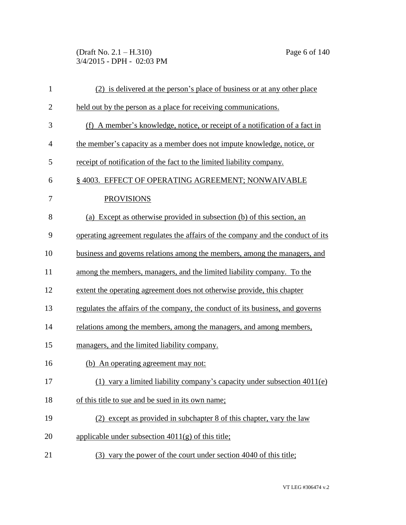(Draft No. 2.1 – H.310) Page 6 of 140 3/4/2015 - DPH - 02:03 PM

| $\mathbf{1}$ | (2) is delivered at the person's place of business or at any other place        |
|--------------|---------------------------------------------------------------------------------|
| $\mathbf{2}$ | held out by the person as a place for receiving communications.                 |
| 3            | (f) A member's knowledge, notice, or receipt of a notification of a fact in     |
| 4            | the member's capacity as a member does not impute knowledge, notice, or         |
| 5            | receipt of notification of the fact to the limited liability company.           |
| 6            | § 4003. EFFECT OF OPERATING AGREEMENT; NONWAIVABLE                              |
| 7            | <b>PROVISIONS</b>                                                               |
| 8            | (a) Except as otherwise provided in subsection (b) of this section, an          |
| 9            | operating agreement regulates the affairs of the company and the conduct of its |
| 10           | business and governs relations among the members, among the managers, and       |
| 11           | among the members, managers, and the limited liability company. To the          |
| 12           | extent the operating agreement does not otherwise provide, this chapter         |
| 13           | regulates the affairs of the company, the conduct of its business, and governs  |
| 14           | relations among the members, among the managers, and among members,             |
| 15           | managers, and the limited liability company.                                    |
| 16           | (b) An operating agreement may not:                                             |
| 17           | (1) vary a limited liability company's capacity under subsection $4011(e)$      |
| 18           | of this title to sue and be sued in its own name;                               |
| 19           | (2) except as provided in subchapter 8 of this chapter, vary the law            |
| 20           | applicable under subsection $4011(g)$ of this title;                            |
| 21           | (3) vary the power of the court under section 4040 of this title;               |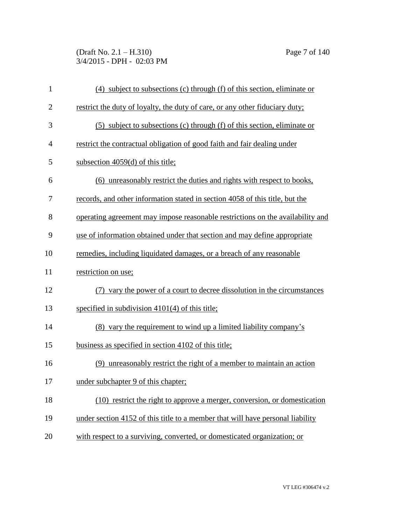(Draft No. 2.1 – H.310) Page 7 of 140 3/4/2015 - DPH - 02:03 PM

| $\mathbf{1}$   | (4) subject to subsections (c) through (f) of this section, eliminate or       |
|----------------|--------------------------------------------------------------------------------|
| $\overline{2}$ | restrict the duty of loyalty, the duty of care, or any other fiduciary duty;   |
| 3              | (5) subject to subsections (c) through (f) of this section, eliminate or       |
| 4              | restrict the contractual obligation of good faith and fair dealing under       |
| 5              | subsection 4059(d) of this title;                                              |
| 6              | unreasonably restrict the duties and rights with respect to books,<br>(6)      |
| 7              | records, and other information stated in section 4058 of this title, but the   |
| 8              | operating agreement may impose reasonable restrictions on the availability and |
| 9              | use of information obtained under that section and may define appropriate      |
| 10             | remedies, including liquidated damages, or a breach of any reasonable          |
| 11             | restriction on use;                                                            |
| 12             | (7) vary the power of a court to decree dissolution in the circumstances       |
| 13             | specified in subdivision $4101(4)$ of this title;                              |
| 14             | (8) vary the requirement to wind up a limited liability company's              |
| 15             | business as specified in section 4102 of this title;                           |
| 16             | (9) unreasonably restrict the right of a member to maintain an action          |
| 17             | under subchapter 9 of this chapter;                                            |
| 18             | (10) restrict the right to approve a merger, conversion, or domestication      |
| 19             | under section 4152 of this title to a member that will have personal liability |
| 20             | with respect to a surviving, converted, or domesticated organization; or       |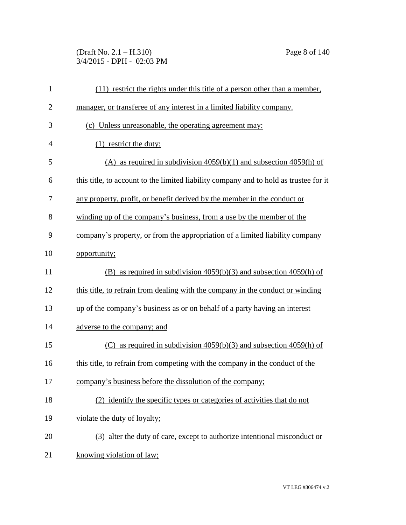(Draft No. 2.1 – H.310) Page 8 of 140 3/4/2015 - DPH - 02:03 PM

| $\mathbf{1}$   | (11) restrict the rights under this title of a person other than a member,            |
|----------------|---------------------------------------------------------------------------------------|
| $\overline{2}$ | manager, or transferee of any interest in a limited liability company.                |
| 3              | (c) Unless unreasonable, the operating agreement may:                                 |
| $\overline{4}$ | $(1)$ restrict the duty:                                                              |
| 5              | (A) as required in subdivision $4059(b)(1)$ and subsection $4059(h)$ of               |
| 6              | this title, to account to the limited liability company and to hold as trustee for it |
| 7              | any property, profit, or benefit derived by the member in the conduct or              |
| 8              | winding up of the company's business, from a use by the member of the                 |
| 9              | company's property, or from the appropriation of a limited liability company          |
| 10             | opportunity;                                                                          |
| 11             | (B) as required in subdivision $4059(b)(3)$ and subsection $4059(h)$ of               |
| 12             | this title, to refrain from dealing with the company in the conduct or winding        |
| 13             | up of the company's business as or on behalf of a party having an interest            |
| 14             | adverse to the company; and                                                           |
| 15             | as required in subdivision $4059(b)(3)$ and subsection $4059(h)$ of<br>(C)            |
| 16             | this title, to refrain from competing with the company in the conduct of the          |
| 17             | company's business before the dissolution of the company;                             |
| 18             | (2) identify the specific types or categories of activities that do not               |
| 19             | violate the duty of loyalty;                                                          |
| 20             | (3) alter the duty of care, except to authorize intentional misconduct or             |
| 21             | knowing violation of law;                                                             |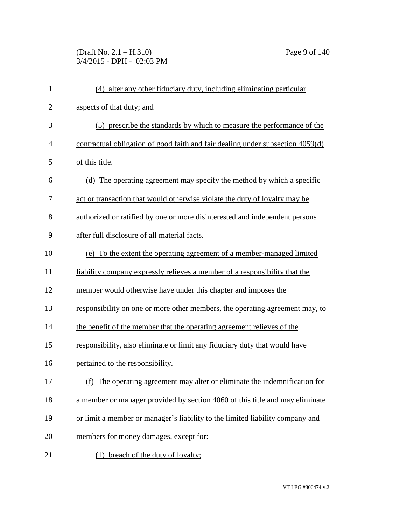(Draft No. 2.1 – H.310) Page 9 of 140 3/4/2015 - DPH - 02:03 PM

| $\mathbf{1}$   | (4) alter any other fiduciary duty, including eliminating particular           |
|----------------|--------------------------------------------------------------------------------|
| $\overline{2}$ | aspects of that duty; and                                                      |
| 3              | (5) prescribe the standards by which to measure the performance of the         |
| 4              | contractual obligation of good faith and fair dealing under subsection 4059(d) |
| 5              | of this title.                                                                 |
| 6              | (d) The operating agreement may specify the method by which a specific         |
| 7              | act or transaction that would otherwise violate the duty of loyalty may be     |
| 8              | authorized or ratified by one or more disinterested and independent persons    |
| 9              | after full disclosure of all material facts.                                   |
| 10             | (e) To the extent the operating agreement of a member-managed limited          |
| 11             | liability company expressly relieves a member of a responsibility that the     |
| 12             | member would otherwise have under this chapter and imposes the                 |
| 13             | responsibility on one or more other members, the operating agreement may, to   |
| 14             | the benefit of the member that the operating agreement relieves of the         |
| 15             | responsibility, also eliminate or limit any fiduciary duty that would have     |
| 16             | pertained to the responsibility.                                               |
| 17             | (f) The operating agreement may alter or eliminate the indemnification for     |
| 18             | a member or manager provided by section 4060 of this title and may eliminate   |
| 19             | or limit a member or manager's liability to the limited liability company and  |
| 20             | members for money damages, except for:                                         |
| 21             | breach of the duty of loyalty;                                                 |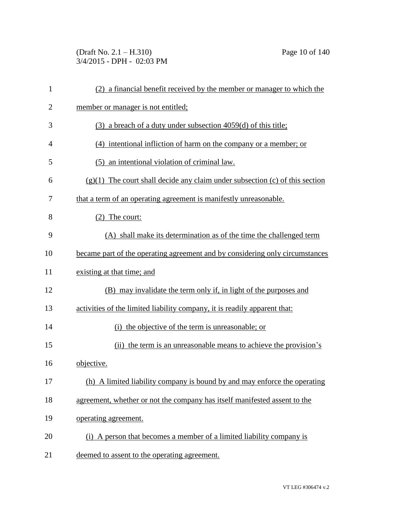(Draft No. 2.1 – H.310) Page 10 of 140 3/4/2015 - DPH - 02:03 PM

| $\mathbf{1}$   | (2) a financial benefit received by the member or manager to which the         |
|----------------|--------------------------------------------------------------------------------|
| $\overline{2}$ | member or manager is not entitled;                                             |
| 3              | $(3)$ a breach of a duty under subsection 4059(d) of this title;               |
| 4              | (4) intentional infliction of harm on the company or a member; or              |
| 5              | (5) an intentional violation of criminal law.                                  |
| 6              | $(g)(1)$ The court shall decide any claim under subsection (c) of this section |
| 7              | that a term of an operating agreement is manifestly unreasonable.              |
| 8              | $(2)$ The court:                                                               |
| 9              | (A) shall make its determination as of the time the challenged term            |
| 10             | became part of the operating agreement and by considering only circumstances   |
| 11             | existing at that time; and                                                     |
| 12             | (B) may invalidate the term only if, in light of the purposes and              |
| 13             | activities of the limited liability company, it is readily apparent that:      |
| 14             | (i) the objective of the term is unreasonable; or                              |
| 15             | (ii) the term is an unreasonable means to achieve the provision's              |
| 16             | objective.                                                                     |
| 17             | (h) A limited liability company is bound by and may enforce the operating      |
| 18             | agreement, whether or not the company has itself manifested assent to the      |
| 19             | operating agreement.                                                           |
| 20             | (i) A person that becomes a member of a limited liability company is           |
| 21             | deemed to assent to the operating agreement.                                   |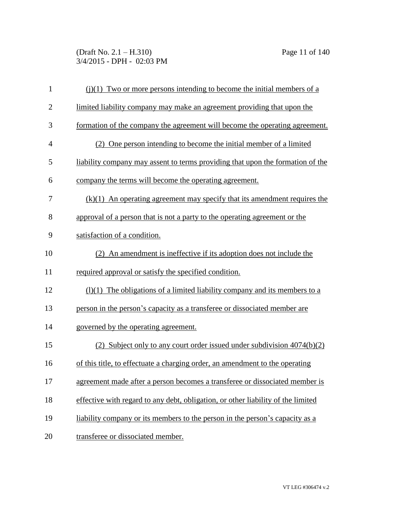(Draft No. 2.1 – H.310) Page 11 of 140 3/4/2015 - DPH - 02:03 PM

| $\mathbf{1}$   | $(i)(1)$ Two or more persons intending to become the initial members of a        |
|----------------|----------------------------------------------------------------------------------|
| $\overline{2}$ | limited liability company may make an agreement providing that upon the          |
| 3              | formation of the company the agreement will become the operating agreement.      |
| $\overline{4}$ | (2) One person intending to become the initial member of a limited               |
| 5              | liability company may assent to terms providing that upon the formation of the   |
| 6              | company the terms will become the operating agreement.                           |
| 7              | $(k)(1)$ An operating agreement may specify that its amendment requires the      |
| 8              | approval of a person that is not a party to the operating agreement or the       |
| 9              | satisfaction of a condition.                                                     |
| 10             | (2) An amendment is ineffective if its adoption does not include the             |
| 11             | required approval or satisfy the specified condition.                            |
| 12             | $(1)(1)$ The obligations of a limited liability company and its members to a     |
| 13             | person in the person's capacity as a transferee or dissociated member are        |
| 14             | governed by the operating agreement.                                             |
| 15             | (2) Subject only to any court order issued under subdivision 4074(b)(2)          |
| 16             | of this title, to effectuate a charging order, an amendment to the operating     |
| 17             | agreement made after a person becomes a transferee or dissociated member is      |
| 18             | effective with regard to any debt, obligation, or other liability of the limited |
| 19             | liability company or its members to the person in the person's capacity as a     |
| 20             | transferee or dissociated member.                                                |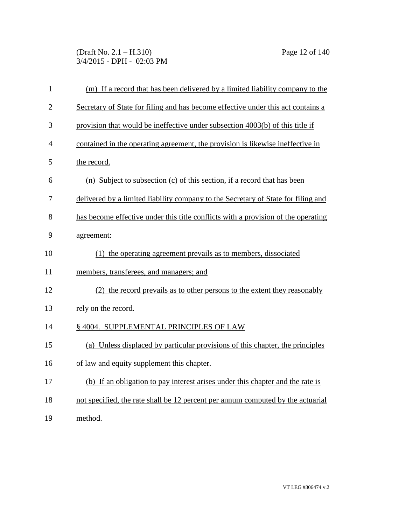(Draft No. 2.1 – H.310) Page 12 of 140 3/4/2015 - DPH - 02:03 PM

| $\mathbf{1}$   | (m) If a record that has been delivered by a limited liability company to the     |
|----------------|-----------------------------------------------------------------------------------|
| $\overline{2}$ | Secretary of State for filing and has become effective under this act contains a  |
| 3              | provision that would be ineffective under subsection 4003(b) of this title if     |
| $\overline{4}$ | contained in the operating agreement, the provision is likewise ineffective in    |
| 5              | the record.                                                                       |
| 6              | (n) Subject to subsection (c) of this section, if a record that has been          |
| 7              | delivered by a limited liability company to the Secretary of State for filing and |
| 8              | has become effective under this title conflicts with a provision of the operating |
| 9              | agreement:                                                                        |
| 10             | (1) the operating agreement prevails as to members, dissociated                   |
| 11             | members, transferees, and managers; and                                           |
| 12             | (2) the record prevails as to other persons to the extent they reasonably         |
| 13             | rely on the record.                                                               |
| 14             | § 4004. SUPPLEMENTAL PRINCIPLES OF LAW                                            |
| 15             | (a) Unless displaced by particular provisions of this chapter, the principles     |
| 16             | of law and equity supplement this chapter.                                        |
| 17             | (b) If an obligation to pay interest arises under this chapter and the rate is    |
| 18             | not specified, the rate shall be 12 percent per annum computed by the actuarial   |
| 19             | method.                                                                           |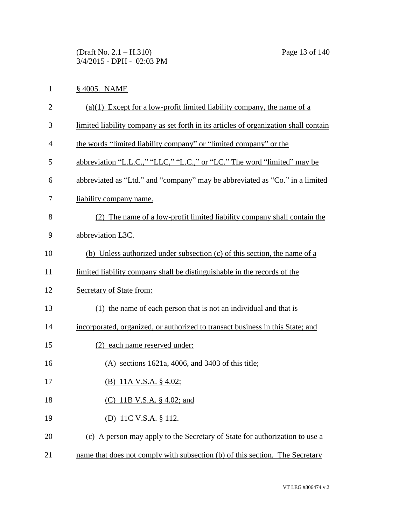(Draft No. 2.1 – H.310) Page 13 of 140 3/4/2015 - DPH - 02:03 PM

## 1 § 4005. NAME

| $\overline{2}$ | $(a)(1)$ Except for a low-profit limited liability company, the name of a            |
|----------------|--------------------------------------------------------------------------------------|
| 3              | limited liability company as set forth in its articles of organization shall contain |
| 4              | the words "limited liability company" or "limited company" or the                    |
| 5              | abbreviation "L.L.C.," "LLC," "L.C.," or "LC." The word "limited" may be             |
| 6              | abbreviated as "Ltd." and "company" may be abbreviated as "Co." in a limited         |
| 7              | liability company name.                                                              |
| 8              | (2) The name of a low-profit limited liability company shall contain the             |
| 9              | abbreviation L3C.                                                                    |
| 10             | (b) Unless authorized under subsection (c) of this section, the name of a            |
| 11             | limited liability company shall be distinguishable in the records of the             |
| 12             | Secretary of State from:                                                             |
| 13             | (1) the name of each person that is not an individual and that is                    |
| 14             | incorporated, organized, or authorized to transact business in this State; and       |
| 15             | (2) each name reserved under:                                                        |
| 16             | $(A)$ sections 1621a, 4006, and 3403 of this title;                                  |
| 17             | (B) 11A V.S.A. $\S$ 4.02;                                                            |
| 18             | (C) 11B V.S.A. § 4.02; and                                                           |
| 19             | (D) 11C V.S.A. § 112.                                                                |
| 20             | (c) A person may apply to the Secretary of State for authorization to use a          |
| 21             | name that does not comply with subsection (b) of this section. The Secretary         |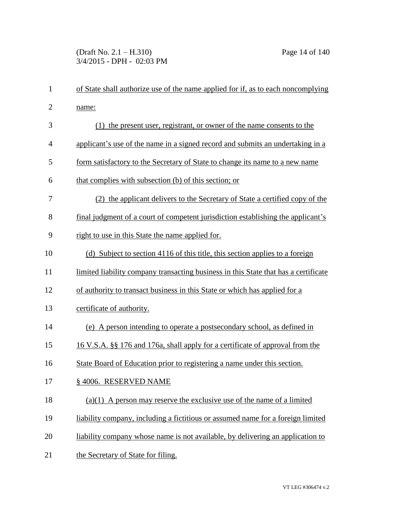| $\mathbf{1}$   | of State shall authorize use of the name applied for if, as to each noncomplying    |
|----------------|-------------------------------------------------------------------------------------|
| $\overline{c}$ | name:                                                                               |
| 3              | (1) the present user, registrant, or owner of the name consents to the              |
| 4              | applicant's use of the name in a signed record and submits an undertaking in a      |
| 5              | form satisfactory to the Secretary of State to change its name to a new name        |
| 6              | that complies with subsection (b) of this section; or                               |
| 7              | (2) the applicant delivers to the Secretary of State a certified copy of the        |
| 8              | final judgment of a court of competent jurisdiction establishing the applicant's    |
| 9              | right to use in this State the name applied for.                                    |
| 10             | (d) Subject to section 4116 of this title, this section applies to a foreign        |
| 11             | limited liability company transacting business in this State that has a certificate |
| 12             | of authority to transact business in this State or which has applied for a          |
| 13             | certificate of authority.                                                           |
| 14             | (e) A person intending to operate a postsecondary school, as defined in             |
| 15             | 16 V.S.A. §§ 176 and 176a, shall apply for a certificate of approval from the       |
| 16             | State Board of Education prior to registering a name under this section.            |
| 17             | § 4006. RESERVED NAME                                                               |
| 18             | $(a)(1)$ A person may reserve the exclusive use of the name of a limited            |
| 19             | liability company, including a fictitious or assumed name for a foreign limited     |
| 20             | liability company whose name is not available, by delivering an application to      |
| 21             | the Secretary of State for filing.                                                  |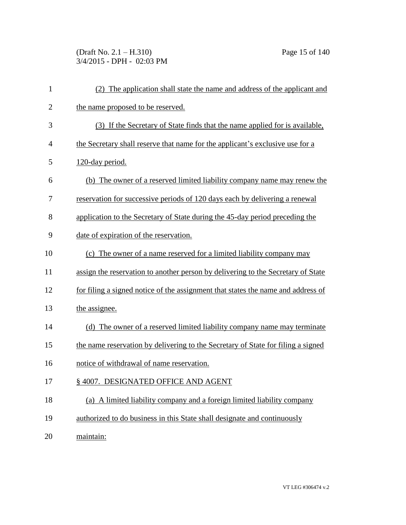(Draft No. 2.1 – H.310) Page 15 of 140 3/4/2015 - DPH - 02:03 PM

| $\mathbf{1}$   | (2) The application shall state the name and address of the applicant and        |
|----------------|----------------------------------------------------------------------------------|
| $\overline{2}$ | the name proposed to be reserved.                                                |
| 3              | (3) If the Secretary of State finds that the name applied for is available,      |
| 4              | the Secretary shall reserve that name for the applicant's exclusive use for a    |
| 5              | 120-day period.                                                                  |
| 6              | (b) The owner of a reserved limited liability company name may renew the         |
| 7              | reservation for successive periods of 120 days each by delivering a renewal      |
| 8              | application to the Secretary of State during the 45-day period preceding the     |
| 9              | date of expiration of the reservation.                                           |
| 10             | (c) The owner of a name reserved for a limited liability company may             |
| 11             | assign the reservation to another person by delivering to the Secretary of State |
| 12             | for filing a signed notice of the assignment that states the name and address of |
| 13             | the assignee.                                                                    |
| 14             | (d) The owner of a reserved limited liability company name may terminate         |
| 15             | the name reservation by delivering to the Secretary of State for filing a signed |
| 16             | notice of withdrawal of name reservation.                                        |
| 17             | § 4007. DESIGNATED OFFICE AND AGENT                                              |
| 18             | (a) A limited liability company and a foreign limited liability company          |
| 19             | authorized to do business in this State shall designate and continuously         |
| 20             | maintain:                                                                        |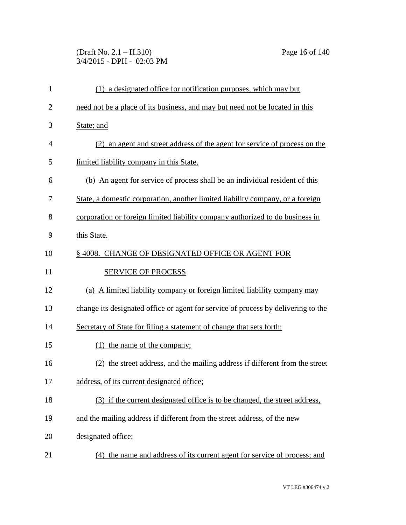(Draft No. 2.1 – H.310) Page 16 of 140 3/4/2015 - DPH - 02:03 PM

| $\mathbf 1$    | (1) a designated office for notification purposes, which may but                  |
|----------------|-----------------------------------------------------------------------------------|
| $\overline{2}$ | need not be a place of its business, and may but need not be located in this      |
| 3              | State; and                                                                        |
| $\overline{4}$ | (2) an agent and street address of the agent for service of process on the        |
| 5              | limited liability company in this State.                                          |
| 6              | (b) An agent for service of process shall be an individual resident of this       |
| 7              | State, a domestic corporation, another limited liability company, or a foreign    |
| 8              | corporation or foreign limited liability company authorized to do business in     |
| 9              | this State.                                                                       |
| 10             | §4008. CHANGE OF DESIGNATED OFFICE OR AGENT FOR                                   |
| 11             | <b>SERVICE OF PROCESS</b>                                                         |
| 12             | (a) A limited liability company or foreign limited liability company may          |
| 13             | change its designated office or agent for service of process by delivering to the |
| 14             | Secretary of State for filing a statement of change that sets forth:              |
| 15             | $(1)$ the name of the company;                                                    |
| 16             | (2) the street address, and the mailing address if different from the street      |
| 17             | address, of its current designated office;                                        |
| 18             | (3) if the current designated office is to be changed, the street address,        |
| 19             | and the mailing address if different from the street address, of the new          |
| 20             | designated office;                                                                |
| 21             | the name and address of its current agent for service of process; and<br>(4)      |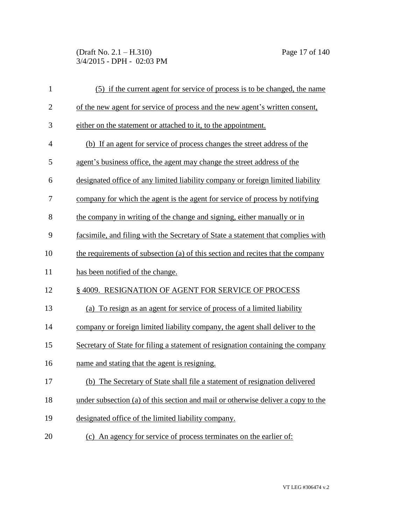(Draft No. 2.1 – H.310) Page 17 of 140 3/4/2015 - DPH - 02:03 PM

| $\mathbf{1}$   | (5) if the current agent for service of process is to be changed, the name       |
|----------------|----------------------------------------------------------------------------------|
| $\overline{2}$ | of the new agent for service of process and the new agent's written consent,     |
| 3              | either on the statement or attached to it, to the appointment.                   |
| $\overline{4}$ | (b) If an agent for service of process changes the street address of the         |
| 5              | agent's business office, the agent may change the street address of the          |
| 6              | designated office of any limited liability company or foreign limited liability  |
| 7              | company for which the agent is the agent for service of process by notifying     |
| 8              | the company in writing of the change and signing, either manually or in          |
| 9              | facsimile, and filing with the Secretary of State a statement that complies with |
| 10             | the requirements of subsection (a) of this section and recites that the company  |
|                |                                                                                  |
| 11             | has been notified of the change.                                                 |
| 12             | §4009. RESIGNATION OF AGENT FOR SERVICE OF PROCESS                               |
| 13             | (a) To resign as an agent for service of process of a limited liability          |
| 14             | company or foreign limited liability company, the agent shall deliver to the     |
| 15             | Secretary of State for filing a statement of resignation containing the company  |
| 16             | name and stating that the agent is resigning.                                    |
| 17             | (b) The Secretary of State shall file a statement of resignation delivered       |
| 18             | under subsection (a) of this section and mail or otherwise deliver a copy to the |
| 19             | designated office of the limited liability company.                              |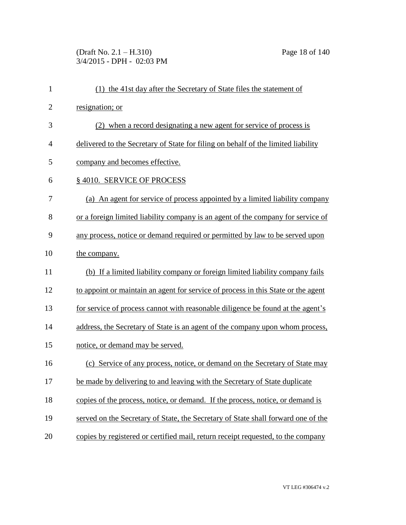(Draft No. 2.1 – H.310) Page 18 of 140 3/4/2015 - DPH - 02:03 PM

| $\mathbf{1}$   | (1) the 41st day after the Secretary of State files the statement of              |
|----------------|-----------------------------------------------------------------------------------|
| $\overline{2}$ | resignation; or                                                                   |
| 3              | (2) when a record designating a new agent for service of process is               |
| $\overline{4}$ | delivered to the Secretary of State for filing on behalf of the limited liability |
| 5              | company and becomes effective.                                                    |
| 6              | §4010. SERVICE OF PROCESS                                                         |
| 7              | (a) An agent for service of process appointed by a limited liability company      |
| 8              | or a foreign limited liability company is an agent of the company for service of  |
| 9              | any process, notice or demand required or permitted by law to be served upon      |
| 10             | the company.                                                                      |
| 11             | (b) If a limited liability company or foreign limited liability company fails     |
| 12             | to appoint or maintain an agent for service of process in this State or the agent |
| 13             | for service of process cannot with reasonable diligence be found at the agent's   |
| 14             | address, the Secretary of State is an agent of the company upon whom process,     |
| 15             | notice, or demand may be served.                                                  |
| 16             | (c) Service of any process, notice, or demand on the Secretary of State may       |
| 17             | be made by delivering to and leaving with the Secretary of State duplicate        |
| 18             | copies of the process, notice, or demand. If the process, notice, or demand is    |
| 19             | served on the Secretary of State, the Secretary of State shall forward one of the |
| 20             | copies by registered or certified mail, return receipt requested, to the company  |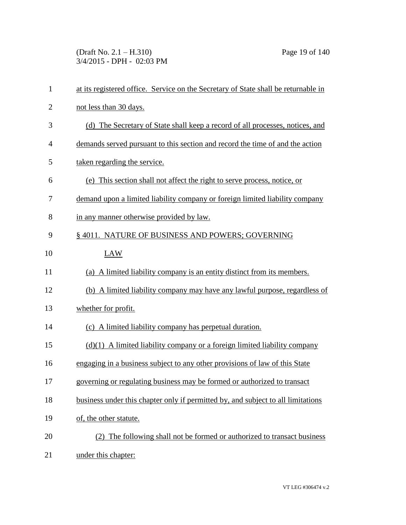(Draft No. 2.1 – H.310) Page 19 of 140 3/4/2015 - DPH - 02:03 PM

| $\mathbf{1}$   | at its registered office. Service on the Secretary of State shall be returnable in |
|----------------|------------------------------------------------------------------------------------|
| $\overline{2}$ | not less than 30 days.                                                             |
| 3              | (d) The Secretary of State shall keep a record of all processes, notices, and      |
| $\overline{4}$ | demands served pursuant to this section and record the time of and the action      |
| 5              | taken regarding the service.                                                       |
| 6              | (e) This section shall not affect the right to serve process, notice, or           |
| 7              | demand upon a limited liability company or foreign limited liability company       |
| 8              | in any manner otherwise provided by law.                                           |
| 9              | § 4011. NATURE OF BUSINESS AND POWERS; GOVERNING                                   |
| 10             | LAW                                                                                |
| 11             | (a) A limited liability company is an entity distinct from its members.            |
| 12             | (b) A limited liability company may have any lawful purpose, regardless of         |
| 13             | whether for profit.                                                                |
| 14             | (c) A limited liability company has perpetual duration.                            |
| 15             | $(d)(1)$ A limited liability company or a foreign limited liability company        |
| 16             | engaging in a business subject to any other provisions of law of this State        |
| 17             | governing or regulating business may be formed or authorized to transact           |
| 18             | business under this chapter only if permitted by, and subject to all limitations   |
| 19             | of, the other statute.                                                             |
| 20             | (2) The following shall not be formed or authorized to transact business           |
| 21             | under this chapter:                                                                |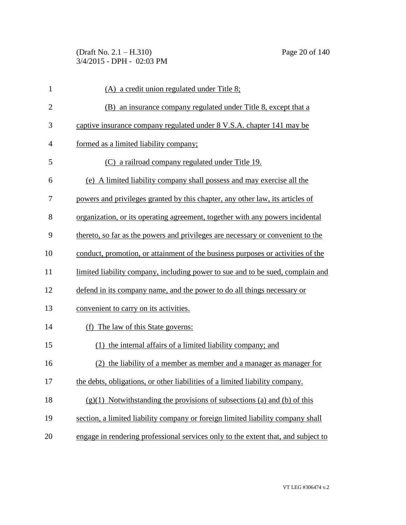(Draft No. 2.1 – H.310) Page 20 of 140 3/4/2015 - DPH - 02:03 PM

| $\mathbf{1}$   | $(A)$ a credit union regulated under Title 8;                                     |
|----------------|-----------------------------------------------------------------------------------|
| $\overline{2}$ | (B) an insurance company regulated under Title 8, except that a                   |
| 3              | captive insurance company regulated under 8 V.S.A. chapter 141 may be             |
| $\overline{4}$ | formed as a limited liability company;                                            |
| 5              | (C) a railroad company regulated under Title 19.                                  |
| 6              | (e) A limited liability company shall possess and may exercise all the            |
| 7              | powers and privileges granted by this chapter, any other law, its articles of     |
| 8              | organization, or its operating agreement, together with any powers incidental     |
| 9              | thereto, so far as the powers and privileges are necessary or convenient to the   |
| 10             | conduct, promotion, or attainment of the business purposes or activities of the   |
| 11             | limited liability company, including power to sue and to be sued, complain and    |
| 12             | defend in its company name, and the power to do all things necessary or           |
| 13             | convenient to carry on its activities.                                            |
| 14             | (f) The law of this State governs:                                                |
| 15             | (1) the internal affairs of a limited liability company; and                      |
| 16             | (2) the liability of a member as member and a manager as manager for              |
| 17             | the debts, obligations, or other liabilities of a limited liability company.      |
| 18             | $(g)(1)$ Notwithstanding the provisions of subsections (a) and (b) of this        |
| 19             | section, a limited liability company or foreign limited liability company shall   |
| 20             | engage in rendering professional services only to the extent that, and subject to |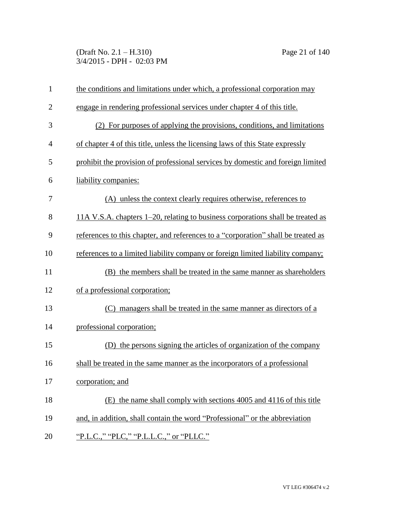(Draft No. 2.1 – H.310) Page 21 of 140 3/4/2015 - DPH - 02:03 PM

| $\mathbf{1}$ | the conditions and limitations under which, a professional corporation may        |
|--------------|-----------------------------------------------------------------------------------|
| $\mathbf{2}$ | engage in rendering professional services under chapter 4 of this title.          |
| 3            | (2) For purposes of applying the provisions, conditions, and limitations          |
| 4            | of chapter 4 of this title, unless the licensing laws of this State expressly     |
| 5            | prohibit the provision of professional services by domestic and foreign limited   |
| 6            | liability companies:                                                              |
| 7            | (A) unless the context clearly requires otherwise, references to                  |
| 8            | 11A V.S.A. chapters 1–20, relating to business corporations shall be treated as   |
| 9            | references to this chapter, and references to a "corporation" shall be treated as |
| 10           | references to a limited liability company or foreign limited liability company;   |
| 11           | (B) the members shall be treated in the same manner as shareholders               |
| 12           | of a professional corporation;                                                    |
| 13           | (C) managers shall be treated in the same manner as directors of a                |
| 14           | professional corporation;                                                         |
| 15           | the persons signing the articles of organization of the company<br>(D)            |
| 16           | shall be treated in the same manner as the incorporators of a professional        |
| 17           | corporation; and                                                                  |
| 18           | (E) the name shall comply with sections 4005 and 4116 of this title               |
| 19           | and, in addition, shall contain the word "Professional" or the abbreviation       |
| 20           | "P.L.C.," "PLC," "P.L.L.C.," or "PLLC."                                           |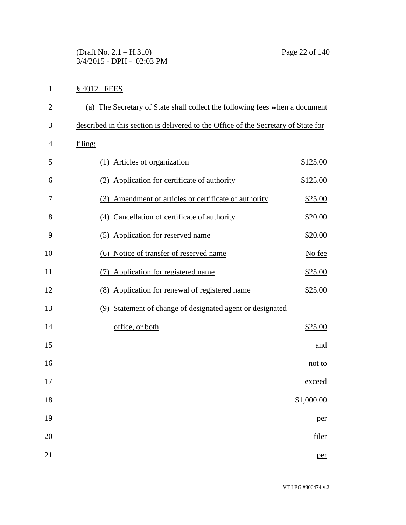(Draft No. 2.1 – H.310) Page 22 of 140 3/4/2015 - DPH - 02:03 PM

## § 4012. FEES

| $\mathbf{2}$ | (a) The Secretary of State shall collect the following fees when a document        |
|--------------|------------------------------------------------------------------------------------|
| 3            | described in this section is delivered to the Office of the Secretary of State for |
| 4            | filing:                                                                            |
| 5            | (1) Articles of organization<br>\$125.00                                           |
| 6            | (2) Application for certificate of authority<br>\$125.00                           |
| 7            | (3) Amendment of articles or certificate of authority<br>\$25.00                   |
| 8            | (4) Cancellation of certificate of authority<br>\$20.00                            |
| 9            | (5) Application for reserved name<br>\$20.00                                       |
| 10           | (6) Notice of transfer of reserved name<br>No fee                                  |
| 11           | (7) Application for registered name<br>\$25.00                                     |
| 12           | (8) Application for renewal of registered name<br>\$25.00                          |
| 13           | Statement of change of designated agent or designated<br>(9)                       |
| 14           | office, or both<br>\$25.00                                                         |
| 15           | and                                                                                |
| 16           | not to                                                                             |
| 17           | <u>exceed</u>                                                                      |
| 18           | \$1,000.00                                                                         |
| 19           | per                                                                                |
| $20\,$       | filer                                                                              |
| 21           | per                                                                                |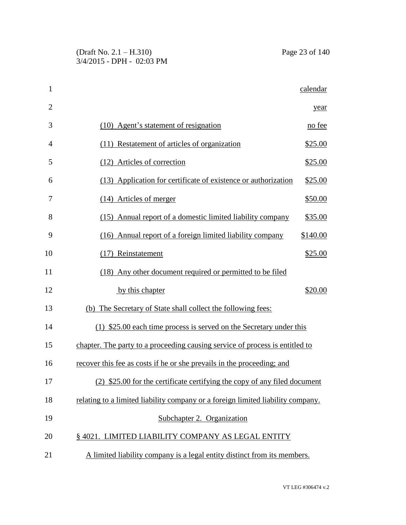| 1              |                                                                                 | calendar |
|----------------|---------------------------------------------------------------------------------|----------|
| $\overline{2}$ |                                                                                 | year     |
| 3              | (10) Agent's statement of resignation                                           | no fee   |
| 4              | (11) Restatement of articles of organization                                    | \$25.00  |
| 5              | (12) Articles of correction                                                     | \$25.00  |
| 6              | (13) Application for certificate of existence or authorization                  | \$25.00  |
| 7              | $(14)$ Articles of merger                                                       | \$50.00  |
| 8              | (15) Annual report of a domestic limited liability company                      | \$35.00  |
| 9              | (16) Annual report of a foreign limited liability company                       | \$140.00 |
| 10             | (17) Reinstatement                                                              | \$25.00  |
| 11             | (18) Any other document required or permitted to be filed                       |          |
| 12             | by this chapter                                                                 | \$20.00  |
| 13             | (b) The Secretary of State shall collect the following fees:                    |          |
| 14             | $(1)$ \$25.00 each time process is served on the Secretary under this           |          |
| 15             | chapter. The party to a proceeding causing service of process is entitled to    |          |
| 16             | recover this fee as costs if he or she prevails in the proceeding; and          |          |
| 17             | (2) \$25.00 for the certificate certifying the copy of any filed document       |          |
| 18             | relating to a limited liability company or a foreign limited liability company. |          |
| 19             | Subchapter 2. Organization                                                      |          |
| 20             | § 4021. LIMITED LIABILITY COMPANY AS LEGAL ENTITY                               |          |
| 21             | A limited liability company is a legal entity distinct from its members.        |          |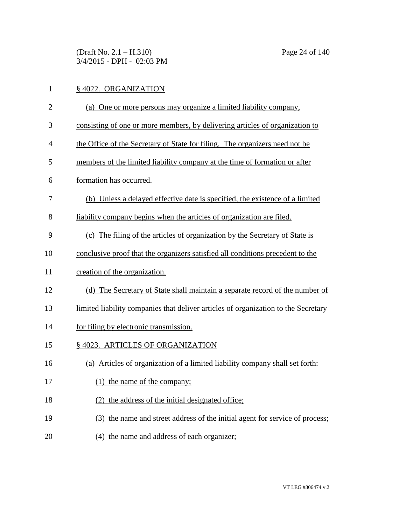(Draft No. 2.1 – H.310) Page 24 of 140 3/4/2015 - DPH - 02:03 PM

| $\mathbf{1}$   | §4022. ORGANIZATION                                                                |
|----------------|------------------------------------------------------------------------------------|
| $\overline{2}$ | (a) One or more persons may organize a limited liability company,                  |
| 3              | consisting of one or more members, by delivering articles of organization to       |
| 4              | the Office of the Secretary of State for filing. The organizers need not be        |
| 5              | members of the limited liability company at the time of formation or after         |
| 6              | formation has occurred.                                                            |
| 7              | (b) Unless a delayed effective date is specified, the existence of a limited       |
| 8              | liability company begins when the articles of organization are filed.              |
| 9              | (c) The filing of the articles of organization by the Secretary of State is        |
| 10             | conclusive proof that the organizers satisfied all conditions precedent to the     |
| 11             | creation of the organization.                                                      |
| 12             | (d) The Secretary of State shall maintain a separate record of the number of       |
| 13             | limited liability companies that deliver articles of organization to the Secretary |
| 14             | for filing by electronic transmission.                                             |
| 15             | § 4023. ARTICLES OF ORGANIZATION                                                   |
| 16             | (a) Articles of organization of a limited liability company shall set forth:       |
| 17             | (1) the name of the company;                                                       |
| 18             | (2) the address of the initial designated office;                                  |
| 19             | (3) the name and street address of the initial agent for service of process;       |
|                |                                                                                    |

20 (4) the name and address of each organizer;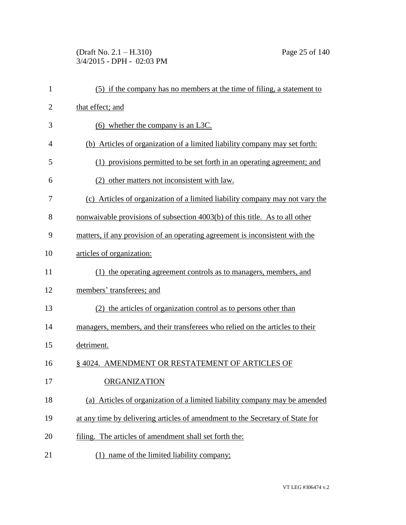(Draft No. 2.1 – H.310) Page 25 of 140 3/4/2015 - DPH - 02:03 PM

| $\mathbf{1}$   | (5) if the company has no members at the time of filing, a statement to       |
|----------------|-------------------------------------------------------------------------------|
| $\overline{2}$ | that effect; and                                                              |
| 3              | $(6)$ whether the company is an L3C.                                          |
| 4              | (b) Articles of organization of a limited liability company may set forth:    |
| 5              | (1) provisions permitted to be set forth in an operating agreement; and       |
| 6              | (2) other matters not inconsistent with law.                                  |
| 7              | (c) Articles of organization of a limited liability company may not vary the  |
| 8              | nonwaivable provisions of subsection 4003(b) of this title. As to all other   |
| 9              | matters, if any provision of an operating agreement is inconsistent with the  |
| 10             | articles of organization:                                                     |
| 11             | (1) the operating agreement controls as to managers, members, and             |
| 12             | members' transferees; and                                                     |
| 13             | (2) the articles of organization control as to persons other than             |
| 14             | managers, members, and their transferees who relied on the articles to their  |
| 15             | detriment.                                                                    |
| 16             | §4024. AMENDMENT OR RESTATEMENT OF ARTICLES OF                                |
| 17             | <b>ORGANIZATION</b>                                                           |
| 18             | (a) Articles of organization of a limited liability company may be amended    |
| 19             | at any time by delivering articles of amendment to the Secretary of State for |
| 20             | filing. The articles of amendment shall set forth the:                        |
| 21             | (1) name of the limited liability company;                                    |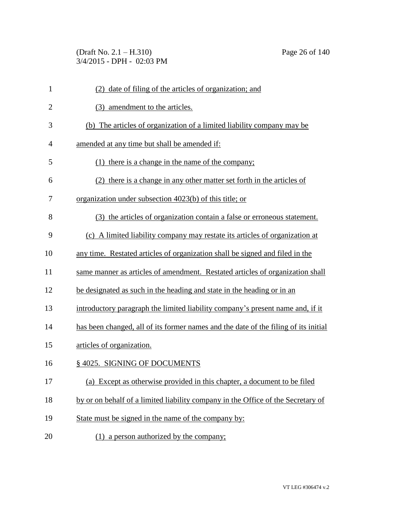(Draft No. 2.1 – H.310) Page 26 of 140 3/4/2015 - DPH - 02:03 PM

| $\mathbf{1}$   | date of filing of the articles of organization; and<br>(2)                          |
|----------------|-------------------------------------------------------------------------------------|
| $\overline{2}$ | (3) amendment to the articles.                                                      |
| 3              | The articles of organization of a limited liability company may be<br>(b)           |
| $\overline{4}$ | amended at any time but shall be amended if:                                        |
| 5              | (1) there is a change in the name of the company;                                   |
| 6              | (2) there is a change in any other matter set forth in the articles of              |
| 7              | organization under subsection 4023(b) of this title; or                             |
| 8              | (3) the articles of organization contain a false or erroneous statement.            |
| 9              | (c) A limited liability company may restate its articles of organization at         |
| 10             | any time. Restated articles of organization shall be signed and filed in the        |
| 11             | same manner as articles of amendment. Restated articles of organization shall       |
| 12             | be designated as such in the heading and state in the heading or in an              |
| 13             | introductory paragraph the limited liability company's present name and, if it      |
| 14             | has been changed, all of its former names and the date of the filing of its initial |
| 15             | articles of organization.                                                           |
| 16             | § 4025. SIGNING OF DOCUMENTS                                                        |
| 17             | (a) Except as otherwise provided in this chapter, a document to be filed            |
| 18             | by or on behalf of a limited liability company in the Office of the Secretary of    |
| 19             | State must be signed in the name of the company by:                                 |
| 20             | (1) a person authorized by the company;                                             |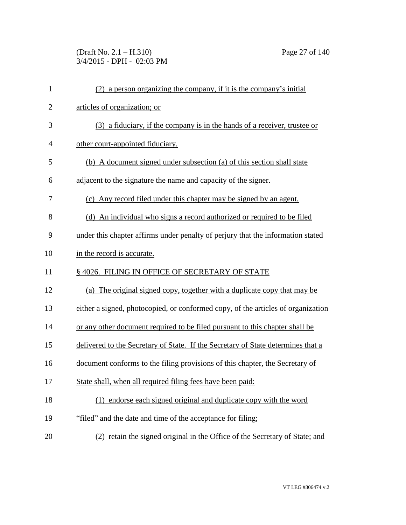(Draft No. 2.1 – H.310) Page 27 of 140 3/4/2015 - DPH - 02:03 PM

| $\mathbf{1}$   | (2) a person organizing the company, if it is the company's initial              |
|----------------|----------------------------------------------------------------------------------|
| $\overline{2}$ | articles of organization; or                                                     |
| 3              | (3) a fiduciary, if the company is in the hands of a receiver, trustee or        |
| $\overline{4}$ | other court-appointed fiduciary.                                                 |
| 5              | (b) A document signed under subsection (a) of this section shall state           |
| 6              | adjacent to the signature the name and capacity of the signer.                   |
| 7              | (c) Any record filed under this chapter may be signed by an agent.               |
| 8              | (d) An individual who signs a record authorized or required to be filed          |
| 9              | under this chapter affirms under penalty of perjury that the information stated  |
| 10             | in the record is accurate.                                                       |
| 11             | §4026. FILING IN OFFICE OF SECRETARY OF STATE                                    |
| 12             | (a) The original signed copy, together with a duplicate copy that may be         |
| 13             | either a signed, photocopied, or conformed copy, of the articles of organization |
| 14             | or any other document required to be filed pursuant to this chapter shall be     |
| 15             | delivered to the Secretary of State. If the Secretary of State determines that a |
| 16             | document conforms to the filing provisions of this chapter, the Secretary of     |
| 17             | State shall, when all required filing fees have been paid:                       |
| 18             | (1) endorse each signed original and duplicate copy with the word                |
| 19             | "filed" and the date and time of the acceptance for filing;                      |
| 20             | (2) retain the signed original in the Office of the Secretary of State; and      |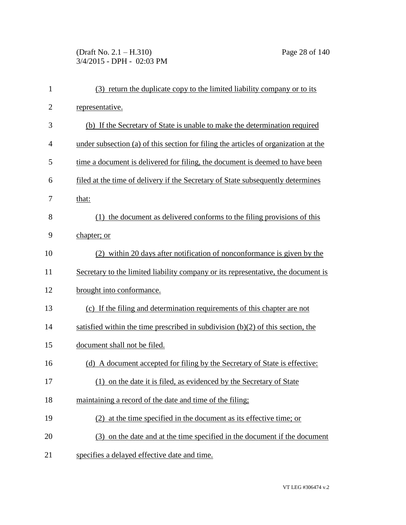## (Draft No. 2.1 – H.310) Page 28 of 140 3/4/2015 - DPH - 02:03 PM

| $\mathbf{1}$   | (3) return the duplicate copy to the limited liability company or to its            |
|----------------|-------------------------------------------------------------------------------------|
| $\overline{2}$ | representative.                                                                     |
| 3              | (b) If the Secretary of State is unable to make the determination required          |
| 4              | under subsection (a) of this section for filing the articles of organization at the |
| 5              | time a document is delivered for filing, the document is deemed to have been        |
| 6              | filed at the time of delivery if the Secretary of State subsequently determines     |
| 7              | that:                                                                               |
| 8              | (1) the document as delivered conforms to the filing provisions of this             |
| 9              | chapter; or                                                                         |
| 10             | (2) within 20 days after notification of nonconformance is given by the             |
| 11             | Secretary to the limited liability company or its representative, the document is   |
| 12             | brought into conformance.                                                           |
| 13             | (c) If the filing and determination requirements of this chapter are not            |
| 14             | satisfied within the time prescribed in subdivision $(b)(2)$ of this section, the   |
| 15             | document shall not be filed.                                                        |
| 16             | (d) A document accepted for filing by the Secretary of State is effective:          |
| 17             | (1) on the date it is filed, as evidenced by the Secretary of State                 |
| 18             | maintaining a record of the date and time of the filing;                            |
| 19             | (2) at the time specified in the document as its effective time; or                 |
| 20             | (3) on the date and at the time specified in the document if the document           |
| 21             | specifies a delayed effective date and time.                                        |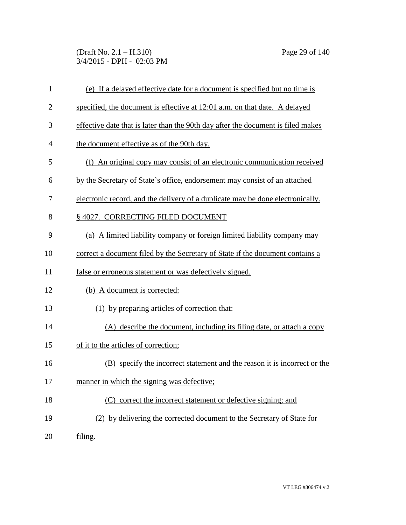(Draft No. 2.1 – H.310) Page 29 of 140 3/4/2015 - DPH - 02:03 PM

| 1              | (e) If a delayed effective date for a document is specified but no time is       |
|----------------|----------------------------------------------------------------------------------|
| $\overline{2}$ | specified, the document is effective at 12:01 a.m. on that date. A delayed       |
| 3              | effective date that is later than the 90th day after the document is filed makes |
| 4              | the document effective as of the 90th day.                                       |
| 5              | (f) An original copy may consist of an electronic communication received         |
| 6              | by the Secretary of State's office, endorsement may consist of an attached       |
| 7              | electronic record, and the delivery of a duplicate may be done electronically.   |
| 8              | § 4027. CORRECTING FILED DOCUMENT                                                |
| 9              | (a) A limited liability company or foreign limited liability company may         |
| 10             | correct a document filed by the Secretary of State if the document contains a    |
| 11             | false or erroneous statement or was defectively signed.                          |
| 12             | (b) A document is corrected:                                                     |
| 13             | (1) by preparing articles of correction that:                                    |
| 14             | (A) describe the document, including its filing date, or attach a copy           |
| 15             | of it to the articles of correction;                                             |
| 16             | (B) specify the incorrect statement and the reason it is incorrect or the        |
| 17             | manner in which the signing was defective;                                       |
| 18             | (C) correct the incorrect statement or defective signing; and                    |
| 19             | (2) by delivering the corrected document to the Secretary of State for           |
| 20             | filing.                                                                          |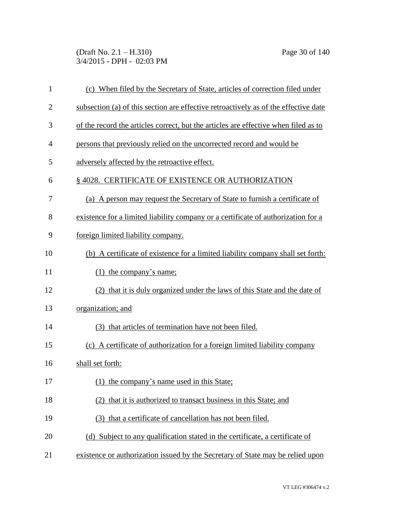(Draft No. 2.1 – H.310) Page 30 of 140 3/4/2015 - DPH - 02:03 PM

| $\mathbf{1}$   | (c) When filed by the Secretary of State, articles of correction filed under        |
|----------------|-------------------------------------------------------------------------------------|
| $\overline{2}$ | subsection (a) of this section are effective retroactively as of the effective date |
| 3              | of the record the articles correct, but the articles are effective when filed as to |
| $\overline{4}$ | persons that previously relied on the uncorrected record and would be               |
| 5              | adversely affected by the retroactive effect.                                       |
| 6              | §4028. CERTIFICATE OF EXISTENCE OR AUTHORIZATION                                    |
| 7              | (a) A person may request the Secretary of State to furnish a certificate of         |
| 8              | existence for a limited liability company or a certificate of authorization for a   |
| 9              | foreign limited liability company.                                                  |
| 10             | (b) A certificate of existence for a limited liability company shall set forth:     |
| 11             | $(1)$ the company's name;                                                           |
| 12             | (2) that it is duly organized under the laws of this State and the date of          |
| 13             | organization; and                                                                   |
| 14             | (3) that articles of termination have not been filed.                               |
| 15             | (c) A certificate of authorization for a foreign limited liability company          |
| 16             | shall set forth:                                                                    |
| 17             | (1) the company's name used in this State;                                          |
| 18             | (2) that it is authorized to transact business in this State; and                   |
| 19             | (3) that a certificate of cancellation has not been filed.                          |
| 20             | (d) Subject to any qualification stated in the certificate, a certificate of        |
| 21             | existence or authorization issued by the Secretary of State may be relied upon      |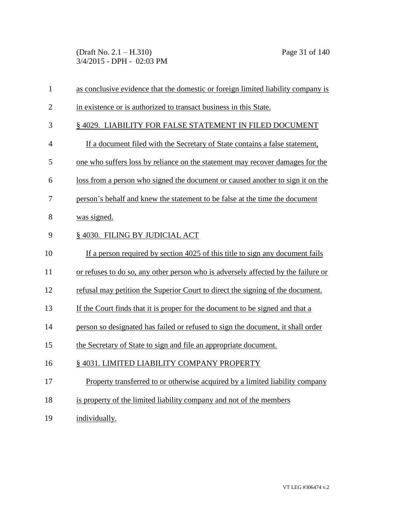(Draft No. 2.1 – H.310) Page 31 of 140 3/4/2015 - DPH - 02:03 PM

| $\mathbf{1}$   | as conclusive evidence that the domestic or foreign limited liability company is  |
|----------------|-----------------------------------------------------------------------------------|
| $\overline{2}$ | in existence or is authorized to transact business in this State.                 |
| 3              | § 4029. LIABILITY FOR FALSE STATEMENT IN FILED DOCUMENT                           |
| $\overline{4}$ | If a document filed with the Secretary of State contains a false statement,       |
| 5              | one who suffers loss by reliance on the statement may recover damages for the     |
| 6              | loss from a person who signed the document or caused another to sign it on the    |
| $\tau$         | person's behalf and knew the statement to be false at the time the document       |
| 8              | was signed.                                                                       |
| 9              | § 4030. FILING BY JUDICIAL ACT                                                    |
| 10             | If a person required by section 4025 of this title to sign any document fails     |
| 11             | or refuses to do so, any other person who is adversely affected by the failure or |
| 12             | refusal may petition the Superior Court to direct the signing of the document.    |
| 13             | If the Court finds that it is proper for the document to be signed and that a     |
| 14             | person so designated has failed or refused to sign the document, it shall order   |
| 15             | the Secretary of State to sign and file an appropriate document.                  |
| 16             | §4031. LIMITED LIABILITY COMPANY PROPERTY                                         |
| 17             | Property transferred to or otherwise acquired by a limited liability company      |
| 18             | is property of the limited liability company and not of the members               |

19 individually.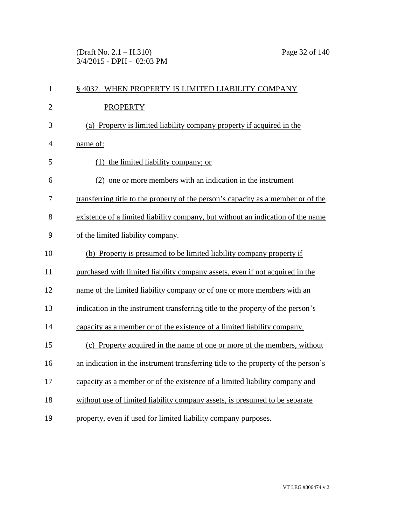(Draft No. 2.1 – H.310) Page 32 of 140 3/4/2015 - DPH - 02:03 PM

| $\mathbf{1}$   | § 4032. WHEN PROPERTY IS LIMITED LIABILITY COMPANY                                 |
|----------------|------------------------------------------------------------------------------------|
| $\overline{2}$ | <b>PROPERTY</b>                                                                    |
| 3              | (a) Property is limited liability company property if acquired in the              |
| 4              | name of:                                                                           |
| 5              | $(1)$ the limited liability company; or                                            |
| 6              | (2) one or more members with an indication in the instrument                       |
| 7              | transferring title to the property of the person's capacity as a member or of the  |
| 8              | existence of a limited liability company, but without an indication of the name    |
| 9              | of the limited liability company.                                                  |
| 10             | (b) Property is presumed to be limited liability company property if               |
| 11             | purchased with limited liability company assets, even if not acquired in the       |
| 12             | name of the limited liability company or of one or more members with an            |
| 13             | indication in the instrument transferring title to the property of the person's    |
| 14             | capacity as a member or of the existence of a limited liability company.           |
| 15             | (c) Property acquired in the name of one or more of the members, without           |
| 16             | an indication in the instrument transferring title to the property of the person's |
| 17             | capacity as a member or of the existence of a limited liability company and        |
| 18             | without use of limited liability company assets, is presumed to be separate        |
| 19             | property, even if used for limited liability company purposes.                     |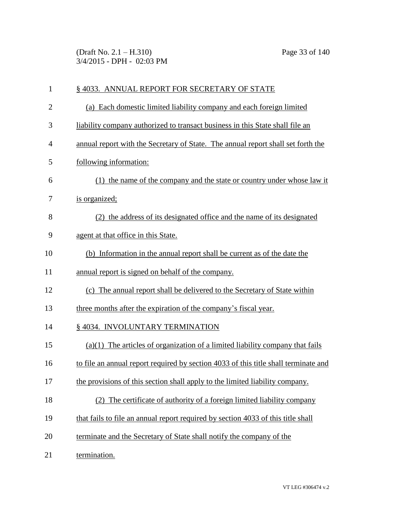(Draft No. 2.1 – H.310) Page 33 of 140 3/4/2015 - DPH - 02:03 PM

| $\mathbf{1}$   | § 4033. ANNUAL REPORT FOR SECRETARY OF STATE                                        |
|----------------|-------------------------------------------------------------------------------------|
| $\overline{2}$ | (a) Each domestic limited liability company and each foreign limited                |
| 3              | liability company authorized to transact business in this State shall file an       |
| 4              | annual report with the Secretary of State. The annual report shall set forth the    |
| 5              | following information:                                                              |
| 6              | (1) the name of the company and the state or country under whose law it             |
| 7              | is organized;                                                                       |
| 8              | (2) the address of its designated office and the name of its designated             |
| 9              | agent at that office in this State.                                                 |
| 10             | (b) Information in the annual report shall be current as of the date the            |
| 11             | annual report is signed on behalf of the company.                                   |
| 12             | (c) The annual report shall be delivered to the Secretary of State within           |
| 13             | three months after the expiration of the company's fiscal year.                     |
| 14             | § 4034. INVOLUNTARY TERMINATION                                                     |
| 15             | $(a)(1)$ The articles of organization of a limited liability company that fails     |
| 16             | to file an annual report required by section 4033 of this title shall terminate and |
| 17             | the provisions of this section shall apply to the limited liability company.        |
| 18             | The certificate of authority of a foreign limited liability company<br>(2)          |
| 19             | that fails to file an annual report required by section 4033 of this title shall    |
| 20             | terminate and the Secretary of State shall notify the company of the                |
| 21             | termination.                                                                        |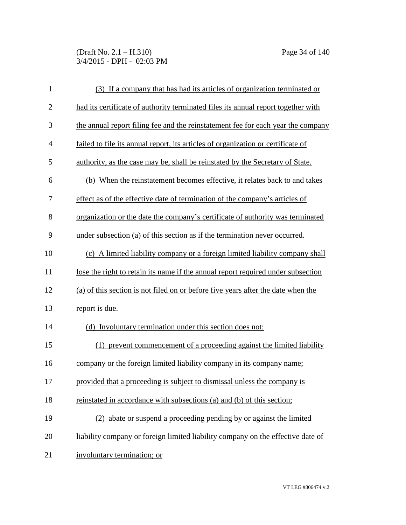(Draft No. 2.1 – H.310) Page 34 of 140 3/4/2015 - DPH - 02:03 PM

| $\mathbf{1}$ | (3) If a company that has had its articles of organization terminated or          |
|--------------|-----------------------------------------------------------------------------------|
| $\mathbf{2}$ | had its certificate of authority terminated files its annual report together with |
| 3            | the annual report filing fee and the reinstatement fee for each year the company  |
| 4            | failed to file its annual report, its articles of organization or certificate of  |
| 5            | authority, as the case may be, shall be reinstated by the Secretary of State.     |
| 6            | (b) When the reinstatement becomes effective, it relates back to and takes        |
| 7            | effect as of the effective date of termination of the company's articles of       |
| 8            | organization or the date the company's certificate of authority was terminated    |
| 9            | under subsection (a) of this section as if the termination never occurred.        |
| 10           | (c) A limited liability company or a foreign limited liability company shall      |
| 11           | lose the right to retain its name if the annual report required under subsection  |
| 12           | (a) of this section is not filed on or before five years after the date when the  |
| 13           | report is due.                                                                    |
| 14           | (d) Involuntary termination under this section does not:                          |
| 15           | (1) prevent commencement of a proceeding against the limited liability            |
| 16           | company or the foreign limited liability company in its company name;             |
| 17           | provided that a proceeding is subject to dismissal unless the company is          |
| 18           | reinstated in accordance with subsections (a) and (b) of this section;            |
| 19           | (2) abate or suspend a proceeding pending by or against the limited               |
| 20           | liability company or foreign limited liability company on the effective date of   |
| 21           | involuntary termination; or                                                       |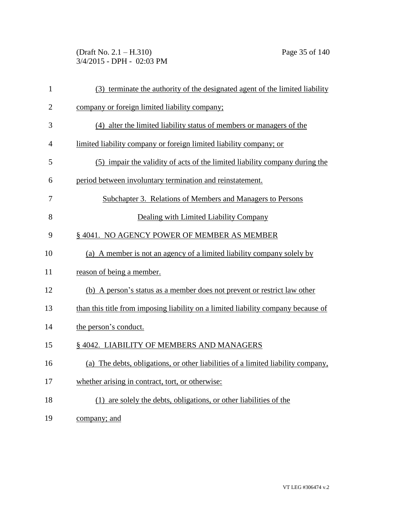(Draft No. 2.1 – H.310) Page 35 of 140 3/4/2015 - DPH - 02:03 PM

| $\mathbf{1}$   | (3) terminate the authority of the designated agent of the limited liability      |
|----------------|-----------------------------------------------------------------------------------|
| $\overline{2}$ | company or foreign limited liability company;                                     |
| 3              | (4) alter the limited liability status of members or managers of the              |
| $\overline{4}$ | limited liability company or foreign limited liability company; or                |
| 5              | (5) impair the validity of acts of the limited liability company during the       |
| 6              | period between involuntary termination and reinstatement.                         |
| 7              | Subchapter 3. Relations of Members and Managers to Persons                        |
| 8              | Dealing with Limited Liability Company                                            |
| 9              | § 4041. NO AGENCY POWER OF MEMBER AS MEMBER                                       |
| 10             | (a) A member is not an agency of a limited liability company solely by            |
| 11             | reason of being a member.                                                         |
| 12             | (b) A person's status as a member does not prevent or restrict law other          |
| 13             | than this title from imposing liability on a limited liability company because of |
| 14             | the person's conduct.                                                             |
| 15             | § 4042. LIABILITY OF MEMBERS AND MANAGERS                                         |
| 16             | (a) The debts, obligations, or other liabilities of a limited liability company,  |
| 17             | whether arising in contract, tort, or otherwise:                                  |
| 18             | (1) are solely the debts, obligations, or other liabilities of the                |
| 19             | company; and                                                                      |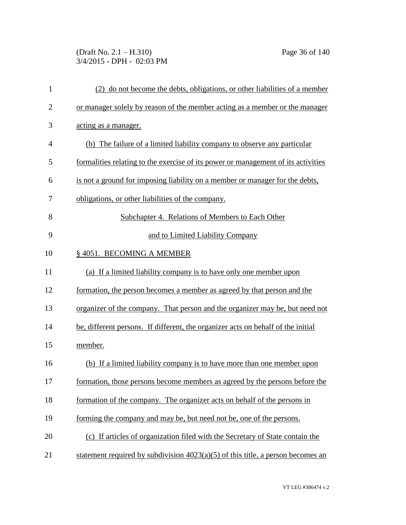(Draft No. 2.1 – H.310) Page 36 of 140 3/4/2015 - DPH - 02:03 PM

| $\mathbf{1}$   | (2) do not become the debts, obligations, or other liabilities of a member        |
|----------------|-----------------------------------------------------------------------------------|
| $\overline{2}$ | or manager solely by reason of the member acting as a member or the manager       |
| 3              | acting as a manager.                                                              |
| $\overline{4}$ | (b) The failure of a limited liability company to observe any particular          |
| 5              | formalities relating to the exercise of its power or management of its activities |
| 6              | is not a ground for imposing liability on a member or manager for the debts,      |
| 7              | obligations, or other liabilities of the company.                                 |
| 8              | Subchapter 4. Relations of Members to Each Other                                  |
| 9              | and to Limited Liability Company                                                  |
| 10             | §4051. BECOMING A MEMBER                                                          |
| 11             | (a) If a limited liability company is to have only one member upon                |
| 12             | formation, the person becomes a member as agreed by that person and the           |
| 13             | organizer of the company. That person and the organizer may be, but need not      |
| 14             | be, different persons. If different, the organizer acts on behalf of the initial  |
| 15             | member.                                                                           |
| 16             | (b) If a limited liability company is to have more than one member upon           |
| 17             | formation, those persons become members as agreed by the persons before the       |
| 18             | formation of the company. The organizer acts on behalf of the persons in          |
| 19             | forming the company and may be, but need not be, one of the persons.              |
| 20             | (c) If articles of organization filed with the Secretary of State contain the     |
| 21             | statement required by subdivision $4023(a)(5)$ of this title, a person becomes an |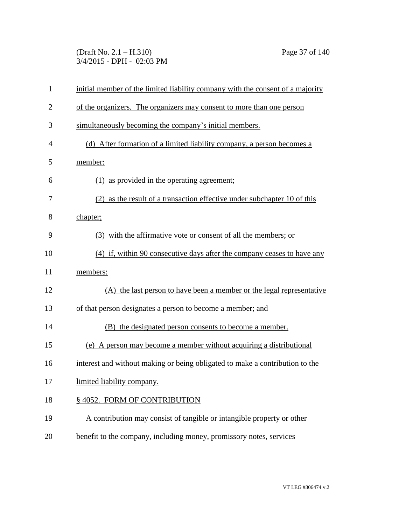(Draft No. 2.1 – H.310) Page 37 of 140 3/4/2015 - DPH - 02:03 PM

| $\mathbf{1}$   | initial member of the limited liability company with the consent of a majority |
|----------------|--------------------------------------------------------------------------------|
| $\overline{2}$ | of the organizers. The organizers may consent to more than one person          |
| 3              | simultaneously becoming the company's initial members.                         |
| 4              | (d) After formation of a limited liability company, a person becomes a         |
| 5              | member:                                                                        |
| 6              | (1) as provided in the operating agreement;                                    |
| 7              | (2) as the result of a transaction effective under subchapter 10 of this       |
| 8              | chapter;                                                                       |
| 9              | (3) with the affirmative vote or consent of all the members; or                |
| 10             | (4) if, within 90 consecutive days after the company ceases to have any        |
| 11             | members:                                                                       |
| 12             | (A) the last person to have been a member or the legal representative          |
| 13             | of that person designates a person to become a member; and                     |
| 14             | (B) the designated person consents to become a member.                         |
| 15             | (e) A person may become a member without acquiring a distributional            |
| 16             | interest and without making or being obligated to make a contribution to the   |
| 17             | limited liability company.                                                     |
| 18             | § 4052. FORM OF CONTRIBUTION                                                   |
| 19             | A contribution may consist of tangible or intangible property or other         |
| 20             | benefit to the company, including money, promissory notes, services            |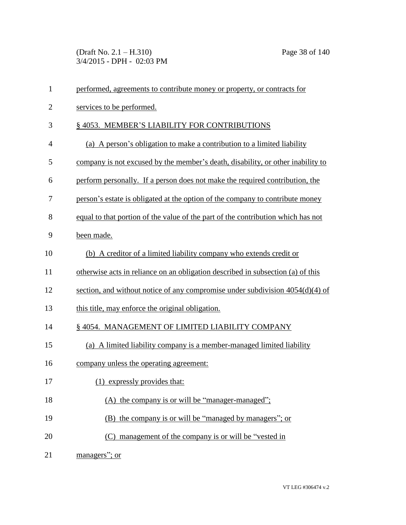(Draft No. 2.1 – H.310) Page 38 of 140 3/4/2015 - DPH - 02:03 PM

| $\mathbf{1}$   | performed, agreements to contribute money or property, or contracts for          |
|----------------|----------------------------------------------------------------------------------|
| $\overline{c}$ | services to be performed.                                                        |
| 3              | § 4053. MEMBER'S LIABILITY FOR CONTRIBUTIONS                                     |
| $\overline{4}$ | (a) A person's obligation to make a contribution to a limited liability          |
| 5              | company is not excused by the member's death, disability, or other inability to  |
| 6              | perform personally. If a person does not make the required contribution, the     |
| 7              | person's estate is obligated at the option of the company to contribute money    |
| 8              | equal to that portion of the value of the part of the contribution which has not |
| 9              | been made.                                                                       |
| 10             | (b) A creditor of a limited liability company who extends credit or              |
| 11             | otherwise acts in reliance on an obligation described in subsection (a) of this  |
| 12             | section, and without notice of any compromise under subdivision $4054(d)(4)$ of  |
| 13             | this title, may enforce the original obligation.                                 |
| 14             | §4054. MANAGEMENT OF LIMITED LIABILITY COMPANY                                   |
| 15             | (a) A limited liability company is a member-managed limited liability            |
| 16             | company unless the operating agreement:                                          |
| 17             | (1) expressly provides that:                                                     |
| 18             | (A) the company is or will be "manager-managed";                                 |
| 19             | (B) the company is or will be "managed by managers"; or                          |
| 20             | (C) management of the company is or will be "vested in                           |
| 21             | managers"; or                                                                    |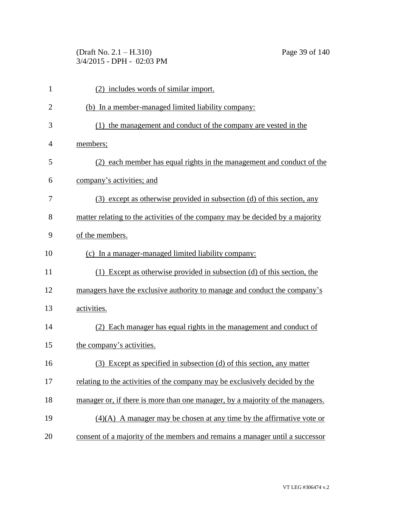(Draft No. 2.1 – H.310) Page 39 of 140 3/4/2015 - DPH - 02:03 PM

| 1              | (2) includes words of similar import.                                         |
|----------------|-------------------------------------------------------------------------------|
| $\overline{2}$ | (b) In a member-managed limited liability company:                            |
| 3              | (1) the management and conduct of the company are vested in the               |
| 4              | members;                                                                      |
| 5              | (2) each member has equal rights in the management and conduct of the         |
| 6              | company's activities; and                                                     |
| 7              | (3) except as otherwise provided in subsection (d) of this section, any       |
| 8              | matter relating to the activities of the company may be decided by a majority |
| 9              | of the members.                                                               |
| 10             | (c) In a manager-managed limited liability company:                           |
| 11             | (1) Except as otherwise provided in subsection (d) of this section, the       |
| 12             | managers have the exclusive authority to manage and conduct the company's     |
| 13             | activities.                                                                   |
| 14             | (2) Each manager has equal rights in the management and conduct of            |
| 15             | the company's activities.                                                     |
| 16             | (3) Except as specified in subsection (d) of this section, any matter         |
| 17             | relating to the activities of the company may be exclusively decided by the   |
| 18             | manager or, if there is more than one manager, by a majority of the managers. |
| 19             | $(4)(A)$ A manager may be chosen at any time by the affirmative vote or       |
| 20             | consent of a majority of the members and remains a manager until a successor  |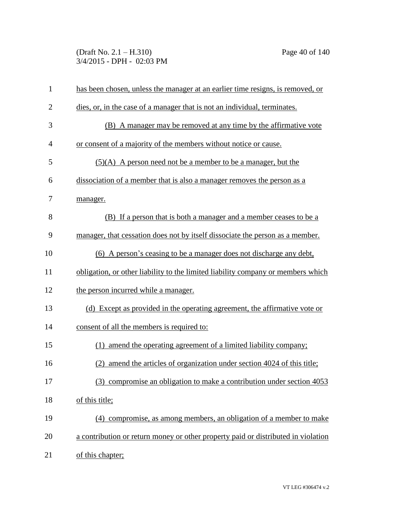(Draft No. 2.1 – H.310) Page 40 of 140 3/4/2015 - DPH - 02:03 PM

| $\mathbf{1}$   | has been chosen, unless the manager at an earlier time resigns, is removed, or    |
|----------------|-----------------------------------------------------------------------------------|
| $\overline{2}$ | dies, or, in the case of a manager that is not an individual, terminates.         |
| 3              | (B) A manager may be removed at any time by the affirmative vote                  |
| $\overline{4}$ | or consent of a majority of the members without notice or cause.                  |
| 5              | $(5)(A)$ A person need not be a member to be a manager, but the                   |
| 6              | dissociation of a member that is also a manager removes the person as a           |
| 7              | manager.                                                                          |
| 8              | (B) If a person that is both a manager and a member ceases to be a                |
| 9              | manager, that cessation does not by itself dissociate the person as a member.     |
| 10             | (6) A person's ceasing to be a manager does not discharge any debt,               |
| 11             | obligation, or other liability to the limited liability company or members which  |
| 12             | the person incurred while a manager.                                              |
| 13             | (d) Except as provided in the operating agreement, the affirmative vote or        |
| 14             | consent of all the members is required to:                                        |
| 15             | (1) amend the operating agreement of a limited liability company;                 |
| 16             | amend the articles of organization under section 4024 of this title;<br>(2)       |
| 17             | (3) compromise an obligation to make a contribution under section 4053            |
| 18             | of this title;                                                                    |
| 19             | (4) compromise, as among members, an obligation of a member to make               |
| 20             | a contribution or return money or other property paid or distributed in violation |
| 21             | of this chapter;                                                                  |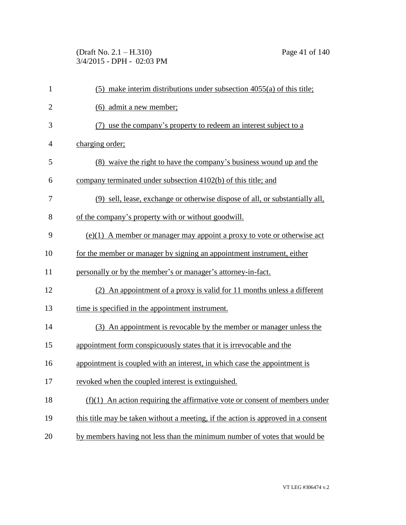(Draft No. 2.1 – H.310) Page 41 of 140 3/4/2015 - DPH - 02:03 PM

| $\mathbf{1}$   | $(5)$ make interim distributions under subsection 4055(a) of this title;          |
|----------------|-----------------------------------------------------------------------------------|
| $\overline{2}$ | (6) admit a new member;                                                           |
| 3              | (7) use the company's property to redeem an interest subject to a                 |
| $\overline{4}$ | charging order;                                                                   |
| 5              | (8) waive the right to have the company's business wound up and the               |
| 6              | company terminated under subsection 4102(b) of this title; and                    |
| 7              | (9) sell, lease, exchange or otherwise dispose of all, or substantially all,      |
| 8              | of the company's property with or without goodwill.                               |
| 9              | $(e)(1)$ A member or manager may appoint a proxy to vote or otherwise act         |
| 10             | for the member or manager by signing an appointment instrument, either            |
| 11             | personally or by the member's or manager's attorney-in-fact.                      |
| 12             | (2) An appointment of a proxy is valid for 11 months unless a different           |
| 13             | time is specified in the appointment instrument.                                  |
| 14             | (3) An appointment is revocable by the member or manager unless the               |
| 15             | appointment form conspicuously states that it is irrevocable and the              |
| 16             | appointment is coupled with an interest, in which case the appointment is         |
| 17             | revoked when the coupled interest is extinguished.                                |
| 18             | $(f)(1)$ An action requiring the affirmative vote or consent of members under     |
| 19             | this title may be taken without a meeting, if the action is approved in a consent |
| 20             | by members having not less than the minimum number of votes that would be         |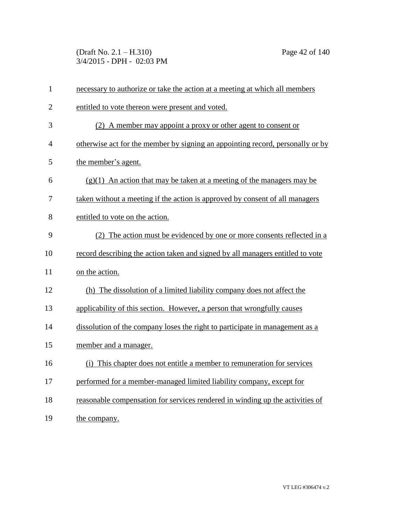(Draft No. 2.1 – H.310) Page 42 of 140 3/4/2015 - DPH - 02:03 PM

| $\mathbf{1}$   | necessary to authorize or take the action at a meeting at which all members    |
|----------------|--------------------------------------------------------------------------------|
| $\overline{2}$ | entitled to vote thereon were present and voted.                               |
| 3              | (2) A member may appoint a proxy or other agent to consent or                  |
| 4              | otherwise act for the member by signing an appointing record, personally or by |
| 5              | the member's agent.                                                            |
| 6              | $(g)(1)$ An action that may be taken at a meeting of the managers may be       |
| 7              | taken without a meeting if the action is approved by consent of all managers   |
| 8              | entitled to vote on the action.                                                |
| 9              | (2) The action must be evidenced by one or more consents reflected in a        |
| 10             | record describing the action taken and signed by all managers entitled to vote |
| 11             | on the action.                                                                 |
| 12             | (h) The dissolution of a limited liability company does not affect the         |
| 13             | applicability of this section. However, a person that wrongfully causes        |
| 14             | dissolution of the company loses the right to participate in management as a   |
| 15             | member and a manager.                                                          |
| 16             | (i) This chapter does not entitle a member to remuneration for services        |
| 17             | performed for a member-managed limited liability company, except for           |
| 18             | reasonable compensation for services rendered in winding up the activities of  |
| 19             | the company.                                                                   |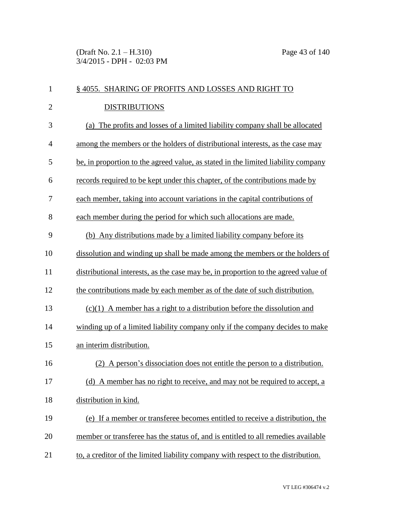(Draft No. 2.1 – H.310) Page 43 of 140 3/4/2015 - DPH - 02:03 PM

| $\mathbf{1}$   | § 4055. SHARING OF PROFITS AND LOSSES AND RIGHT TO                                 |
|----------------|------------------------------------------------------------------------------------|
| $\overline{2}$ | <b>DISTRIBUTIONS</b>                                                               |
| 3              | The profits and losses of a limited liability company shall be allocated<br>(a)    |
| $\overline{4}$ | among the members or the holders of distributional interests, as the case may      |
| 5              | be, in proportion to the agreed value, as stated in the limited liability company  |
| 6              | records required to be kept under this chapter, of the contributions made by       |
| 7              | each member, taking into account variations in the capital contributions of        |
| 8              | each member during the period for which such allocations are made.                 |
| 9              | (b) Any distributions made by a limited liability company before its               |
| 10             | dissolution and winding up shall be made among the members or the holders of       |
| 11             | distributional interests, as the case may be, in proportion to the agreed value of |
| 12             | the contributions made by each member as of the date of such distribution.         |
| 13             | $(c)(1)$ A member has a right to a distribution before the dissolution and         |
| 14             | winding up of a limited liability company only if the company decides to make      |
| 15             | an interim distribution.                                                           |
| 16             | A person's dissociation does not entitle the person to a distribution.             |
| 17             | (d) A member has no right to receive, and may not be required to accept, a         |
| 18             | distribution in kind.                                                              |
| 19             | (e) If a member or transferee becomes entitled to receive a distribution, the      |
| 20             | member or transferee has the status of, and is entitled to all remedies available  |
| 21             | to, a creditor of the limited liability company with respect to the distribution.  |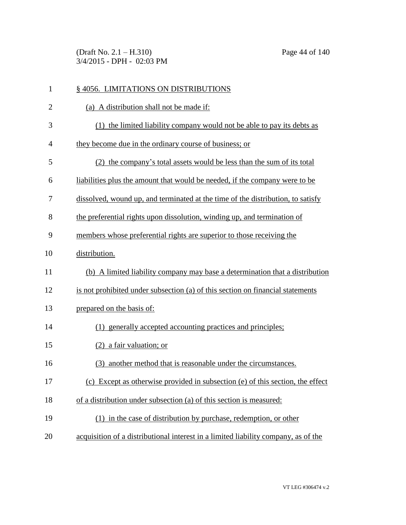(Draft No. 2.1 – H.310) Page 44 of 140 3/4/2015 - DPH - 02:03 PM

| $\mathbf{1}$   | §4056. LIMITATIONS ON DISTRIBUTIONS                                                |
|----------------|------------------------------------------------------------------------------------|
| $\overline{2}$ | (a) A distribution shall not be made if:                                           |
| 3              | (1) the limited liability company would not be able to pay its debts as            |
| $\overline{4}$ | they become due in the ordinary course of business; or                             |
| 5              | (2) the company's total assets would be less than the sum of its total             |
| 6              | liabilities plus the amount that would be needed, if the company were to be        |
| 7              | dissolved, wound up, and terminated at the time of the distribution, to satisfy    |
| 8              | the preferential rights upon dissolution, winding up, and termination of           |
| 9              | members whose preferential rights are superior to those receiving the              |
| 10             | distribution.                                                                      |
| 11             | (b) A limited liability company may base a determination that a distribution       |
| 12             | is not prohibited under subsection (a) of this section on financial statements     |
| 13             | prepared on the basis of:                                                          |
| 14             | (1) generally accepted accounting practices and principles;                        |
| 15             | $(2)$ a fair valuation; or                                                         |
| 16             | another method that is reasonable under the circumstances.<br>(3)                  |
| 17             | (c) Except as otherwise provided in subsection (e) of this section, the effect     |
| 18             | of a distribution under subsection (a) of this section is measured:                |
| 19             | (1) in the case of distribution by purchase, redemption, or other                  |
| 20             | acquisition of a distributional interest in a limited liability company, as of the |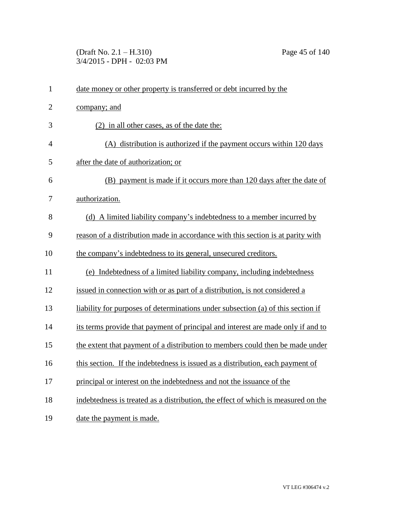(Draft No. 2.1 – H.310) Page 45 of 140 3/4/2015 - DPH - 02:03 PM

| $\mathbf{1}$   | date money or other property is transferred or debt incurred by the               |
|----------------|-----------------------------------------------------------------------------------|
| $\overline{2}$ | company; and                                                                      |
| 3              | (2) in all other cases, as of the date the:                                       |
| $\overline{4}$ | (A) distribution is authorized if the payment occurs within 120 days              |
| 5              | after the date of authorization; or                                               |
| 6              | (B) payment is made if it occurs more than 120 days after the date of             |
| 7              | authorization.                                                                    |
| 8              | (d) A limited liability company's indebtedness to a member incurred by            |
| 9              | reason of a distribution made in accordance with this section is at parity with   |
| 10             | the company's indebtedness to its general, unsecured creditors.                   |
| 11             | (e) Indebtedness of a limited liability company, including indebtedness           |
| 12             | issued in connection with or as part of a distribution, is not considered a       |
| 13             | liability for purposes of determinations under subsection (a) of this section if  |
| 14             | its terms provide that payment of principal and interest are made only if and to  |
| 15             | the extent that payment of a distribution to members could then be made under     |
| 16             | this section. If the indebtedness is issued as a distribution, each payment of    |
| 17             | principal or interest on the indebtedness and not the issuance of the             |
| 18             | indebtedness is treated as a distribution, the effect of which is measured on the |
| 19             | date the payment is made.                                                         |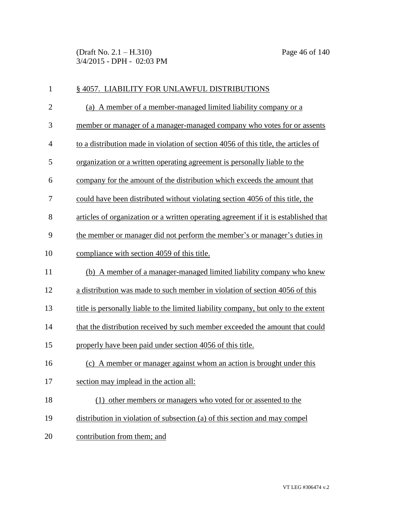(Draft No. 2.1 – H.310) Page 46 of 140 3/4/2015 - DPH - 02:03 PM

| $\mathbf{1}$   | § 4057. LIABILITY FOR UNLAWFUL DISTRIBUTIONS                                        |
|----------------|-------------------------------------------------------------------------------------|
| $\overline{2}$ | (a) A member of a member-managed limited liability company or a                     |
| 3              | member or manager of a manager-managed company who votes for or assents             |
| $\overline{4}$ | to a distribution made in violation of section 4056 of this title, the articles of  |
| 5              | organization or a written operating agreement is personally liable to the           |
| 6              | company for the amount of the distribution which exceeds the amount that            |
| 7              | could have been distributed without violating section 4056 of this title, the       |
| 8              | articles of organization or a written operating agreement if it is established that |
| 9              | the member or manager did not perform the member's or manager's duties in           |
| 10             | compliance with section 4059 of this title.                                         |
| 11             | (b) A member of a manager-managed limited liability company who knew                |
| 12             | a distribution was made to such member in violation of section 4056 of this         |
| 13             | title is personally liable to the limited liability company, but only to the extent |
| 14             | that the distribution received by such member exceeded the amount that could        |
| 15             | properly have been paid under section 4056 of this title.                           |
| 16             | (c) A member or manager against whom an action is brought under this                |
| 17             | section may implead in the action all:                                              |
| 18             | (1) other members or managers who voted for or assented to the                      |
| 19             | distribution in violation of subsection (a) of this section and may compel          |
| 20             | contribution from them; and                                                         |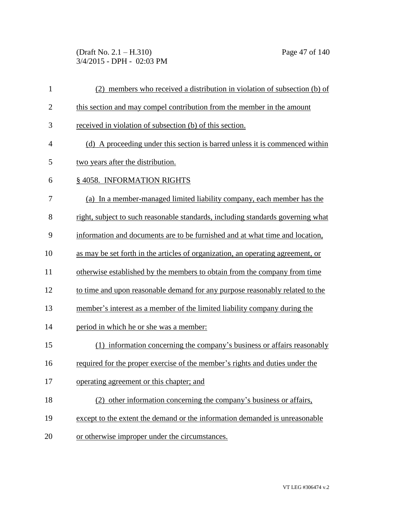(Draft No. 2.1 – H.310) Page 47 of 140 3/4/2015 - DPH - 02:03 PM

| $\mathbf{1}$   | (2) members who received a distribution in violation of subsection (b) of       |
|----------------|---------------------------------------------------------------------------------|
| $\overline{2}$ | this section and may compel contribution from the member in the amount          |
| 3              | received in violation of subsection (b) of this section.                        |
| $\overline{4}$ | (d) A proceeding under this section is barred unless it is commenced within     |
| 5              | two years after the distribution.                                               |
| 6              | § 4058. INFORMATION RIGHTS                                                      |
| 7              | (a) In a member-managed limited liability company, each member has the          |
| 8              | right, subject to such reasonable standards, including standards governing what |
| 9              | information and documents are to be furnished and at what time and location,    |
| 10             | as may be set forth in the articles of organization, an operating agreement, or |
| 11             | otherwise established by the members to obtain from the company from time       |
| 12             | to time and upon reasonable demand for any purpose reasonably related to the    |
| 13             | member's interest as a member of the limited liability company during the       |
| 14             | period in which he or she was a member:                                         |
| 15             | (1) information concerning the company's business or affairs reasonably         |
| 16             | required for the proper exercise of the member's rights and duties under the    |
| 17             | operating agreement or this chapter; and                                        |
| 18             | (2) other information concerning the company's business or affairs,             |
| 19             | except to the extent the demand or the information demanded is unreasonable     |
| 20             | or otherwise improper under the circumstances.                                  |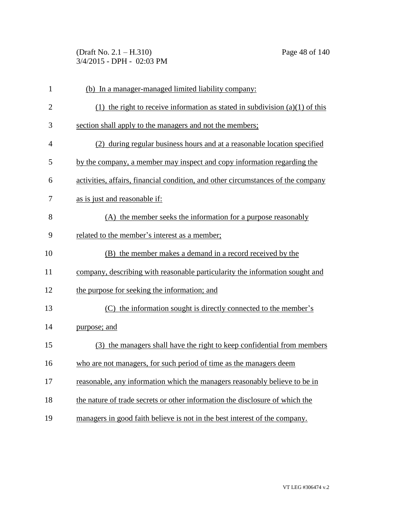(Draft No. 2.1 – H.310) Page 48 of 140 3/4/2015 - DPH - 02:03 PM

| $\mathbf{1}$   | (b) In a manager-managed limited liability company:                              |
|----------------|----------------------------------------------------------------------------------|
| $\overline{2}$ | (1) the right to receive information as stated in subdivision (a)(1) of this     |
| 3              | section shall apply to the managers and not the members;                         |
| 4              | (2) during regular business hours and at a reasonable location specified         |
| 5              | by the company, a member may inspect and copy information regarding the          |
| 6              | activities, affairs, financial condition, and other circumstances of the company |
| 7              | as is just and reasonable if:                                                    |
| 8              | (A) the member seeks the information for a purpose reasonably                    |
| 9              | related to the member's interest as a member;                                    |
| 10             | (B) the member makes a demand in a record received by the                        |
| 11             | company, describing with reasonable particularity the information sought and     |
| 12             | the purpose for seeking the information; and                                     |
| 13             | (C) the information sought is directly connected to the member's                 |
| 14             | purpose; and                                                                     |
| 15             | (3) the managers shall have the right to keep confidential from members          |
| 16             | who are not managers, for such period of time as the managers deem               |
| 17             | reasonable, any information which the managers reasonably believe to be in       |
| 18             | the nature of trade secrets or other information the disclosure of which the     |
| 19             | managers in good faith believe is not in the best interest of the company.       |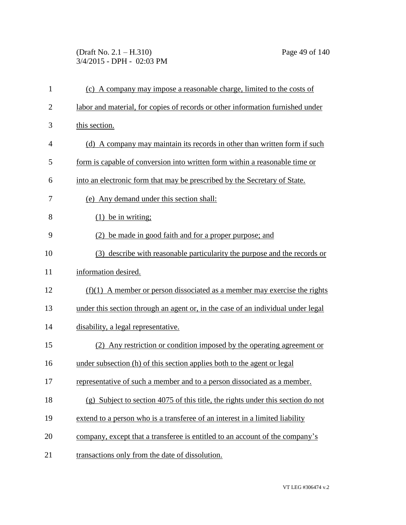## (Draft No. 2.1 – H.310) Page 49 of 140 3/4/2015 - DPH - 02:03 PM

| $\mathbf{1}$   | (c) A company may impose a reasonable charge, limited to the costs of             |
|----------------|-----------------------------------------------------------------------------------|
| $\overline{c}$ | labor and material, for copies of records or other information furnished under    |
| 3              | this section.                                                                     |
| 4              | (d) A company may maintain its records in other than written form if such         |
| 5              | form is capable of conversion into written form within a reasonable time or       |
| 6              | into an electronic form that may be prescribed by the Secretary of State.         |
| 7              | (e) Any demand under this section shall:                                          |
| 8              | $(1)$ be in writing;                                                              |
| 9              | (2) be made in good faith and for a proper purpose; and                           |
| 10             | (3) describe with reasonable particularity the purpose and the records or         |
| 11             | information desired.                                                              |
| 12             | $(f)(1)$ A member or person dissociated as a member may exercise the rights       |
| 13             | under this section through an agent or, in the case of an individual under legal  |
| 14             | disability, a legal representative.                                               |
| 15             | (2) Any restriction or condition imposed by the operating agreement or            |
| 16             | under subsection (h) of this section applies both to the agent or legal           |
| 17             | representative of such a member and to a person dissociated as a member.          |
| 18             | $(g)$ Subject to section 4075 of this title, the rights under this section do not |
| 19             | extend to a person who is a transferee of an interest in a limited liability      |
| 20             | company, except that a transferee is entitled to an account of the company's      |
| 21             | transactions only from the date of dissolution.                                   |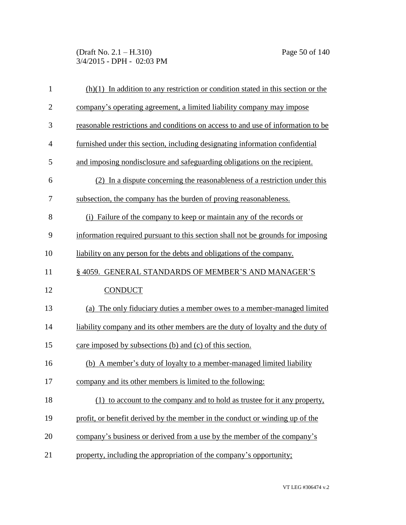(Draft No. 2.1 – H.310) Page 50 of 140 3/4/2015 - DPH - 02:03 PM

| $\mathbf{1}$   | $(h)(1)$ In addition to any restriction or condition stated in this section or the |
|----------------|------------------------------------------------------------------------------------|
| $\overline{2}$ | company's operating agreement, a limited liability company may impose              |
| 3              | reasonable restrictions and conditions on access to and use of information to be   |
| $\overline{4}$ | furnished under this section, including designating information confidential       |
| 5              | and imposing nondisclosure and safeguarding obligations on the recipient.          |
| 6              | (2) In a dispute concerning the reasonableness of a restriction under this         |
| 7              | subsection, the company has the burden of proving reasonableness.                  |
| 8              | (i) Failure of the company to keep or maintain any of the records or               |
| 9              | information required pursuant to this section shall not be grounds for imposing    |
| 10             | liability on any person for the debts and obligations of the company.              |
| 11             | § 4059. GENERAL STANDARDS OF MEMBER'S AND MANAGER'S                                |
| 12             | <b>CONDUCT</b>                                                                     |
| 13             | (a) The only fiduciary duties a member owes to a member-managed limited            |
| 14             | liability company and its other members are the duty of loyalty and the duty of    |
| 15             | care imposed by subsections (b) and (c) of this section.                           |
| 16             | (b) A member's duty of loyalty to a member-managed limited liability               |
| 17             | company and its other members is limited to the following:                         |
| 18             | (1) to account to the company and to hold as trustee for it any property,          |
| 19             | profit, or benefit derived by the member in the conduct or winding up of the       |
| 20             | company's business or derived from a use by the member of the company's            |
| 21             | property, including the appropriation of the company's opportunity;                |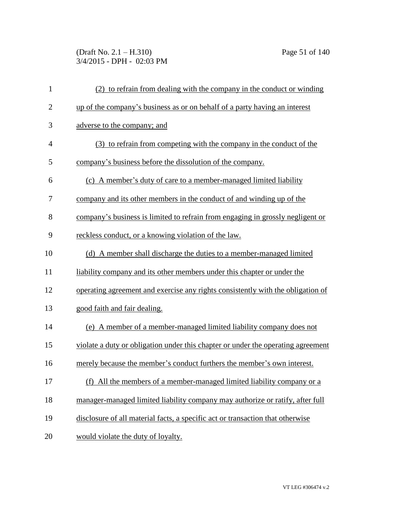(Draft No. 2.1 – H.310) Page 51 of 140 3/4/2015 - DPH - 02:03 PM

| $\mathbf{1}$   | (2) to refrain from dealing with the company in the conduct or winding           |
|----------------|----------------------------------------------------------------------------------|
| $\overline{2}$ | up of the company's business as or on behalf of a party having an interest       |
| 3              | adverse to the company; and                                                      |
| $\overline{4}$ | (3) to refrain from competing with the company in the conduct of the             |
| 5              | company's business before the dissolution of the company.                        |
| 6              | (c) A member's duty of care to a member-managed limited liability                |
| 7              | company and its other members in the conduct of and winding up of the            |
| 8              | company's business is limited to refrain from engaging in grossly negligent or   |
| 9              | reckless conduct, or a knowing violation of the law.                             |
| 10             | (d) A member shall discharge the duties to a member-managed limited              |
| 11             | liability company and its other members under this chapter or under the          |
| 12             | operating agreement and exercise any rights consistently with the obligation of  |
| 13             | good faith and fair dealing.                                                     |
| 14             | (e) A member of a member-managed limited liability company does not              |
| 15             | violate a duty or obligation under this chapter or under the operating agreement |
| 16             | merely because the member's conduct furthers the member's own interest.          |
| 17             | All the members of a member-managed limited liability company or a<br>(f)        |
| 18             | manager-managed limited liability company may authorize or ratify, after full    |
| 19             | disclosure of all material facts, a specific act or transaction that otherwise   |
| 20             | would violate the duty of loyalty.                                               |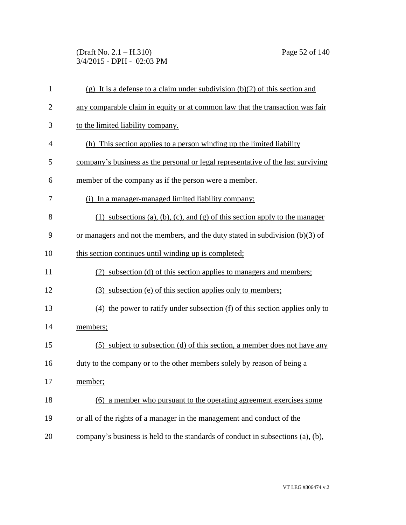(Draft No. 2.1 – H.310) Page 52 of 140 3/4/2015 - DPH - 02:03 PM

| $\mathbf{1}$   | (g) It is a defense to a claim under subdivision $(b)(2)$ of this section and    |
|----------------|----------------------------------------------------------------------------------|
| $\mathbf{2}$   | any comparable claim in equity or at common law that the transaction was fair    |
| 3              | to the limited liability company.                                                |
| $\overline{4}$ | (h) This section applies to a person winding up the limited liability            |
| 5              | company's business as the personal or legal representative of the last surviving |
| 6              | member of the company as if the person were a member.                            |
| 7              | (i) In a manager-managed limited liability company:                              |
| 8              | $(1)$ subsections (a), (b), (c), and (g) of this section apply to the manager    |
| 9              | or managers and not the members, and the duty stated in subdivision (b)(3) of    |
| 10             | this section continues until winding up is completed;                            |
| 11             | (2) subsection (d) of this section applies to managers and members;              |
| 12             | (3) subsection (e) of this section applies only to members;                      |
| 13             | $(4)$ the power to ratify under subsection $(f)$ of this section applies only to |
| 14             | members;                                                                         |
| 15             | (5) subject to subsection (d) of this section, a member does not have any        |
| 16             | duty to the company or to the other members solely by reason of being a          |
| 17             | member;                                                                          |
| 18             | (6) a member who pursuant to the operating agreement exercises some              |
| 19             | or all of the rights of a manager in the management and conduct of the           |
| 20             | company's business is held to the standards of conduct in subsections (a), (b),  |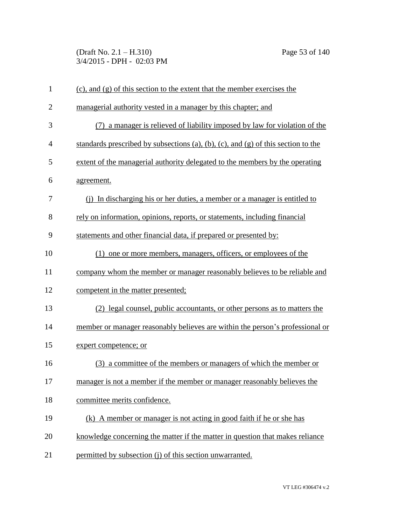(Draft No. 2.1 – H.310) Page 53 of 140 3/4/2015 - DPH - 02:03 PM

| $\mathbf{1}$   | $(c)$ , and $(g)$ of this section to the extent that the member exercises the     |
|----------------|-----------------------------------------------------------------------------------|
| $\overline{2}$ | managerial authority vested in a manager by this chapter; and                     |
| 3              | a manager is relieved of liability imposed by law for violation of the            |
| 4              | standards prescribed by subsections (a), (b), (c), and (g) of this section to the |
| 5              | extent of the managerial authority delegated to the members by the operating      |
| 6              | agreement.                                                                        |
| 7              | (i) In discharging his or her duties, a member or a manager is entitled to        |
| 8              | rely on information, opinions, reports, or statements, including financial        |
| 9              | statements and other financial data, if prepared or presented by:                 |
| 10             | (1) one or more members, managers, officers, or employees of the                  |
| 11             | company whom the member or manager reasonably believes to be reliable and         |
| 12             | competent in the matter presented;                                                |
| 13             | (2) legal counsel, public accountants, or other persons as to matters the         |
| 14             | member or manager reasonably believes are within the person's professional or     |
| 15             | expert competence; or                                                             |
| 16             | (3) a committee of the members or managers of which the member or                 |
| 17             | manager is not a member if the member or manager reasonably believes the          |
| 18             | committee merits confidence.                                                      |
| 19             | (k) A member or manager is not acting in good faith if he or she has              |
| 20             | knowledge concerning the matter if the matter in question that makes reliance     |
| 21             | permitted by subsection (j) of this section unwarranted.                          |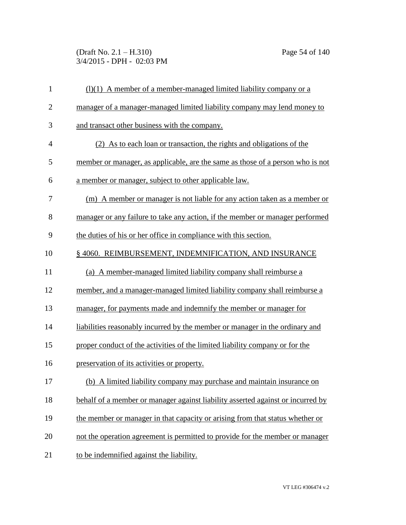(Draft No. 2.1 – H.310) Page 54 of 140 3/4/2015 - DPH - 02:03 PM

| $\mathbf{1}$   | $(1)(1)$ A member of a member-managed limited liability company or a            |
|----------------|---------------------------------------------------------------------------------|
| $\overline{2}$ | manager of a manager-managed limited liability company may lend money to        |
| 3              | and transact other business with the company.                                   |
| $\overline{4}$ | (2) As to each loan or transaction, the rights and obligations of the           |
| 5              | member or manager, as applicable, are the same as those of a person who is not  |
| 6              | a member or manager, subject to other applicable law.                           |
| 7              | (m) A member or manager is not liable for any action taken as a member or       |
| 8              | manager or any failure to take any action, if the member or manager performed   |
| 9              | the duties of his or her office in compliance with this section.                |
| 10             | § 4060. REIMBURSEMENT, INDEMNIFICATION, AND INSURANCE                           |
| 11             | (a) A member-managed limited liability company shall reimburse a                |
| 12             | member, and a manager-managed limited liability company shall reimburse a       |
| 13             | manager, for payments made and indemnify the member or manager for              |
| 14             | liabilities reasonably incurred by the member or manager in the ordinary and    |
| 15             | proper conduct of the activities of the limited liability company or for the    |
| 16             | preservation of its activities or property.                                     |
| 17             | (b) A limited liability company may purchase and maintain insurance on          |
| 18             | behalf of a member or manager against liability asserted against or incurred by |
| 19             | the member or manager in that capacity or arising from that status whether or   |
| 20             | not the operation agreement is permitted to provide for the member or manager   |
| 21             | to be indemnified against the liability.                                        |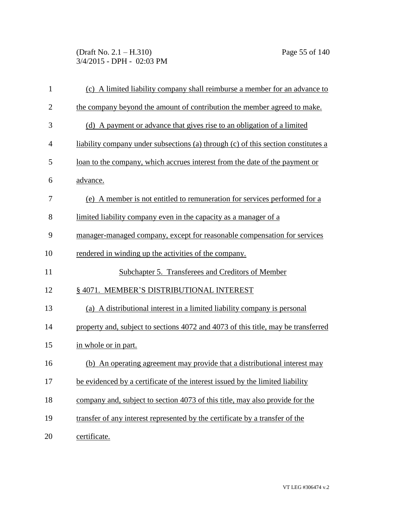(Draft No. 2.1 – H.310) Page 55 of 140 3/4/2015 - DPH - 02:03 PM

| $\mathbf{1}$   | (c) A limited liability company shall reimburse a member for an advance to        |
|----------------|-----------------------------------------------------------------------------------|
| $\overline{2}$ | the company beyond the amount of contribution the member agreed to make.          |
| 3              | (d) A payment or advance that gives rise to an obligation of a limited            |
| $\overline{4}$ | liability company under subsections (a) through (c) of this section constitutes a |
| 5              | loan to the company, which accrues interest from the date of the payment or       |
| 6              | advance.                                                                          |
| 7              | (e) A member is not entitled to remuneration for services performed for a         |
| 8              | limited liability company even in the capacity as a manager of a                  |
| 9              | manager-managed company, except for reasonable compensation for services          |
| 10             | rendered in winding up the activities of the company.                             |
| 11             | Subchapter 5. Transferees and Creditors of Member                                 |
| 12             | § 4071. MEMBER'S DISTRIBUTIONAL INTEREST                                          |
| 13             | (a) A distributional interest in a limited liability company is personal          |
| 14             | property and, subject to sections 4072 and 4073 of this title, may be transferred |
| 15             | in whole or in part.                                                              |
| 16             | (b) An operating agreement may provide that a distributional interest may         |
| 17             | be evidenced by a certificate of the interest issued by the limited liability     |
| 18             | company and, subject to section 4073 of this title, may also provide for the      |
| 19             | transfer of any interest represented by the certificate by a transfer of the      |
| 20             | certificate.                                                                      |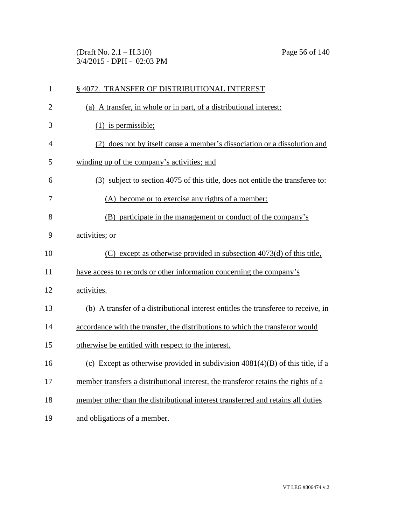(Draft No. 2.1 – H.310) Page 56 of 140 3/4/2015 - DPH - 02:03 PM

| 1              | §4072. TRANSFER OF DISTRIBUTIONAL INTEREST                                         |
|----------------|------------------------------------------------------------------------------------|
| $\overline{2}$ | (a) A transfer, in whole or in part, of a distributional interest:                 |
| 3              | $(1)$ is permissible;                                                              |
| 4              | (2) does not by itself cause a member's dissociation or a dissolution and          |
| 5              | winding up of the company's activities; and                                        |
| 6              | (3) subject to section 4075 of this title, does not entitle the transferee to:     |
| 7              | (A) become or to exercise any rights of a member:                                  |
| 8              | (B) participate in the management or conduct of the company's                      |
| 9              | activities; or                                                                     |
| 10             | $(C)$ except as otherwise provided in subsection 4073(d) of this title,            |
| 11             | have access to records or other information concerning the company's               |
| 12             | activities.                                                                        |
| 13             | (b) A transfer of a distributional interest entitles the transferee to receive, in |
| 14             | accordance with the transfer, the distributions to which the transferor would      |
| 15             | otherwise be entitled with respect to the interest.                                |
| 16             | (c) Except as otherwise provided in subdivision $4081(4)(B)$ of this title, if a   |
| 17             | member transfers a distributional interest, the transferor retains the rights of a |
| 18             | member other than the distributional interest transferred and retains all duties   |
| 19             | and obligations of a member.                                                       |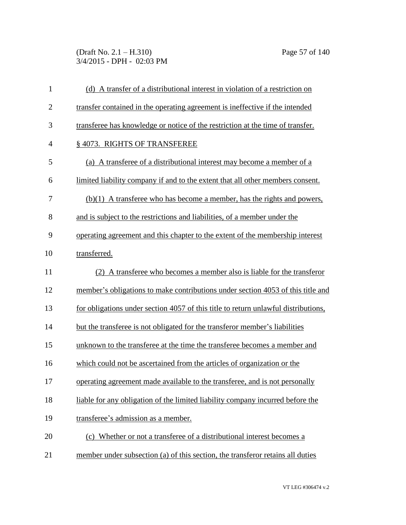(Draft No. 2.1 – H.310) Page 57 of 140 3/4/2015 - DPH - 02:03 PM

| $\mathbf{1}$   | (d) A transfer of a distributional interest in violation of a restriction on       |
|----------------|------------------------------------------------------------------------------------|
| $\overline{2}$ | transfer contained in the operating agreement is ineffective if the intended       |
| 3              | transferee has knowledge or notice of the restriction at the time of transfer.     |
| $\overline{4}$ | §4073. RIGHTS OF TRANSFEREE                                                        |
| 5              | (a) A transferee of a distributional interest may become a member of a             |
| 6              | limited liability company if and to the extent that all other members consent.     |
| 7              | $(b)(1)$ A transferee who has become a member, has the rights and powers,          |
| 8              | and is subject to the restrictions and liabilities, of a member under the          |
| 9              | operating agreement and this chapter to the extent of the membership interest      |
| 10             | transferred.                                                                       |
| 11             | (2) A transferee who becomes a member also is liable for the transferor            |
| 12             | member's obligations to make contributions under section 4053 of this title and    |
| 13             | for obligations under section 4057 of this title to return unlawful distributions, |
| 14             | but the transferee is not obligated for the transferor member's liabilities        |
| 15             | unknown to the transferee at the time the transferee becomes a member and          |
| 16             | which could not be ascertained from the articles of organization or the            |
| 17             | operating agreement made available to the transferee, and is not personally        |
| 18             | liable for any obligation of the limited liability company incurred before the     |
| 19             | transferee's admission as a member.                                                |
| 20             | (c) Whether or not a transferee of a distributional interest becomes a             |
| 21             | member under subsection (a) of this section, the transferor retains all duties     |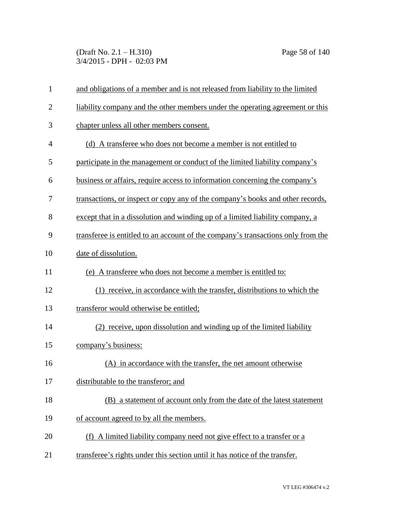(Draft No. 2.1 – H.310) Page 58 of 140 3/4/2015 - DPH - 02:03 PM

| $\mathbf{1}$   | and obligations of a member and is not released from liability to the limited    |
|----------------|----------------------------------------------------------------------------------|
| $\overline{2}$ | liability company and the other members under the operating agreement or this    |
| 3              | chapter unless all other members consent.                                        |
| $\overline{4}$ | (d) A transferee who does not become a member is not entitled to                 |
| 5              | participate in the management or conduct of the limited liability company's      |
| 6              | business or affairs, require access to information concerning the company's      |
| 7              | transactions, or inspect or copy any of the company's books and other records,   |
| 8              | except that in a dissolution and winding up of a limited liability company, a    |
| 9              | transferee is entitled to an account of the company's transactions only from the |
| 10             | date of dissolution.                                                             |
| 11             | (e) A transferee who does not become a member is entitled to:                    |
| 12             | (1) receive, in accordance with the transfer, distributions to which the         |
| 13             | transferor would otherwise be entitled;                                          |
| 14             | (2) receive, upon dissolution and winding up of the limited liability            |
| 15             | company's business:                                                              |
| 16             | (A) in accordance with the transfer, the net amount otherwise                    |
| 17             | distributable to the transferor; and                                             |
| 18             | (B) a statement of account only from the date of the latest statement            |
| 19             | of account agreed to by all the members.                                         |
| 20             | (f) A limited liability company need not give effect to a transfer or a          |
| 21             | transferee's rights under this section until it has notice of the transfer.      |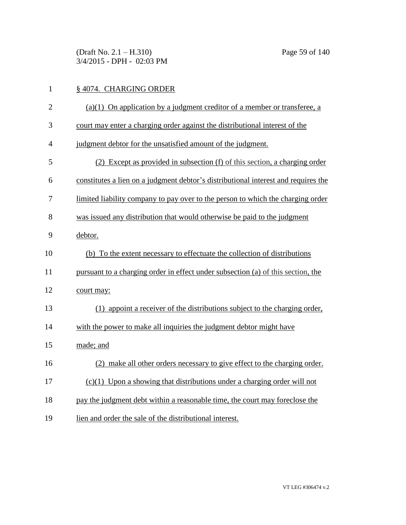(Draft No. 2.1 – H.310) Page 59 of 140 3/4/2015 - DPH - 02:03 PM

## 1 § 4074. CHARGING ORDER

| $\mathfrak{2}$ | $(a)(1)$ On application by a judgment creditor of a member or transferee, a        |
|----------------|------------------------------------------------------------------------------------|
| 3              | court may enter a charging order against the distributional interest of the        |
| $\overline{4}$ | judgment debtor for the unsatisfied amount of the judgment.                        |
| 5              | (2) Except as provided in subsection (f) of this section, a charging order         |
| 6              | constitutes a lien on a judgment debtor's distributional interest and requires the |
| 7              | limited liability company to pay over to the person to which the charging order    |
| 8              | was issued any distribution that would otherwise be paid to the judgment           |
| 9              | debtor.                                                                            |
| 10             | (b) To the extent necessary to effectuate the collection of distributions          |
| 11             | pursuant to a charging order in effect under subsection (a) of this section, the   |
| 12             | court may:                                                                         |
| 13             | (1) appoint a receiver of the distributions subject to the charging order,         |
| 14             | with the power to make all inquiries the judgment debtor might have                |
| 15             | made; and                                                                          |
| 16             | (2) make all other orders necessary to give effect to the charging order.          |
| 17             | $(c)(1)$ Upon a showing that distributions under a charging order will not         |
| 18             | pay the judgment debt within a reasonable time, the court may foreclose the        |
| 19             | lien and order the sale of the distributional interest.                            |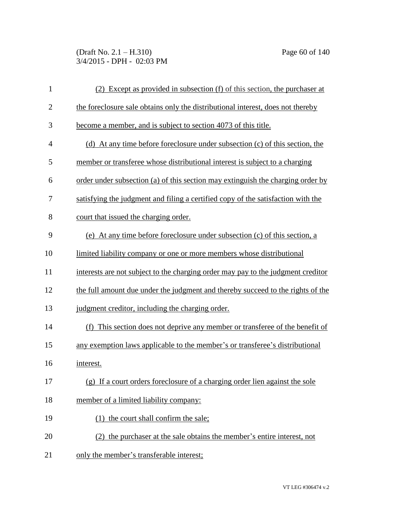(Draft No. 2.1 – H.310) Page 60 of 140 3/4/2015 - DPH - 02:03 PM

| $\mathbf{1}$   | (2) Except as provided in subsection (f) of this section, the purchaser at       |
|----------------|----------------------------------------------------------------------------------|
| $\overline{2}$ | the foreclosure sale obtains only the distributional interest, does not thereby  |
| 3              | become a member, and is subject to section 4073 of this title.                   |
| $\overline{4}$ | (d) At any time before foreclosure under subsection (c) of this section, the     |
| 5              | member or transferee whose distributional interest is subject to a charging      |
| 6              | order under subsection (a) of this section may extinguish the charging order by  |
| 7              | satisfying the judgment and filing a certified copy of the satisfaction with the |
| 8              | court that issued the charging order.                                            |
| 9              | (e) At any time before foreclosure under subsection (c) of this section, a       |
| 10             | limited liability company or one or more members whose distributional            |
| 11             | interests are not subject to the charging order may pay to the judgment creditor |
| 12             | the full amount due under the judgment and thereby succeed to the rights of the  |
| 13             | judgment creditor, including the charging order.                                 |
| 14             | (f) This section does not deprive any member or transferee of the benefit of     |
| 15             | any exemption laws applicable to the member's or transferee's distributional     |
| 16             | interest.                                                                        |
| 17             | (g) If a court orders foreclosure of a charging order lien against the sole      |
| 18             | member of a limited liability company:                                           |
| 19             | (1) the court shall confirm the sale;                                            |
| 20             | (2) the purchaser at the sale obtains the member's entire interest, not          |
| 21             | only the member's transferable interest;                                         |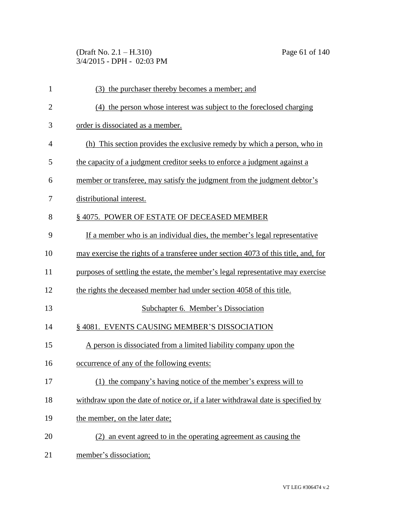(Draft No. 2.1 – H.310) Page 61 of 140 3/4/2015 - DPH - 02:03 PM

| $\mathbf{1}$ | (3) the purchaser thereby becomes a member; and                                    |
|--------------|------------------------------------------------------------------------------------|
| $\mathbf{2}$ | (4) the person whose interest was subject to the foreclosed charging               |
| 3            | order is dissociated as a member.                                                  |
| 4            | (h) This section provides the exclusive remedy by which a person, who in           |
| 5            | the capacity of a judgment creditor seeks to enforce a judgment against a          |
| 6            | member or transferee, may satisfy the judgment from the judgment debtor's          |
| 7            | distributional interest.                                                           |
| 8            | §4075. POWER OF ESTATE OF DECEASED MEMBER                                          |
| 9            | If a member who is an individual dies, the member's legal representative           |
| 10           | may exercise the rights of a transferee under section 4073 of this title, and, for |
| 11           | purposes of settling the estate, the member's legal representative may exercise    |
| 12           | the rights the deceased member had under section 4058 of this title.               |
| 13           | Subchapter 6. Member's Dissociation                                                |
| 14           | §4081. EVENTS CAUSING MEMBER'S DISSOCIATION                                        |
| 15           | A person is dissociated from a limited liability company upon the                  |
| 16           | occurrence of any of the following events:                                         |
| 17           | (1) the company's having notice of the member's express will to                    |
| 18           | withdraw upon the date of notice or, if a later withdrawal date is specified by    |
| 19           | the member, on the later date;                                                     |
| 20           | (2) an event agreed to in the operating agreement as causing the                   |
| 21           | member's dissociation;                                                             |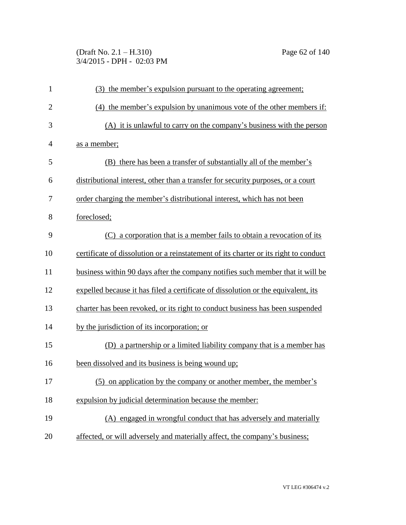(Draft No. 2.1 – H.310) Page 62 of 140 3/4/2015 - DPH - 02:03 PM

| $\mathbf{1}$   | (3) the member's expulsion pursuant to the operating agreement;                      |
|----------------|--------------------------------------------------------------------------------------|
| $\overline{2}$ | (4) the member's expulsion by unanimous vote of the other members if:                |
| 3              | (A) it is unlawful to carry on the company's business with the person                |
| 4              | as a member;                                                                         |
| 5              | (B) there has been a transfer of substantially all of the member's                   |
| 6              | distributional interest, other than a transfer for security purposes, or a court     |
| 7              | order charging the member's distributional interest, which has not been              |
| 8              | foreclosed;                                                                          |
| 9              | (C) a corporation that is a member fails to obtain a revocation of its               |
| 10             | certificate of dissolution or a reinstatement of its charter or its right to conduct |
| 11             | business within 90 days after the company notifies such member that it will be       |
| 12             | expelled because it has filed a certificate of dissolution or the equivalent, its    |
| 13             | charter has been revoked, or its right to conduct business has been suspended        |
| 14             | by the jurisdiction of its incorporation; or                                         |
| 15             | (D) a partnership or a limited liability company that is a member has                |
| 16             | been dissolved and its business is being wound up;                                   |
| 17             | (5) on application by the company or another member, the member's                    |
| 18             | expulsion by judicial determination because the member:                              |
| 19             | (A) engaged in wrongful conduct that has adversely and materially                    |
| 20             | affected, or will adversely and materially affect, the company's business;           |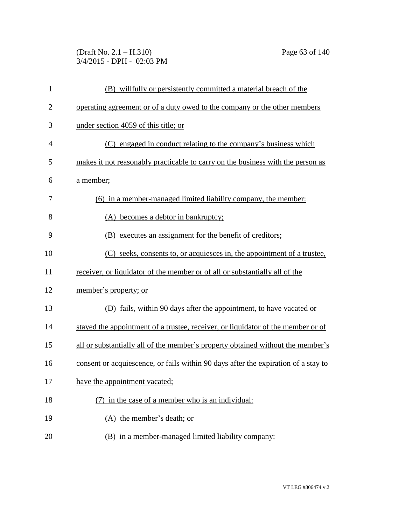(Draft No. 2.1 – H.310) Page 63 of 140 3/4/2015 - DPH - 02:03 PM

| $\mathbf{1}$   | (B) willfully or persistently committed a material breach of the                   |
|----------------|------------------------------------------------------------------------------------|
| $\overline{c}$ | operating agreement or of a duty owed to the company or the other members          |
| 3              | under section 4059 of this title; or                                               |
| 4              | (C) engaged in conduct relating to the company's business which                    |
| 5              | makes it not reasonably practicable to carry on the business with the person as    |
| 6              | a member;                                                                          |
| 7              | (6) in a member-managed limited liability company, the member:                     |
| 8              | (A) becomes a debtor in bankruptcy;                                                |
| 9              | (B) executes an assignment for the benefit of creditors;                           |
| 10             | (C) seeks, consents to, or acquiesces in, the appointment of a trustee,            |
| 11             | receiver, or liquidator of the member or of all or substantially all of the        |
| 12             | member's property; or                                                              |
| 13             | (D) fails, within 90 days after the appointment, to have vacated or                |
| 14             | stayed the appointment of a trustee, receiver, or liquidator of the member or of   |
| 15             | all or substantially all of the member's property obtained without the member's    |
| 16             | consent or acquiescence, or fails within 90 days after the expiration of a stay to |
| 17             | have the appointment vacated;                                                      |
| 18             | (7) in the case of a member who is an individual:                                  |
| 19             | (A) the member's death; or                                                         |
| 20             | (B) in a member-managed limited liability company:                                 |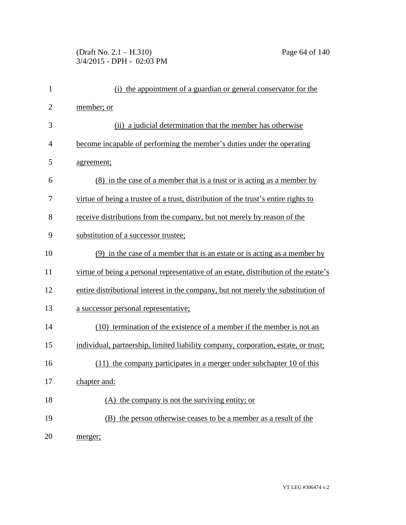## (Draft No. 2.1 – H.310) Page 64 of 140 3/4/2015 - DPH - 02:03 PM

| $\mathbf{1}$   | (i) the appointment of a guardian or general conservator for the                     |
|----------------|--------------------------------------------------------------------------------------|
| $\overline{2}$ | member; or                                                                           |
| 3              | (ii) a judicial determination that the member has otherwise                          |
| $\overline{4}$ | become incapable of performing the member's duties under the operating               |
| 5              | agreement;                                                                           |
| 6              | <u>(8) in the case of a member that is a trust or is acting as a member by</u>       |
| 7              | virtue of being a trustee of a trust, distribution of the trust's entire rights to   |
| 8              | receive distributions from the company, but not merely by reason of the              |
| 9              | substitution of a successor trustee;                                                 |
| 10             | $(9)$ in the case of a member that is an estate or is acting as a member by          |
| 11             | virtue of being a personal representative of an estate, distribution of the estate's |
| 12             | entire distributional interest in the company, but not merely the substitution of    |
| 13             | a successor personal representative;                                                 |
| 14             | (10) termination of the existence of a member if the member is not an                |
| 15             | individual, partnership, limited liability company, corporation, estate, or trust;   |
| 16             | (11) the company participates in a merger under subchapter 10 of this                |
| 17             | chapter and:                                                                         |
| 18             | (A) the company is not the surviving entity; or                                      |
| 19             | (B) the person otherwise ceases to be a member as a result of the                    |
| 20             | merger;                                                                              |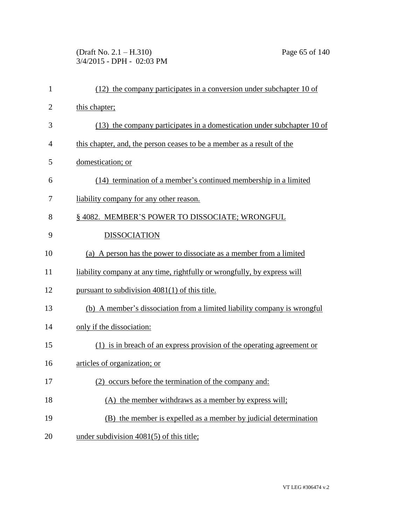(Draft No. 2.1 – H.310) Page 65 of 140 3/4/2015 - DPH - 02:03 PM

| $\mathbf{1}$   | (12) the company participates in a conversion under subchapter 10 of     |
|----------------|--------------------------------------------------------------------------|
| $\overline{2}$ | this chapter;                                                            |
| 3              | (13) the company participates in a domestication under subchapter 10 of  |
| 4              | this chapter, and, the person ceases to be a member as a result of the   |
| 5              | domestication; or                                                        |
| 6              | (14) termination of a member's continued membership in a limited         |
| 7              | liability company for any other reason.                                  |
| 8              | § 4082. MEMBER'S POWER TO DISSOCIATE; WRONGFUL                           |
| 9              | <b>DISSOCIATION</b>                                                      |
| 10             | (a) A person has the power to dissociate as a member from a limited      |
| 11             | liability company at any time, rightfully or wrongfully, by express will |
| 12             | pursuant to subdivision 4081(1) of this title.                           |
| 13             | (b) A member's dissociation from a limited liability company is wrongful |
| 14             | only if the dissociation:                                                |
| 15             | (1) is in breach of an express provision of the operating agreement or   |
| 16             | articles of organization; or                                             |
| 17             | (2) occurs before the termination of the company and:                    |
| 18             | (A) the member withdraws as a member by express will;                    |
| 19             | (B) the member is expelled as a member by judicial determination         |
| 20             | under subdivision $4081(5)$ of this title;                               |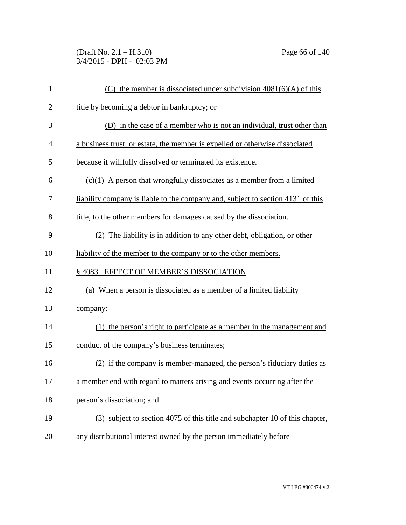(Draft No. 2.1 – H.310) Page 66 of 140 3/4/2015 - DPH - 02:03 PM

| $\mathbf{1}$   | (C) the member is dissociated under subdivision $4081(6)(A)$ of this            |
|----------------|---------------------------------------------------------------------------------|
| $\overline{2}$ | title by becoming a debtor in bankruptcy; or                                    |
| 3              | (D) in the case of a member who is not an individual, trust other than          |
| 4              | a business trust, or estate, the member is expelled or otherwise dissociated    |
| 5              | because it willfully dissolved or terminated its existence.                     |
| 6              | $(c)(1)$ A person that wrongfully dissociates as a member from a limited        |
| 7              | liability company is liable to the company and, subject to section 4131 of this |
| 8              | title, to the other members for damages caused by the dissociation.             |
| 9              | (2) The liability is in addition to any other debt, obligation, or other        |
| 10             | liability of the member to the company or to the other members.                 |
| 11             | § 4083. EFFECT OF MEMBER'S DISSOCIATION                                         |
| 12             | (a) When a person is dissociated as a member of a limited liability             |
| 13             | company:                                                                        |
| 14             | (1) the person's right to participate as a member in the management and         |
| 15             | conduct of the company's business terminates;                                   |
| 16             | (2) if the company is member-managed, the person's fiduciary duties as          |
| 17             | a member end with regard to matters arising and events occurring after the      |
| 18             | person's dissociation; and                                                      |
| 19             | (3) subject to section 4075 of this title and subchapter 10 of this chapter,    |
| 20             | any distributional interest owned by the person immediately before              |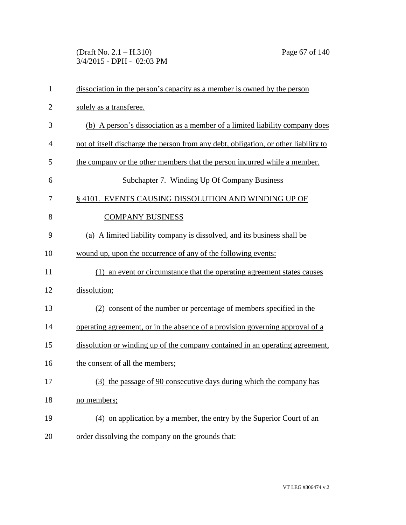(Draft No. 2.1 – H.310) Page 67 of 140 3/4/2015 - DPH - 02:03 PM

| $\mathbf{1}$   | dissociation in the person's capacity as a member is owned by the person            |
|----------------|-------------------------------------------------------------------------------------|
| $\overline{2}$ | solely as a transferee.                                                             |
| 3              | (b) A person's dissociation as a member of a limited liability company does         |
| $\overline{4}$ | not of itself discharge the person from any debt, obligation, or other liability to |
| 5              | the company or the other members that the person incurred while a member.           |
| 6              | Subchapter 7. Winding Up Of Company Business                                        |
| 7              | § 4101. EVENTS CAUSING DISSOLUTION AND WINDING UP OF                                |
| 8              | <b>COMPANY BUSINESS</b>                                                             |
| 9              | (a) A limited liability company is dissolved, and its business shall be             |
| 10             | wound up, upon the occurrence of any of the following events:                       |
| 11             | (1) an event or circumstance that the operating agreement states causes             |
| 12             | dissolution;                                                                        |
| 13             | (2) consent of the number or percentage of members specified in the                 |
| 14             | operating agreement, or in the absence of a provision governing approval of a       |
| 15             | dissolution or winding up of the company contained in an operating agreement,       |
| 16             | the consent of all the members;                                                     |
| 17             | (3) the passage of 90 consecutive days during which the company has                 |
| 18             | no members;                                                                         |
| 19             | (4) on application by a member, the entry by the Superior Court of an               |
| 20             | order dissolving the company on the grounds that:                                   |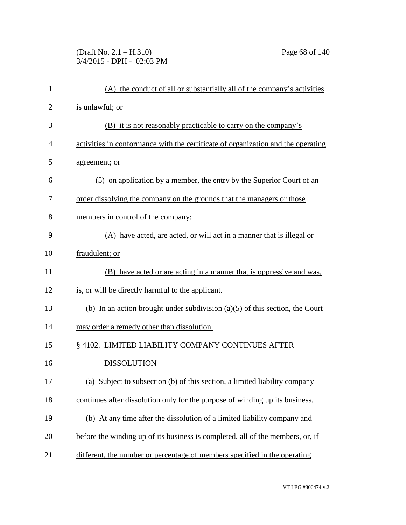(Draft No. 2.1 – H.310) Page 68 of 140 3/4/2015 - DPH - 02:03 PM

| $\mathbf{1}$   | (A) the conduct of all or substantially all of the company's activities          |
|----------------|----------------------------------------------------------------------------------|
| $\overline{c}$ | is unlawful; or                                                                  |
| 3              | (B) it is not reasonably practicable to carry on the company's                   |
| 4              | activities in conformance with the certificate of organization and the operating |
| 5              | agreement; or                                                                    |
| 6              | (5) on application by a member, the entry by the Superior Court of an            |
| 7              | order dissolving the company on the grounds that the managers or those           |
| 8              | members in control of the company:                                               |
| 9              | (A) have acted, are acted, or will act in a manner that is illegal or            |
| 10             | fraudulent; or                                                                   |
| 11             | (B) have acted or are acting in a manner that is oppressive and was,             |
| 12             | is, or will be directly harmful to the applicant.                                |
| 13             | (b) In an action brought under subdivision $(a)(5)$ of this section, the Court   |
| 14             | may order a remedy other than dissolution.                                       |
| 15             | § 4102. LIMITED LIABILITY COMPANY CONTINUES AFTER                                |
| 16             | <b>DISSOLUTION</b>                                                               |
| 17             | (a) Subject to subsection (b) of this section, a limited liability company       |
| 18             | continues after dissolution only for the purpose of winding up its business.     |
| 19             | (b) At any time after the dissolution of a limited liability company and         |
| 20             | before the winding up of its business is completed, all of the members, or, if   |
| 21             | different, the number or percentage of members specified in the operating        |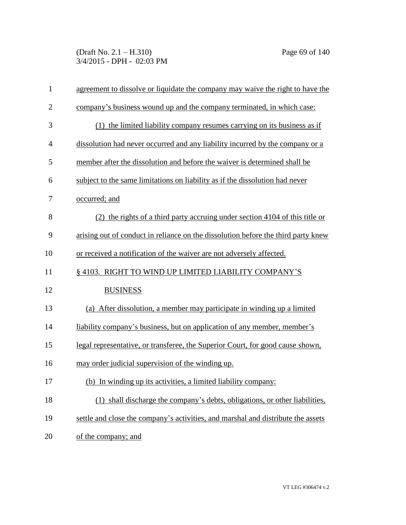(Draft No. 2.1 – H.310) Page 69 of 140 3/4/2015 - DPH - 02:03 PM

| 1              | agreement to dissolve or liquidate the company may waive the right to have the    |
|----------------|-----------------------------------------------------------------------------------|
| $\overline{2}$ | company's business wound up and the company terminated, in which case:            |
| 3              | (1) the limited liability company resumes carrying on its business as if          |
| $\overline{4}$ | dissolution had never occurred and any liability incurred by the company or a     |
| 5              | member after the dissolution and before the waiver is determined shall be         |
| 6              | subject to the same limitations on liability as if the dissolution had never      |
| 7              | occurred; and                                                                     |
| 8              | (2) the rights of a third party accruing under section 4104 of this title or      |
| 9              | arising out of conduct in reliance on the dissolution before the third party knew |
| 10             | or received a notification of the waiver are not adversely affected.              |
| 11             | §4103. RIGHT TO WIND UP LIMITED LIABILITY COMPANY'S                               |
| 12             | <b>BUSINESS</b>                                                                   |
| 13             | (a) After dissolution, a member may participate in winding up a limited           |
| 14             | <u>liability</u> company's business, but on application of any member, member's   |
| 15             | legal representative, or transferee, the Superior Court, for good cause shown,    |
| 16             | may order judicial supervision of the winding up.                                 |
| 17             | (b)<br>In winding up its activities, a limited liability company:                 |
| 18             | (1) shall discharge the company's debts, obligations, or other liabilities,       |
| 19             | settle and close the company's activities, and marshal and distribute the assets  |
| 20             | of the company; and                                                               |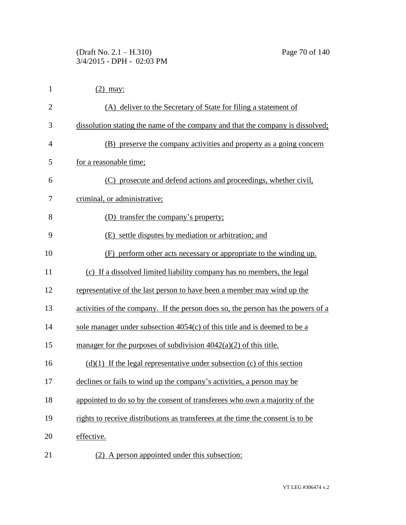| $\mathbf{1}$   | $(2)$ may:                                                                       |
|----------------|----------------------------------------------------------------------------------|
| $\overline{2}$ | (A) deliver to the Secretary of State for filing a statement of                  |
| 3              | dissolution stating the name of the company and that the company is dissolved;   |
| 4              | (B) preserve the company activities and property as a going concern              |
| 5              | for a reasonable time;                                                           |
| 6              | (C) prosecute and defend actions and proceedings, whether civil,                 |
| 7              | criminal, or administrative;                                                     |
| 8              | (D) transfer the company's property;                                             |
| 9              | (E) settle disputes by mediation or arbitration; and                             |
| 10             | (F) perform other acts necessary or appropriate to the winding up.               |
| 11             | (c) If a dissolved limited liability company has no members, the legal           |
| 12             | representative of the last person to have been a member may wind up the          |
| 13             | activities of the company. If the person does so, the person has the powers of a |
| 14             | sole manager under subsection $4054(c)$ of this title and is deemed to be a      |
| 15             | manager for the purposes of subdivision $4042(a)(2)$ of this title.              |
| 16             | $(d)(1)$ If the legal representative under subsection (c) of this section        |
| 17             | declines or fails to wind up the company's activities, a person may be           |
| 18             | appointed to do so by the consent of transferees who own a majority of the       |
| 19             | rights to receive distributions as transferees at the time the consent is to be  |
| 20             | effective.                                                                       |
| 21             | A person appointed under this subsection:                                        |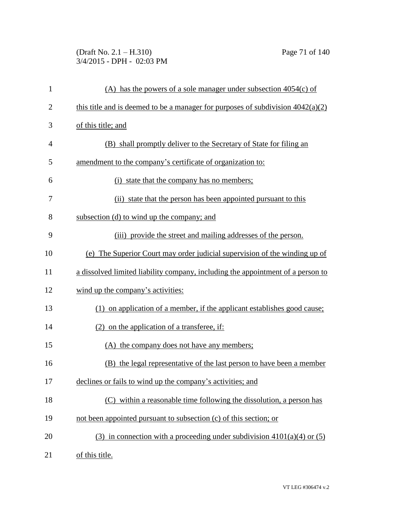(Draft No. 2.1 – H.310) Page 71 of 140 3/4/2015 - DPH - 02:03 PM

| $\mathbf{1}$   | (A) has the powers of a sole manager under subsection $4054(c)$ of                |
|----------------|-----------------------------------------------------------------------------------|
| $\overline{2}$ | this title and is deemed to be a manager for purposes of subdivision $4042(a)(2)$ |
| 3              | of this title; and                                                                |
| $\overline{4}$ | (B) shall promptly deliver to the Secretary of State for filing an                |
| 5              | amendment to the company's certificate of organization to:                        |
| 6              | (i) state that the company has no members;                                        |
| 7              | (ii) state that the person has been appointed pursuant to this                    |
| 8              | subsection (d) to wind up the company; and                                        |
| 9              | (iii) provide the street and mailing addresses of the person.                     |
| 10             | (e) The Superior Court may order judicial supervision of the winding up of        |
| 11             | a dissolved limited liability company, including the appointment of a person to   |
| 12             | wind up the company's activities:                                                 |
| 13             | (1) on application of a member, if the applicant establishes good cause;          |
| 14             | $(2)$ on the application of a transferee, if:                                     |
| 15             | (A) the company does not have any members;                                        |
| 16             | (B) the legal representative of the last person to have been a member             |
| 17             | declines or fails to wind up the company's activities; and                        |
| 18             | (C) within a reasonable time following the dissolution, a person has              |
| 19             | not been appointed pursuant to subsection (c) of this section; or                 |
| 20             | (3) in connection with a proceeding under subdivision $4101(a)(4)$ or (5)         |
| 21             | of this title.                                                                    |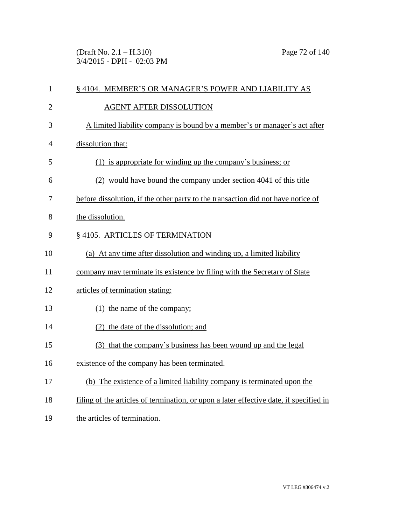(Draft No. 2.1 – H.310) Page 72 of 140 3/4/2015 - DPH - 02:03 PM

| $\mathbf{1}$   | § 4104. MEMBER'S OR MANAGER'S POWER AND LIABILITY AS                                   |
|----------------|----------------------------------------------------------------------------------------|
| $\overline{2}$ | <b>AGENT AFTER DISSOLUTION</b>                                                         |
| 3              | A limited liability company is bound by a member's or manager's act after              |
| $\overline{4}$ | dissolution that:                                                                      |
| 5              | (1) is appropriate for winding up the company's business; or                           |
| 6              | (2) would have bound the company under section 4041 of this title                      |
| 7              | before dissolution, if the other party to the transaction did not have notice of       |
| 8              | the dissolution.                                                                       |
| 9              | § 4105. ARTICLES OF TERMINATION                                                        |
| 10             | (a) At any time after dissolution and winding up, a limited liability                  |
| 11             | company may terminate its existence by filing with the Secretary of State              |
| 12             | articles of termination stating:                                                       |
| 13             | (1) the name of the company;                                                           |
| 14             | (2) the date of the dissolution; and                                                   |
| 15             | (3) that the company's business has been wound up and the legal                        |
| 16             | existence of the company has been terminated.                                          |
| 17             | (b) The existence of a limited liability company is terminated upon the                |
| 18             | filing of the articles of termination, or upon a later effective date, if specified in |
| 19             | the articles of termination.                                                           |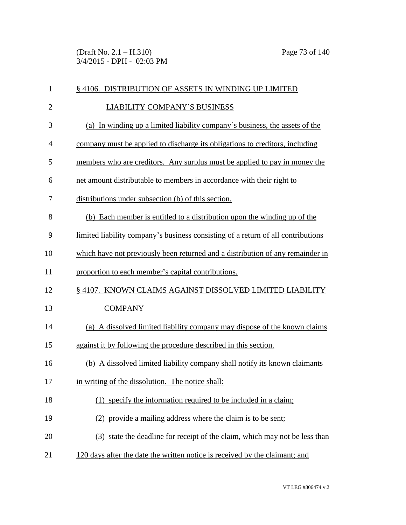(Draft No. 2.1 – H.310) Page 73 of 140 3/4/2015 - DPH - 02:03 PM

| $\mathbf{1}$   | § 4106. DISTRIBUTION OF ASSETS IN WINDING UP LIMITED                             |
|----------------|----------------------------------------------------------------------------------|
| $\overline{2}$ | <b>LIABILITY COMPANY'S BUSINESS</b>                                              |
| 3              | (a) In winding up a limited liability company's business, the assets of the      |
| $\overline{4}$ | company must be applied to discharge its obligations to creditors, including     |
| 5              | members who are creditors. Any surplus must be applied to pay in money the       |
| 6              | net amount distributable to members in accordance with their right to            |
| 7              | distributions under subsection (b) of this section.                              |
| 8              | (b) Each member is entitled to a distribution upon the winding up of the         |
| 9              | limited liability company's business consisting of a return of all contributions |
| 10             | which have not previously been returned and a distribution of any remainder in   |
| 11             | proportion to each member's capital contributions.                               |
| 12             | § 4107. KNOWN CLAIMS AGAINST DISSOLVED LIMITED LIABILITY                         |
| 13             | <b>COMPANY</b>                                                                   |
| 14             | (a) A dissolved limited liability company may dispose of the known claims        |
| 15             | against it by following the procedure described in this section.                 |
| 16             | (b) A dissolved limited liability company shall notify its known claimants       |
| 17             | in writing of the dissolution. The notice shall:                                 |
| 18             | (1) specify the information required to be included in a claim;                  |
| 19             | (2) provide a mailing address where the claim is to be sent;                     |
| 20             | (3) state the deadline for receipt of the claim, which may not be less than      |
| 21             | 120 days after the date the written notice is received by the claimant; and      |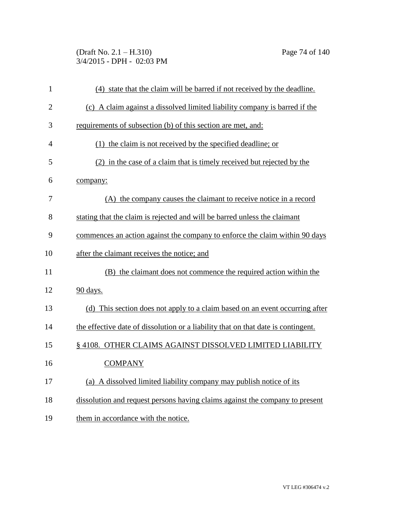(Draft No. 2.1 – H.310) Page 74 of 140 3/4/2015 - DPH - 02:03 PM

| $\mathbf{1}$   | (4) state that the claim will be barred if not received by the deadline.          |
|----------------|-----------------------------------------------------------------------------------|
| $\overline{2}$ | (c) A claim against a dissolved limited liability company is barred if the        |
| 3              | requirements of subsection (b) of this section are met, and:                      |
| $\overline{4}$ | (1) the claim is not received by the specified deadline; or                       |
| 5              | (2) in the case of a claim that is timely received but rejected by the            |
| 6              | company:                                                                          |
| 7              | (A) the company causes the claimant to receive notice in a record                 |
| 8              | stating that the claim is rejected and will be barred unless the claimant         |
| 9              | commences an action against the company to enforce the claim within 90 days       |
| 10             | after the claimant receives the notice; and                                       |
| 11             | (B) the claimant does not commence the required action within the                 |
| 12             | 90 days.                                                                          |
| 13             | (d) This section does not apply to a claim based on an event occurring after      |
| 14             | the effective date of dissolution or a liability that on that date is contingent. |
| 15             | § 4108. OTHER CLAIMS AGAINST DISSOLVED LIMITED LIABILITY                          |
| 16             | <b>COMPANY</b>                                                                    |
| 17             | (a) A dissolved limited liability company may publish notice of its               |
| 18             | dissolution and request persons having claims against the company to present      |
| 19             | them in accordance with the notice.                                               |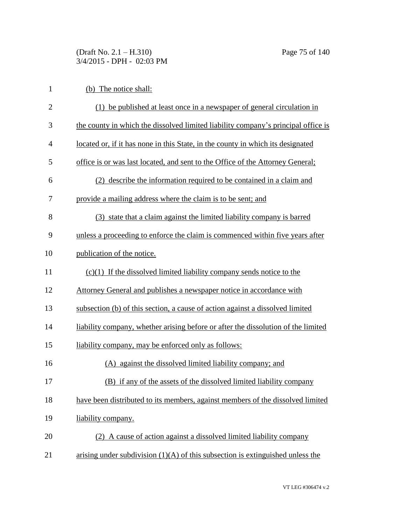(Draft No. 2.1 – H.310) Page 75 of 140 3/4/2015 - DPH - 02:03 PM

| $\mathbf{1}$   | (b) The notice shall:                                                             |
|----------------|-----------------------------------------------------------------------------------|
| $\overline{2}$ | (1) be published at least once in a newspaper of general circulation in           |
| 3              | the county in which the dissolved limited liability company's principal office is |
| $\overline{4}$ | located or, if it has none in this State, in the county in which its designated   |
| 5              | office is or was last located, and sent to the Office of the Attorney General;    |
| 6              | (2) describe the information required to be contained in a claim and              |
| 7              | provide a mailing address where the claim is to be sent; and                      |
| 8              | (3) state that a claim against the limited liability company is barred            |
| 9              | unless a proceeding to enforce the claim is commenced within five years after     |
| 10             | publication of the notice.                                                        |
| 11             | $(c)(1)$ If the dissolved limited liability company sends notice to the           |
| 12             | Attorney General and publishes a newspaper notice in accordance with              |
| 13             | subsection (b) of this section, a cause of action against a dissolved limited     |
| 14             | liability company, whether arising before or after the dissolution of the limited |
| 15             | liability company, may be enforced only as follows:                               |
| 16             | (A) against the dissolved limited liability company; and                          |
| 17             | (B) if any of the assets of the dissolved limited liability company               |
| 18             | have been distributed to its members, against members of the dissolved limited    |
| 19             | liability company.                                                                |
| 20             | (2) A cause of action against a dissolved limited liability company               |
| 21             | arising under subdivision $(1)(A)$ of this subsection is extinguished unless the  |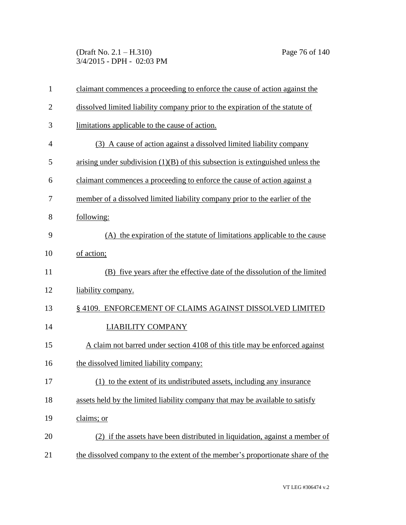(Draft No. 2.1 – H.310) Page 76 of 140 3/4/2015 - DPH - 02:03 PM

| $\mathbf{1}$   | claimant commences a proceeding to enforce the cause of action against the       |
|----------------|----------------------------------------------------------------------------------|
| $\overline{2}$ | dissolved limited liability company prior to the expiration of the statute of    |
| 3              | limitations applicable to the cause of action.                                   |
| $\overline{4}$ | (3) A cause of action against a dissolved limited liability company              |
| 5              | arising under subdivision $(1)(B)$ of this subsection is extinguished unless the |
| 6              | claimant commences a proceeding to enforce the cause of action against a         |
| 7              | member of a dissolved limited liability company prior to the earlier of the      |
| 8              | following:                                                                       |
| 9              | (A) the expiration of the statute of limitations applicable to the cause         |
| 10             | of action;                                                                       |
| 11             | (B) five years after the effective date of the dissolution of the limited        |
| 12             | liability company.                                                               |
| 13             | §4109. ENFORCEMENT OF CLAIMS AGAINST DISSOLVED LIMITED                           |
| 14             | <b>LIABILITY COMPANY</b>                                                         |
| 15             | A claim not barred under section 4108 of this title may be enforced against      |
| 16             | the dissolved limited liability company:                                         |
| 17             | (1) to the extent of its undistributed assets, including any insurance           |
| 18             | assets held by the limited liability company that may be available to satisfy    |
| 19             | claims; or                                                                       |
| 20             | (2) if the assets have been distributed in liquidation, against a member of      |
| 21             | the dissolved company to the extent of the member's proportionate share of the   |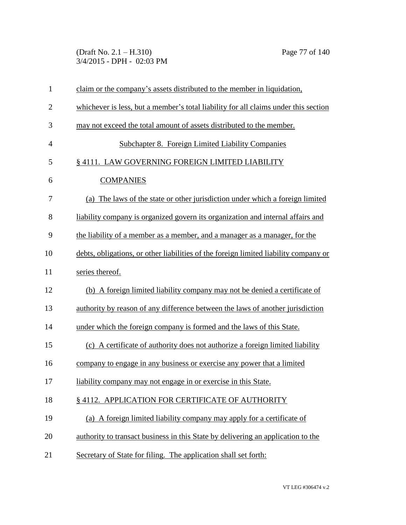(Draft No. 2.1 – H.310) Page 77 of 140 3/4/2015 - DPH - 02:03 PM

| $\mathbf{1}$   | claim or the company's assets distributed to the member in liquidation,              |
|----------------|--------------------------------------------------------------------------------------|
| $\overline{2}$ | whichever is less, but a member's total liability for all claims under this section  |
| 3              | may not exceed the total amount of assets distributed to the member.                 |
| $\overline{4}$ | <b>Subchapter 8. Foreign Limited Liability Companies</b>                             |
| 5              | § 4111. LAW GOVERNING FOREIGN LIMITED LIABILITY                                      |
| 6              | <b>COMPANIES</b>                                                                     |
| 7              | (a) The laws of the state or other jurisdiction under which a foreign limited        |
| 8              | liability company is organized govern its organization and internal affairs and      |
| 9              | the liability of a member as a member, and a manager as a manager, for the           |
| 10             | debts, obligations, or other liabilities of the foreign limited liability company or |
| 11             | series thereof.                                                                      |
| 12             | (b) A foreign limited liability company may not be denied a certificate of           |
| 13             | authority by reason of any difference between the laws of another jurisdiction       |
| 14             | under which the foreign company is formed and the laws of this State.                |
| 15             | (c) A certificate of authority does not authorize a foreign limited liability        |
| 16             | company to engage in any business or exercise any power that a limited               |
| 17             | liability company may not engage in or exercise in this State.                       |
| 18             | §4112. APPLICATION FOR CERTIFICATE OF AUTHORITY                                      |
| 19             | (a) A foreign limited liability company may apply for a certificate of               |
| 20             | authority to transact business in this State by delivering an application to the     |
| 21             | Secretary of State for filing. The application shall set forth:                      |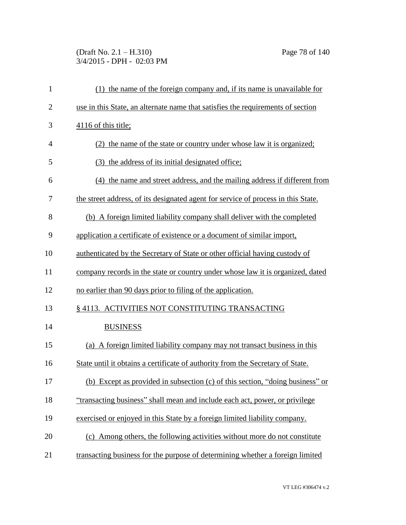## (Draft No. 2.1 – H.310) Page 78 of 140 3/4/2015 - DPH - 02:03 PM

| $\mathbf{1}$   | (1) the name of the foreign company and, if its name is unavailable for           |
|----------------|-----------------------------------------------------------------------------------|
| $\overline{2}$ | use in this State, an alternate name that satisfies the requirements of section   |
| 3              | 4116 of this title;                                                               |
| 4              | (2) the name of the state or country under whose law it is organized;             |
| 5              | (3) the address of its initial designated office;                                 |
| 6              | (4) the name and street address, and the mailing address if different from        |
| 7              | the street address, of its designated agent for service of process in this State. |
| 8              | (b) A foreign limited liability company shall deliver with the completed          |
| 9              | application a certificate of existence or a document of similar import,           |
| 10             | authenticated by the Secretary of State or other official having custody of       |
| 11             | company records in the state or country under whose law it is organized, dated    |
| 12             | no earlier than 90 days prior to filing of the application.                       |
| 13             | § 4113. ACTIVITIES NOT CONSTITUTING TRANSACTING                                   |
| 14             | <b>BUSINESS</b>                                                                   |
| 15             | (a) A foreign limited liability company may not transact business in this         |
| 16             | State until it obtains a certificate of authority from the Secretary of State.    |
| 17             | (b) Except as provided in subsection (c) of this section, "doing business" or     |
| 18             | "transacting business" shall mean and include each act, power, or privilege       |
| 19             | exercised or enjoyed in this State by a foreign limited liability company.        |
| 20             | (c) Among others, the following activities without more do not constitute         |
| 21             | transacting business for the purpose of determining whether a foreign limited     |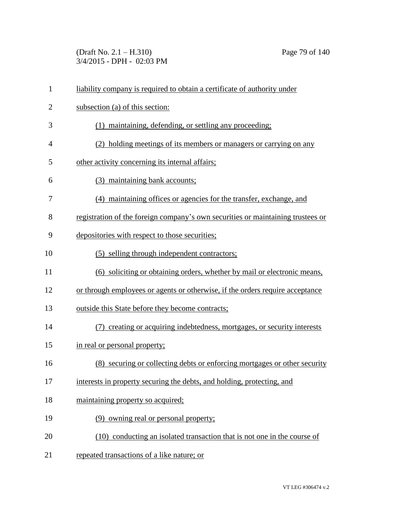(Draft No. 2.1 – H.310) Page 79 of 140 3/4/2015 - DPH - 02:03 PM

| $\mathbf{1}$   | liability company is required to obtain a certificate of authority under        |
|----------------|---------------------------------------------------------------------------------|
| $\overline{2}$ | subsection (a) of this section:                                                 |
| 3              | (1) maintaining, defending, or settling any proceeding;                         |
| 4              | (2) holding meetings of its members or managers or carrying on any              |
| 5              | other activity concerning its internal affairs;                                 |
| 6              | (3) maintaining bank accounts;                                                  |
| 7              | (4) maintaining offices or agencies for the transfer, exchange, and             |
| 8              | registration of the foreign company's own securities or maintaining trustees or |
| 9              | depositories with respect to those securities;                                  |
| 10             | (5) selling through independent contractors;                                    |
| 11             | (6) soliciting or obtaining orders, whether by mail or electronic means,        |
| 12             | or through employees or agents or otherwise, if the orders require acceptance   |
| 13             | outside this State before they become contracts;                                |
| 14             | (7) creating or acquiring indebtedness, mortgages, or security interests        |
| 15             | in real or personal property;                                                   |
| 16             | (8) securing or collecting debts or enforcing mortgages or other security       |
| 17             | interests in property securing the debts, and holding, protecting, and          |
| 18             | maintaining property so acquired;                                               |
| 19             | (9) owning real or personal property;                                           |
| 20             | (10) conducting an isolated transaction that is not one in the course of        |
| 21             | repeated transactions of a like nature; or                                      |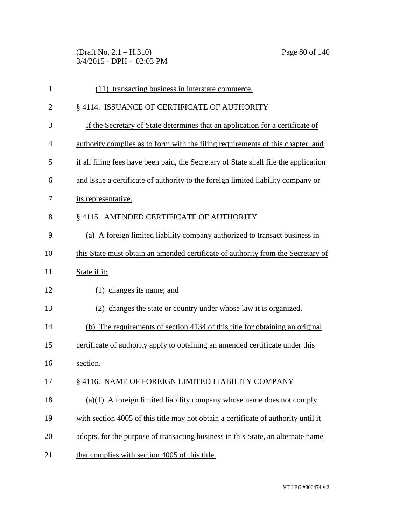(Draft No. 2.1 – H.310) Page 80 of 140 3/4/2015 - DPH - 02:03 PM

| 1              | (11) transacting business in interstate commerce.                                    |
|----------------|--------------------------------------------------------------------------------------|
| $\overline{2}$ | §4114. ISSUANCE OF CERTIFICATE OF AUTHORITY                                          |
| 3              | If the Secretary of State determines that an application for a certificate of        |
| 4              | authority complies as to form with the filing requirements of this chapter, and      |
| 5              | if all filing fees have been paid, the Secretary of State shall file the application |
| 6              | and issue a certificate of authority to the foreign limited liability company or     |
| 7              | its representative.                                                                  |
| 8              | §4115. AMENDED CERTIFICATE OF AUTHORITY                                              |
| 9              | (a) A foreign limited liability company authorized to transact business in           |
| 10             | this State must obtain an amended certificate of authority from the Secretary of     |
| 11             | State if it:                                                                         |
| 12             | $(1)$ changes its name; and                                                          |
| 13             | changes the state or country under whose law it is organized.                        |
| 14             | (b) The requirements of section 4134 of this title for obtaining an original         |
| 15             | certificate of authority apply to obtaining an amended certificate under this        |
| 16             | section.                                                                             |
| 17             | § 4116. NAME OF FOREIGN LIMITED LIABILITY COMPANY                                    |
| 18             | $(a)(1)$ A foreign limited liability company whose name does not comply              |
| 19             | with section 4005 of this title may not obtain a certificate of authority until it   |
| 20             | adopts, for the purpose of transacting business in this State, an alternate name     |
| 21             | that complies with section 4005 of this title.                                       |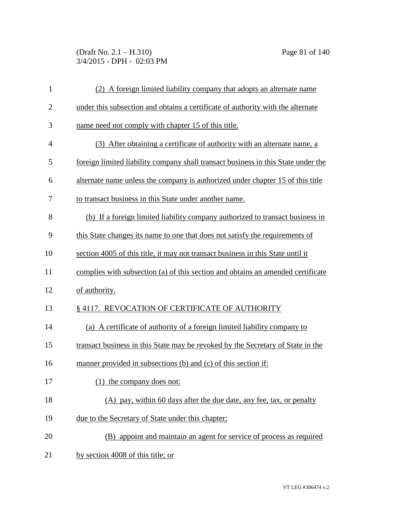(Draft No. 2.1 – H.310) Page 81 of 140 3/4/2015 - DPH - 02:03 PM

| $\mathbf{1}$   | (2) A foreign limited liability company that adopts an alternate name             |
|----------------|-----------------------------------------------------------------------------------|
| $\overline{2}$ | under this subsection and obtains a certificate of authority with the alternate   |
| 3              | name need not comply with chapter 15 of this title.                               |
| 4              | (3) After obtaining a certificate of authority with an alternate name, a          |
| 5              | foreign limited liability company shall transact business in this State under the |
| 6              | alternate name unless the company is authorized under chapter 15 of this title    |
| 7              | to transact business in this State under another name.                            |
| 8              | (b) If a foreign limited liability company authorized to transact business in     |
| 9              | this State changes its name to one that does not satisfy the requirements of      |
| 10             | section 4005 of this title, it may not transact business in this State until it   |
| 11             | complies with subsection (a) of this section and obtains an amended certificate   |
| 12             | of authority.                                                                     |
| 13             | §4117. REVOCATION OF CERTIFICATE OF AUTHORITY                                     |
| 14             | (a) A certificate of authority of a foreign limited liability company to          |
| 15             | transact business in this State may be revoked by the Secretary of State in the   |
| 16             | manner provided in subsections (b) and (c) of this section if:                    |
| 17             | the company does not:                                                             |
| 18             | (A) pay, within 60 days after the due date, any fee, tax, or penalty              |
| 19             | due to the Secretary of State under this chapter;                                 |
| 20             | (B) appoint and maintain an agent for service of process as required              |
| 21             | by section 4008 of this title; or                                                 |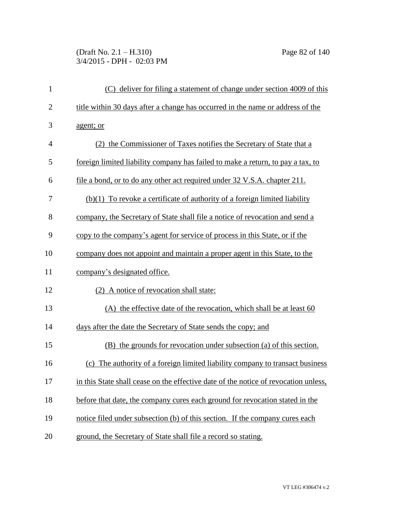(Draft No. 2.1 – H.310) Page 82 of 140 3/4/2015 - DPH - 02:03 PM

| $\mathbf{1}$   | (C) deliver for filing a statement of change under section 4009 of this             |
|----------------|-------------------------------------------------------------------------------------|
| $\overline{2}$ | title within 30 days after a change has occurred in the name or address of the      |
| 3              | agent; or                                                                           |
| 4              | (2) the Commissioner of Taxes notifies the Secretary of State that a                |
| 5              | foreign limited liability company has failed to make a return, to pay a tax, to     |
| 6              | file a bond, or to do any other act required under 32 V.S.A. chapter 211.           |
| 7              | $(b)(1)$ To revoke a certificate of authority of a foreign limited liability        |
| 8              | company, the Secretary of State shall file a notice of revocation and send a        |
| 9              | copy to the company's agent for service of process in this State, or if the         |
| 10             | company does not appoint and maintain a proper agent in this State, to the          |
| 11             | company's designated office.                                                        |
| 12             | (2) A notice of revocation shall state:                                             |
| 13             | (A) the effective date of the revocation, which shall be at least 60                |
| 14             | days after the date the Secretary of State sends the copy; and                      |
| 15             | (B) the grounds for revocation under subsection (a) of this section.                |
| 16             | (c) The authority of a foreign limited liability company to transact business       |
| 17             | in this State shall cease on the effective date of the notice of revocation unless, |
| 18             | before that date, the company cures each ground for revocation stated in the        |
| 19             | notice filed under subsection (b) of this section. If the company cures each        |
| 20             | ground, the Secretary of State shall file a record so stating.                      |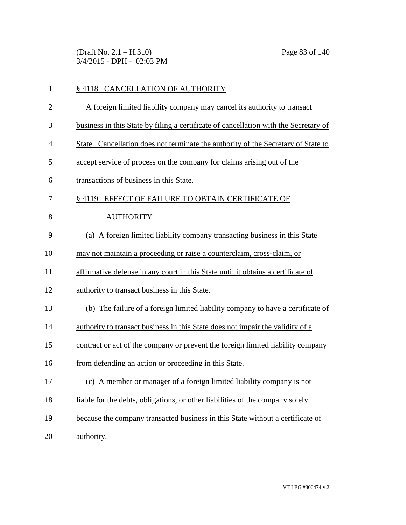(Draft No. 2.1 – H.310) Page 83 of 140 3/4/2015 - DPH - 02:03 PM

| $\mathbf{1}$   | §4118. CANCELLATION OF AUTHORITY                                                     |
|----------------|--------------------------------------------------------------------------------------|
| $\overline{2}$ | A foreign limited liability company may cancel its authority to transact             |
| 3              | business in this State by filing a certificate of cancellation with the Secretary of |
| $\overline{4}$ | State. Cancellation does not terminate the authority of the Secretary of State to    |
| 5              | accept service of process on the company for claims arising out of the               |
| 6              | transactions of business in this State.                                              |
| $\overline{7}$ | § 4119. EFFECT OF FAILURE TO OBTAIN CERTIFICATE OF                                   |
| 8              | <b>AUTHORITY</b>                                                                     |
| 9              | (a) A foreign limited liability company transacting business in this State           |
| 10             | may not maintain a proceeding or raise a counterclaim, cross-claim, or               |
| 11             | affirmative defense in any court in this State until it obtains a certificate of     |
| 12             | authority to transact business in this State.                                        |
| 13             | (b) The failure of a foreign limited liability company to have a certificate of      |
| 14             | authority to transact business in this State does not impair the validity of a       |
| 15             | contract or act of the company or prevent the foreign limited liability company      |
| 16             | from defending an action or proceeding in this State.                                |
| 17             | (c) A member or manager of a foreign limited liability company is not                |
| 18             | liable for the debts, obligations, or other liabilities of the company solely        |
| 19             | because the company transacted business in this State without a certificate of       |
| 20             | authority.                                                                           |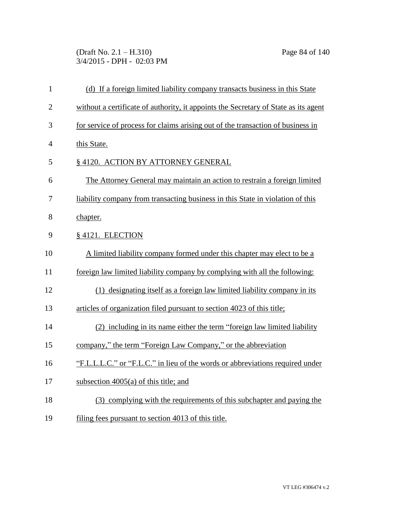(Draft No. 2.1 – H.310) Page 84 of 140 3/4/2015 - DPH - 02:03 PM

| $\mathbf{1}$   | (d) If a foreign limited liability company transacts business in this State         |
|----------------|-------------------------------------------------------------------------------------|
| $\overline{2}$ | without a certificate of authority, it appoints the Secretary of State as its agent |
| 3              | for service of process for claims arising out of the transaction of business in     |
| $\overline{4}$ | this State.                                                                         |
| 5              | § 4120. ACTION BY ATTORNEY GENERAL                                                  |
| 6              | The Attorney General may maintain an action to restrain a foreign limited           |
| 7              | liability company from transacting business in this State in violation of this      |
| 8              | chapter.                                                                            |
| 9              | § 4121. ELECTION                                                                    |
| 10             | A limited liability company formed under this chapter may elect to be a             |
| 11             | foreign law limited liability company by complying with all the following:          |
| 12             | (1) designating itself as a foreign law limited liability company in its            |
| 13             | articles of organization filed pursuant to section 4023 of this title;              |
| 14             | (2) including in its name either the term "foreign law limited liability            |
| 15             | company," the term "Foreign Law Company," or the abbreviation                       |
| 16             | "F.L.L.L.C." or "F.L.C." in lieu of the words or abbreviations required under       |
| 17             | subsection $4005(a)$ of this title; and                                             |
| 18             | (3) complying with the requirements of this subchapter and paying the               |
| 19             | filing fees pursuant to section 4013 of this title.                                 |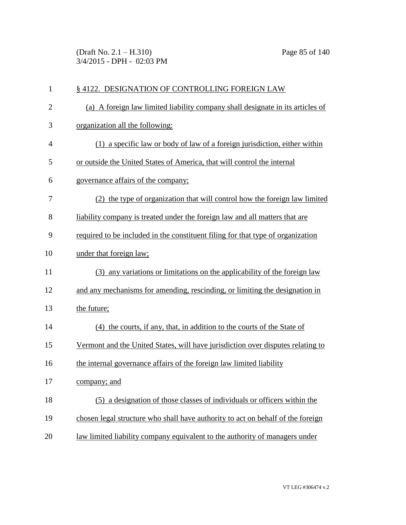(Draft No. 2.1 – H.310) Page 85 of 140 3/4/2015 - DPH - 02:03 PM

| $\mathbf{1}$   | § 4122. DESIGNATION OF CONTROLLING FOREIGN LAW                                  |
|----------------|---------------------------------------------------------------------------------|
| $\overline{c}$ | (a) A foreign law limited liability company shall designate in its articles of  |
| 3              | organization all the following:                                                 |
| $\overline{4}$ | (1) a specific law or body of law of a foreign jurisdiction, either within      |
| 5              | or outside the United States of America, that will control the internal         |
| 6              | governance affairs of the company;                                              |
| 7              | (2) the type of organization that will control how the foreign law limited      |
| 8              | liability company is treated under the foreign law and all matters that are     |
| 9              | required to be included in the constituent filing for that type of organization |
| 10             | under that foreign law;                                                         |
| 11             | (3) any variations or limitations on the applicability of the foreign law       |
| 12             | and any mechanisms for amending, rescinding, or limiting the designation in     |
| 13             | the future;                                                                     |
| 14             | (4) the courts, if any, that, in addition to the courts of the State of         |
| 15             | Vermont and the United States, will have jurisdiction over disputes relating to |
| 16             | the internal governance affairs of the foreign law limited liability            |
| 17             | <u>company; and</u>                                                             |
| 18             | (5) a designation of those classes of individuals or officers within the        |
| 19             | chosen legal structure who shall have authority to act on behalf of the foreign |
| 20             | law limited liability company equivalent to the authority of managers under     |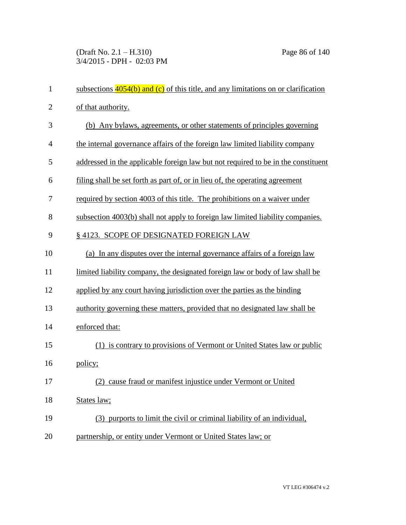(Draft No. 2.1 – H.310) Page 86 of 140 3/4/2015 - DPH - 02:03 PM

| $\mathbf{1}$   | subsections $4054(b)$ and (c) of this title, and any limitations on or clarification |
|----------------|--------------------------------------------------------------------------------------|
| $\overline{2}$ | of that authority.                                                                   |
| 3              | (b) Any bylaws, agreements, or other statements of principles governing              |
| 4              | the internal governance affairs of the foreign law limited liability company         |
| 5              | addressed in the applicable foreign law but not required to be in the constituent    |
| 6              | filing shall be set forth as part of, or in lieu of, the operating agreement         |
| 7              | required by section 4003 of this title. The prohibitions on a waiver under           |
| 8              | subsection 4003(b) shall not apply to foreign law limited liability companies.       |
| 9              | §4123. SCOPE OF DESIGNATED FOREIGN LAW                                               |
| 10             | (a) In any disputes over the internal governance affairs of a foreign law            |
| 11             | limited liability company, the designated foreign law or body of law shall be        |
| 12             | applied by any court having jurisdiction over the parties as the binding             |
| 13             | authority governing these matters, provided that no designated law shall be          |
| 14             | enforced that:                                                                       |
| 15             | (1) is contrary to provisions of Vermont or United States law or public              |
| 16             | policy;                                                                              |
| 17             | (2) cause fraud or manifest injustice under Vermont or United                        |
| 18             | States law;                                                                          |
| 19             | (3) purports to limit the civil or criminal liability of an individual,              |
| 20             | partnership, or entity under Vermont or United States law; or                        |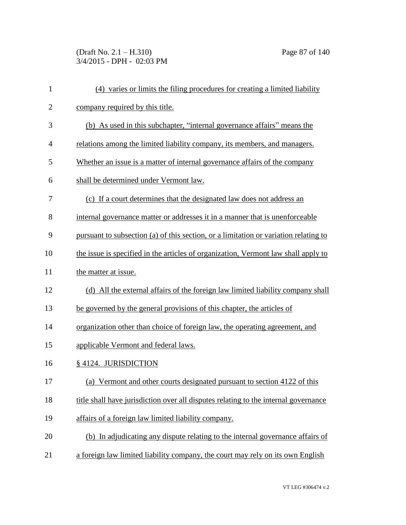(Draft No. 2.1 – H.310) Page 87 of 140 3/4/2015 - DPH - 02:03 PM

| $\mathbf{1}$   | (4) varies or limits the filing procedures for creating a limited liability          |
|----------------|--------------------------------------------------------------------------------------|
| $\overline{c}$ | company required by this title.                                                      |
| 3              | (b) As used in this subchapter, "internal governance affairs" means the              |
| $\overline{4}$ | relations among the limited liability company, its members, and managers.            |
| 5              | Whether an issue is a matter of internal governance affairs of the company           |
| 6              | shall be determined under Vermont law.                                               |
| 7              | (c) If a court determines that the designated law does not address an                |
| 8              | internal governance matter or addresses it in a manner that is unenforceable         |
| 9              | pursuant to subsection (a) of this section, or a limitation or variation relating to |
| 10             | the issue is specified in the articles of organization, Vermont law shall apply to   |
| 11             | the matter at issue.                                                                 |
| 12             | (d) All the external affairs of the foreign law limited liability company shall      |
| 13             | be governed by the general provisions of this chapter, the articles of               |
| 14             | organization other than choice of foreign law, the operating agreement, and          |
| 15             | applicable Vermont and federal laws.                                                 |
| 16             | § 4124. JURISDICTION                                                                 |
| 17             | (a) Vermont and other courts designated pursuant to section 4122 of this             |
| 18             | title shall have jurisdiction over all disputes relating to the internal governance  |
| 19             | affairs of a foreign law limited liability company.                                  |
| 20             | (b) In adjudicating any dispute relating to the internal governance affairs of       |
| 21             | a foreign law limited liability company, the court may rely on its own English       |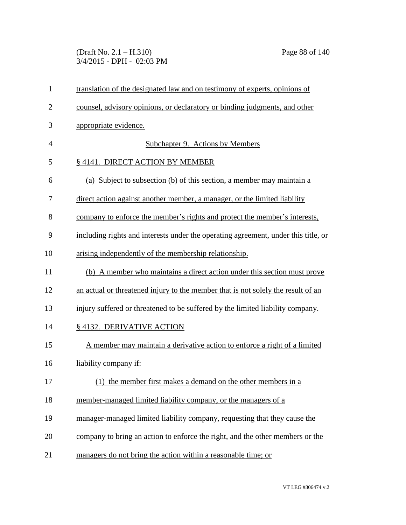(Draft No. 2.1 – H.310) Page 88 of 140 3/4/2015 - DPH - 02:03 PM

| $\mathbf{1}$   | translation of the designated law and on testimony of experts, opinions of         |
|----------------|------------------------------------------------------------------------------------|
| $\overline{2}$ | counsel, advisory opinions, or declaratory or binding judgments, and other         |
| 3              | appropriate evidence.                                                              |
| $\overline{4}$ | Subchapter 9. Actions by Members                                                   |
| 5              | § 4141. DIRECT ACTION BY MEMBER                                                    |
| 6              | (a) Subject to subsection (b) of this section, a member may maintain a             |
| 7              | direct action against another member, a manager, or the limited liability          |
| 8              | company to enforce the member's rights and protect the member's interests,         |
| 9              | including rights and interests under the operating agreement, under this title, or |
| 10             | arising independently of the membership relationship.                              |
| 11             | (b) A member who maintains a direct action under this section must prove           |
| 12             | an actual or threatened injury to the member that is not solely the result of an   |
| 13             | injury suffered or threatened to be suffered by the limited liability company.     |
| 14             | §4132. DERIVATIVE ACTION                                                           |
| 15             | A member may maintain a derivative action to enforce a right of a limited          |
| 16             | liability company if:                                                              |
| 17             | (1) the member first makes a demand on the other members in a                      |
| 18             | member-managed limited liability company, or the managers of a                     |
| 19             | manager-managed limited liability company, requesting that they cause the          |
| 20             | company to bring an action to enforce the right, and the other members or the      |
| 21             | managers do not bring the action within a reasonable time; or                      |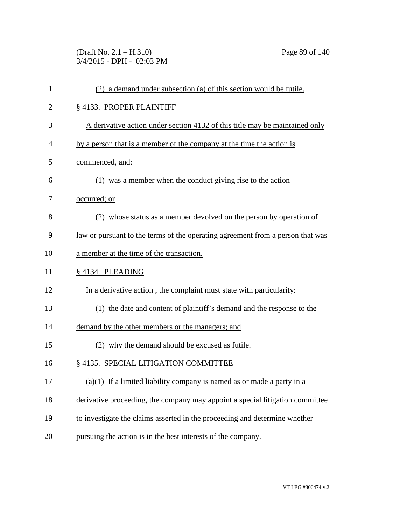(Draft No. 2.1 – H.310) Page 89 of 140 3/4/2015 - DPH - 02:03 PM

| $\mathbf{1}$   | (2) a demand under subsection (a) of this section would be futile.                    |
|----------------|---------------------------------------------------------------------------------------|
| $\overline{c}$ | § 4133. PROPER PLAINTIFF                                                              |
| 3              | A derivative action under section 4132 of this title may be maintained only           |
| $\overline{4}$ | by a person that is a member of the company at the time the action is                 |
| 5              | commenced, and:                                                                       |
| 6              | (1) was a member when the conduct giving rise to the action                           |
| 7              | occurred; or                                                                          |
| 8              | (2) whose status as a member devolved on the person by operation of                   |
| 9              | <u>law or pursuant to the terms of the operating agreement from a person that was</u> |
| 10             | a member at the time of the transaction.                                              |
| 11             | § 4134. PLEADING                                                                      |
| 12             | In a derivative action, the complaint must state with particularity:                  |
| 13             | (1) the date and content of plaintiff's demand and the response to the                |
| 14             | demand by the other members or the managers; and                                      |
| 15             | (2) why the demand should be excused as futile.                                       |
| 16             | § 4135. SPECIAL LITIGATION COMMITTEE                                                  |
| 17             | $(a)(1)$ If a limited liability company is named as or made a party in a              |
| 18             | derivative proceeding, the company may appoint a special litigation committee         |
| 19             | to investigate the claims asserted in the proceeding and determine whether            |
| 20             | pursuing the action is in the best interests of the company.                          |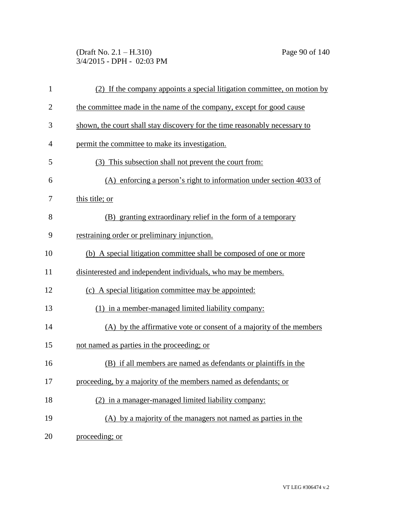(Draft No. 2.1 – H.310) Page 90 of 140 3/4/2015 - DPH - 02:03 PM

| $\mathbf{1}$   | (2) If the company appoints a special litigation committee, on motion by   |
|----------------|----------------------------------------------------------------------------|
| $\overline{2}$ | the committee made in the name of the company, except for good cause       |
| 3              | shown, the court shall stay discovery for the time reasonably necessary to |
| 4              | permit the committee to make its investigation.                            |
| 5              | (3) This subsection shall not prevent the court from:                      |
| 6              | (A) enforcing a person's right to information under section 4033 of        |
| 7              | this title; or                                                             |
| 8              | (B) granting extraordinary relief in the form of a temporary               |
| 9              | restraining order or preliminary injunction.                               |
| 10             | (b) A special litigation committee shall be composed of one or more        |
| 11             | disinterested and independent individuals, who may be members.             |
| 12             | (c) A special litigation committee may be appointed:                       |
| 13             | (1) in a member-managed limited liability company:                         |
| 14             | (A) by the affirmative vote or consent of a majority of the members        |
| 15             | not named as parties in the proceeding; or                                 |
| 16             | (B) if all members are named as defendants or plaintiffs in the            |
| 17             | proceeding, by a majority of the members named as defendants; or           |
| 18             | (2) in a manager-managed limited liability company:                        |
| 19             | (A) by a majority of the managers not named as parties in the              |
| 20             | proceeding; or                                                             |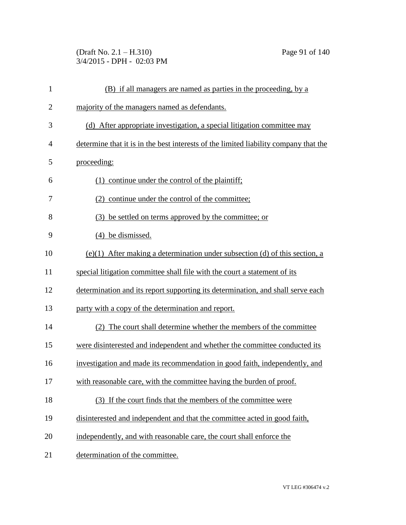(Draft No. 2.1 – H.310) Page 91 of 140 3/4/2015 - DPH - 02:03 PM

| $\mathbf{1}$   | (B) if all managers are named as parties in the proceeding, by a                     |
|----------------|--------------------------------------------------------------------------------------|
| $\overline{2}$ | majority of the managers named as defendants.                                        |
| 3              | (d) After appropriate investigation, a special litigation committee may              |
| $\overline{4}$ | determine that it is in the best interests of the limited liability company that the |
| 5              | proceeding:                                                                          |
| 6              | (1) continue under the control of the plaintiff;                                     |
| 7              | (2) continue under the control of the committee;                                     |
| 8              | (3) be settled on terms approved by the committee; or                                |
| 9              | be dismissed.<br>(4)                                                                 |
| 10             | $(e)(1)$ After making a determination under subsection (d) of this section, a        |
| 11             | special litigation committee shall file with the court a statement of its            |
| 12             | determination and its report supporting its determination, and shall serve each      |
| 13             | party with a copy of the determination and report.                                   |
| 14             | (2) The court shall determine whether the members of the committee                   |
| 15             | were disinterested and independent and whether the committee conducted its           |
| 16             | investigation and made its recommendation in good faith, independently, and          |
| 17             | with reasonable care, with the committee having the burden of proof.                 |
| 18             | (3) If the court finds that the members of the committee were                        |
| 19             | disinterested and independent and that the committee acted in good faith,            |
| 20             | independently, and with reasonable care, the court shall enforce the                 |
| 21             | determination of the committee.                                                      |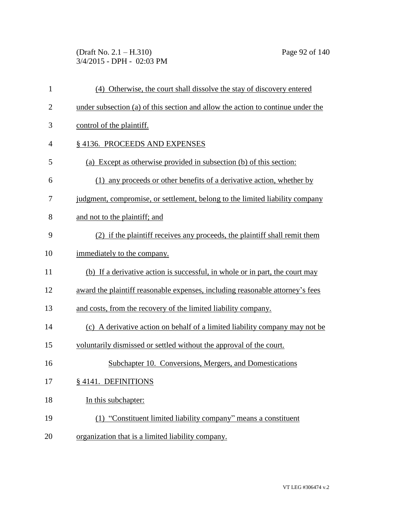(Draft No. 2.1 – H.310) Page 92 of 140 3/4/2015 - DPH - 02:03 PM

| $\mathbf{1}$   | (4) Otherwise, the court shall dissolve the stay of discovery entered           |
|----------------|---------------------------------------------------------------------------------|
| $\overline{2}$ | under subsection (a) of this section and allow the action to continue under the |
| 3              | control of the plaintiff.                                                       |
| 4              | §4136. PROCEEDS AND EXPENSES                                                    |
| 5              | (a) Except as otherwise provided in subsection (b) of this section:             |
| 6              | any proceeds or other benefits of a derivative action, whether by<br>(1)        |
| 7              | judgment, compromise, or settlement, belong to the limited liability company    |
| 8              | and not to the plaintiff; and                                                   |
| 9              | (2) if the plaintiff receives any proceeds, the plaintiff shall remit them      |
| 10             | immediately to the company.                                                     |
| 11             | (b) If a derivative action is successful, in whole or in part, the court may    |
| 12             | award the plaintiff reasonable expenses, including reasonable attorney's fees   |
| 13             | and costs, from the recovery of the limited liability company.                  |
| 14             | (c) A derivative action on behalf of a limited liability company may not be     |
| 15             | voluntarily dismissed or settled without the approval of the court.             |
| 16             | Subchapter 10. Conversions, Mergers, and Domestications                         |
| 17             | § 4141. DEFINITIONS                                                             |
| 18             | In this subchapter:                                                             |
| 19             | (1) "Constituent limited liability company" means a constituent                 |
| 20             | organization that is a limited liability company.                               |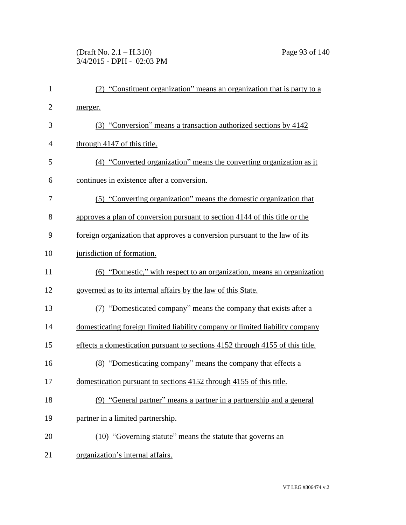## (Draft No. 2.1 – H.310) Page 93 of 140 3/4/2015 - DPH - 02:03 PM

| $\mathbf{1}$   | (2) "Constituent organization" means an organization that is party to a       |
|----------------|-------------------------------------------------------------------------------|
| $\overline{2}$ | merger.                                                                       |
| 3              | (3) "Conversion" means a transaction authorized sections by 4142              |
| 4              | through 4147 of this title.                                                   |
| 5              | (4) "Converted organization" means the converting organization as it          |
| 6              | continues in existence after a conversion.                                    |
| 7              | (5) "Converting organization" means the domestic organization that            |
| 8              | approves a plan of conversion pursuant to section 4144 of this title or the   |
| 9              | foreign organization that approves a conversion pursuant to the law of its    |
| 10             | jurisdiction of formation.                                                    |
| 11             | (6) "Domestic," with respect to an organization, means an organization        |
| 12             | governed as to its internal affairs by the law of this State.                 |
| 13             | (7) "Domesticated company" means the company that exists after a              |
| 14             | domesticating foreign limited liability company or limited liability company  |
| 15             | effects a domestication pursuant to sections 4152 through 4155 of this title. |
| 16             | (8) "Domesticating company" means the company that effects a                  |
| 17             | domestication pursuant to sections 4152 through 4155 of this title.           |
| 18             | (9) "General partner" means a partner in a partnership and a general          |
| 19             | partner in a limited partnership.                                             |
| 20             | (10) "Governing statute" means the statute that governs an                    |
| 21             | organization's internal affairs.                                              |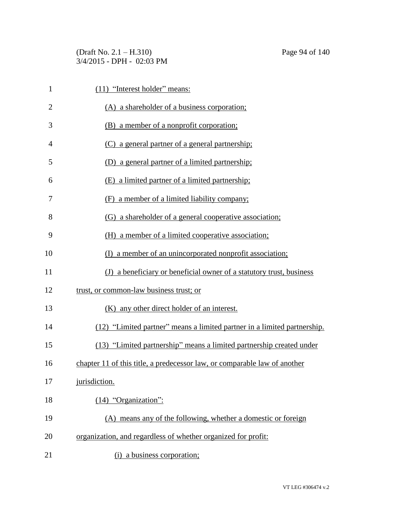(Draft No. 2.1 – H.310) Page 94 of 140 3/4/2015 - DPH - 02:03 PM

| $\mathbf{1}$   | (11) "Interest holder" means:                                             |
|----------------|---------------------------------------------------------------------------|
| $\overline{2}$ | (A) a shareholder of a business corporation;                              |
| 3              | (B) a member of a nonprofit corporation;                                  |
| 4              | (C) a general partner of a general partnership;                           |
| 5              | (D) a general partner of a limited partnership;                           |
| 6              | (E) a limited partner of a limited partnership;                           |
| 7              | a member of a limited liability company;<br>(F)                           |
| 8              | (G) a shareholder of a general cooperative association;                   |
| 9              | (H) a member of a limited cooperative association;                        |
| 10             | (I) a member of an unincorporated nonprofit association;                  |
| 11             | (J) a beneficiary or beneficial owner of a statutory trust, business      |
| 12             | trust, or common-law business trust; or                                   |
| 13             | (K) any other direct holder of an interest.                               |
| 14             | (12) "Limited partner" means a limited partner in a limited partnership.  |
| 15             | (13) "Limited partnership" means a limited partnership created under      |
| 16             | chapter 11 of this title, a predecessor law, or comparable law of another |
| 17             | jurisdiction.                                                             |
| 18             | $(14)$ "Organization":                                                    |
| 19             | (A) means any of the following, whether a domestic or foreign             |
| 20             | organization, and regardless of whether organized for profit:             |
| 21             | (i) a business corporation;                                               |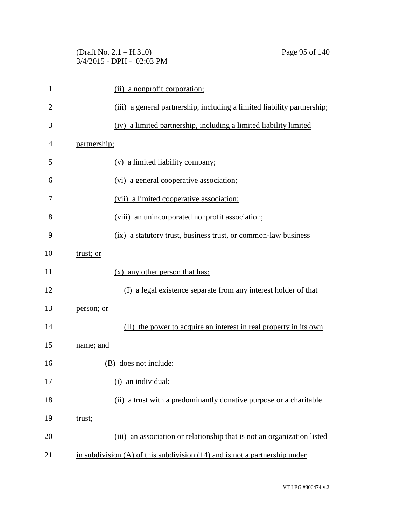| (Draft No. $2.1 - H.310$ )  |  |
|-----------------------------|--|
| $3/4/2015$ - DPH - 02:03 PM |  |

| 1              | (ii) a nonprofit corporation;                                                  |
|----------------|--------------------------------------------------------------------------------|
| $\overline{2}$ | (iii) a general partnership, including a limited liability partnership;        |
| 3              | (iv) a limited partnership, including a limited liability limited              |
| 4              | partnership;                                                                   |
| 5              | (v) a limited liability company;                                               |
| 6              | (vi) a general cooperative association;                                        |
| 7              | (vii) a limited cooperative association;                                       |
| 8              | (viii) an unincorporated nonprofit association;                                |
| 9              | (ix) a statutory trust, business trust, or common-law business                 |
| 10             | trust; or                                                                      |
| 11             | $(x)$ any other person that has:                                               |
| 12             | (I) a legal existence separate from any interest holder of that                |
| 13             | person; or                                                                     |
| 14             | (II) the power to acquire an interest in real property in its own              |
| 15             | name; and                                                                      |
| 16             | (B) does not include:                                                          |
| 17             | (i) an individual;                                                             |
| 18             | a trust with a predominantly donative purpose or a charitable<br>(ii)          |
| 19             | trust;                                                                         |
| 20             | (iii) an association or relationship that is not an organization listed        |
| 21             | in subdivision $(A)$ of this subdivision $(14)$ and is not a partnership under |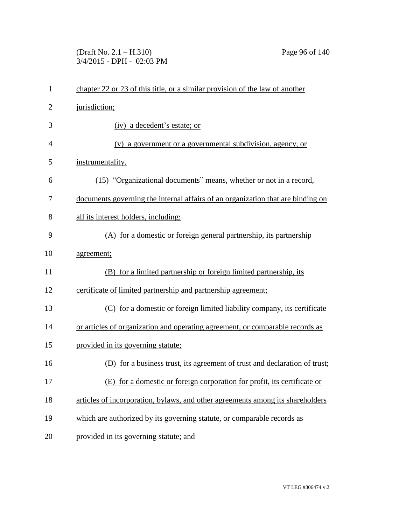(Draft No. 2.1 – H.310) Page 96 of 140 3/4/2015 - DPH - 02:03 PM

| $\mathbf{1}$   | chapter 22 or 23 of this title, or a similar provision of the law of another    |
|----------------|---------------------------------------------------------------------------------|
| $\overline{2}$ | jurisdiction;                                                                   |
| 3              | (iv) a decedent's estate; or                                                    |
| $\overline{4}$ | (v) a government or a governmental subdivision, agency, or                      |
| 5              | instrumentality.                                                                |
| 6              | (15) "Organizational documents" means, whether or not in a record,              |
| 7              | documents governing the internal affairs of an organization that are binding on |
| 8              | all its interest holders, including:                                            |
| 9              | (A) for a domestic or foreign general partnership, its partnership              |
| 10             | agreement;                                                                      |
| 11             | (B) for a limited partnership or foreign limited partnership, its               |
| 12             | certificate of limited partnership and partnership agreement;                   |
| 13             | (C) for a domestic or foreign limited liability company, its certificate        |
| 14             | or articles of organization and operating agreement, or comparable records as   |
| 15             | provided in its governing statute;                                              |
| 16             | (D) for a business trust, its agreement of trust and declaration of trust;      |
| 17             | (E) for a domestic or foreign corporation for profit, its certificate or        |
| 18             | articles of incorporation, bylaws, and other agreements among its shareholders  |
| 19             | which are authorized by its governing statute, or comparable records as         |
| 20             | provided in its governing statute; and                                          |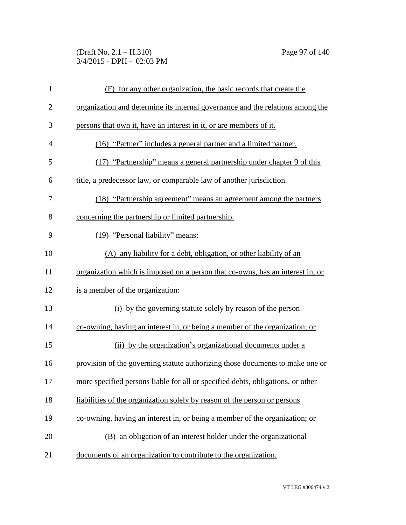(Draft No. 2.1 – H.310) Page 97 of 140 3/4/2015 - DPH - 02:03 PM

| $\mathbf{1}$   | (F) for any other organization, the basic records that create the               |
|----------------|---------------------------------------------------------------------------------|
| $\overline{2}$ | organization and determine its internal governance and the relations among the  |
| 3              | persons that own it, have an interest in it, or are members of it.              |
| $\overline{4}$ | (16) "Partner" includes a general partner and a limited partner.                |
| 5              | (17) "Partnership" means a general partnership under chapter 9 of this          |
| 6              | title, a predecessor law, or comparable law of another jurisdiction.            |
| 7              | (18) "Partnership agreement" means an agreement among the partners              |
| 8              | concerning the partnership or limited partnership.                              |
| 9              | (19) "Personal liability" means:                                                |
| 10             | (A) any liability for a debt, obligation, or other liability of an              |
| 11             | organization which is imposed on a person that co-owns, has an interest in, or  |
| 12             | is a member of the organization:                                                |
| 13             | (i) by the governing statute solely by reason of the person                     |
| 14             | co-owning, having an interest in, or being a member of the organization; or     |
| 15             | (ii) by the organization's organizational documents under a                     |
| 16             | provision of the governing statute authorizing those documents to make one or   |
| 17             | more specified persons liable for all or specified debts, obligations, or other |
| 18             | liabilities of the organization solely by reason of the person or persons       |
| 19             | co-owning, having an interest in, or being a member of the organization; or     |
| 20             | (B) an obligation of an interest holder under the organizational                |
| 21             | documents of an organization to contribute to the organization.                 |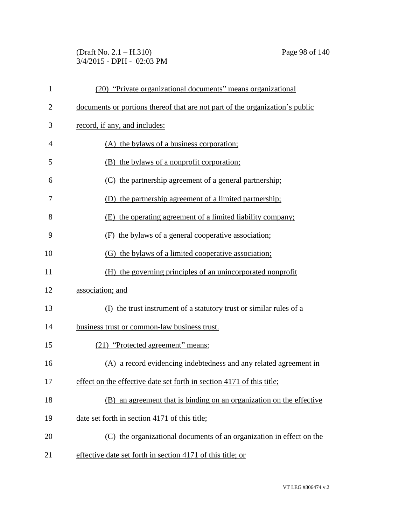(Draft No. 2.1 – H.310) Page 98 of 140 3/4/2015 - DPH - 02:03 PM

| $\mathbf{1}$   | (20) "Private organizational documents" means organizational                 |
|----------------|------------------------------------------------------------------------------|
| $\overline{2}$ | documents or portions thereof that are not part of the organization's public |
| 3              | record, if any, and includes:                                                |
| $\overline{4}$ | (A) the bylaws of a business corporation;                                    |
| 5              | (B) the bylaws of a nonprofit corporation;                                   |
| 6              | (C) the partnership agreement of a general partnership;                      |
| 7              | (D) the partnership agreement of a limited partnership;                      |
| 8              | (E) the operating agreement of a limited liability company;                  |
| 9              | (F) the bylaws of a general cooperative association;                         |
| 10             | (G) the bylaws of a limited cooperative association;                         |
| 11             | (H) the governing principles of an unincorporated nonprofit                  |
| 12             | association; and                                                             |
| 13             | (I) the trust instrument of a statutory trust or similar rules of a          |
| 14             | business trust or common-law business trust.                                 |
| 15             | (21) "Protected agreement" means:                                            |
| 16             | (A) a record evidencing indebtedness and any related agreement in            |
| 17             | effect on the effective date set forth in section 4171 of this title;        |
| 18             | an agreement that is binding on an organization on the effective<br>(B)      |
| 19             | date set forth in section 4171 of this title;                                |
| 20             | (C) the organizational documents of an organization in effect on the         |
| 21             | effective date set forth in section 4171 of this title; or                   |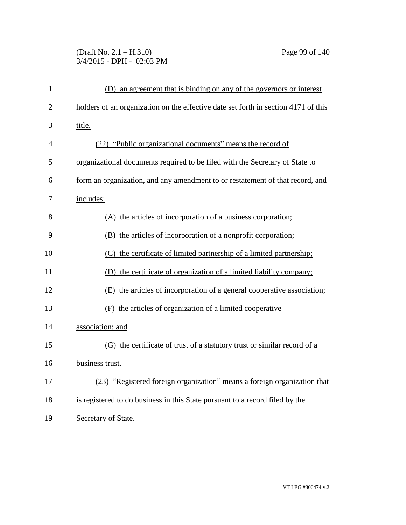## (Draft No. 2.1 – H.310) Page 99 of 140 3/4/2015 - DPH - 02:03 PM

| $\mathbf{1}$   | (D) an agreement that is binding on any of the governors or interest               |
|----------------|------------------------------------------------------------------------------------|
| $\overline{2}$ | holders of an organization on the effective date set forth in section 4171 of this |
| 3              | title.                                                                             |
| 4              | (22) "Public organizational documents" means the record of                         |
| 5              | organizational documents required to be filed with the Secretary of State to       |
| 6              | form an organization, and any amendment to or restatement of that record, and      |
| 7              | includes:                                                                          |
| 8              | (A) the articles of incorporation of a business corporation;                       |
| 9              | (B) the articles of incorporation of a nonprofit corporation;                      |
| 10             | (C) the certificate of limited partnership of a limited partnership;               |
| 11             | (D) the certificate of organization of a limited liability company;                |
| 12             | (E) the articles of incorporation of a general cooperative association;            |
| 13             | (F) the articles of organization of a limited cooperative                          |
| 14             | association; and                                                                   |
| 15             | (G) the certificate of trust of a statutory trust or similar record of a           |
| 16             | business trust.                                                                    |
| 17             | (23) "Registered foreign organization" means a foreign organization that           |
| 18             | is registered to do business in this State pursuant to a record filed by the       |
| 19             | Secretary of State.                                                                |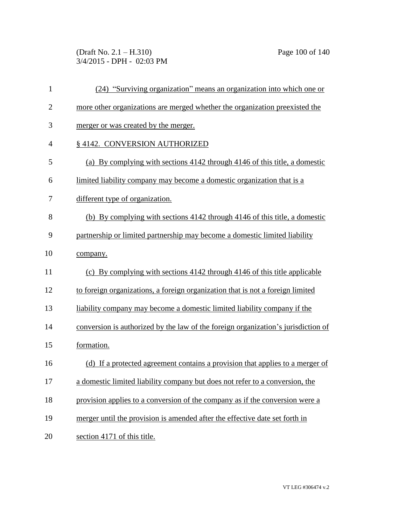(Draft No. 2.1 – H.310) Page 100 of 140 3/4/2015 - DPH - 02:03 PM

| $\mathbf{1}$   | (24) "Surviving organization" means an organization into which one or             |
|----------------|-----------------------------------------------------------------------------------|
| $\overline{c}$ | more other organizations are merged whether the organization preexisted the       |
| 3              | merger or was created by the merger.                                              |
| $\overline{4}$ | § 4142. CONVERSION AUTHORIZED                                                     |
| 5              | (a) By complying with sections 4142 through 4146 of this title, a domestic        |
| 6              | limited liability company may become a domestic organization that is a            |
| 7              | different type of organization.                                                   |
| 8              | (b) By complying with sections 4142 through 4146 of this title, a domestic        |
| 9              | partnership or limited partnership may become a domestic limited liability        |
| 10             | company.                                                                          |
| 11             | (c) By complying with sections 4142 through 4146 of this title applicable         |
| 12             | to foreign organizations, a foreign organization that is not a foreign limited    |
| 13             | liability company may become a domestic limited liability company if the          |
| 14             | conversion is authorized by the law of the foreign organization's jurisdiction of |
| 15             | formation.                                                                        |
| 16             | (d) If a protected agreement contains a provision that applies to a merger of     |
| 17             | a domestic limited liability company but does not refer to a conversion, the      |
| 18             | provision applies to a conversion of the company as if the conversion were a      |
| 19             | merger until the provision is amended after the effective date set forth in       |
| 20             | section 4171 of this title.                                                       |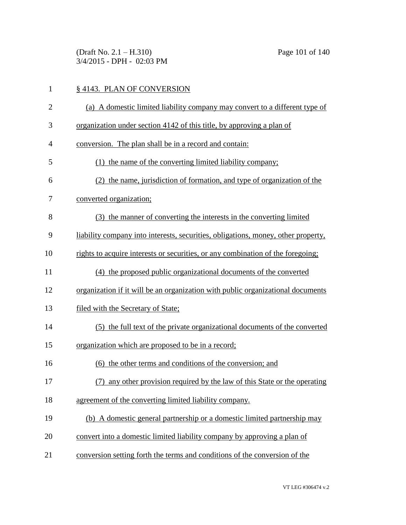(Draft No. 2.1 – H.310) Page 101 of 140 3/4/2015 - DPH - 02:03 PM

| $\mathbf{1}$   | § 4143. PLAN OF CONVERSION                                                        |
|----------------|-----------------------------------------------------------------------------------|
| $\overline{2}$ | (a) A domestic limited liability company may convert to a different type of       |
| 3              | organization under section 4142 of this title, by approving a plan of             |
| $\overline{4}$ | conversion. The plan shall be in a record and contain:                            |
| 5              | (1) the name of the converting limited liability company;                         |
| 6              | (2) the name, jurisdiction of formation, and type of organization of the          |
| 7              | converted organization;                                                           |
| 8              | (3) the manner of converting the interests in the converting limited              |
| 9              | liability company into interests, securities, obligations, money, other property, |
| 10             | rights to acquire interests or securities, or any combination of the foregoing;   |
| 11             | (4) the proposed public organizational documents of the converted                 |
| 12             | organization if it will be an organization with public organizational documents   |
| 13             | filed with the Secretary of State;                                                |
| 14             | (5) the full text of the private organizational documents of the converted        |
| 15             | organization which are proposed to be in a record;                                |
| 16             | (6) the other terms and conditions of the conversion; and                         |
| 17             | (7) any other provision required by the law of this State or the operating        |
| 18             | agreement of the converting limited liability company.                            |
| 19             | (b) A domestic general partnership or a domestic limited partnership may          |
| 20             | convert into a domestic limited liability company by approving a plan of          |
| 21             | conversion setting forth the terms and conditions of the conversion of the        |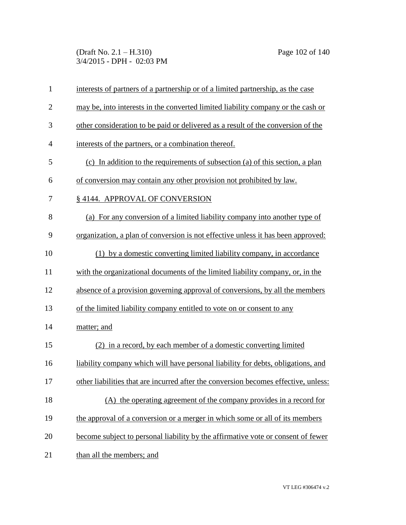(Draft No. 2.1 – H.310) Page 102 of 140 3/4/2015 - DPH - 02:03 PM

| $\mathbf{1}$   | interests of partners of a partnership or of a limited partnership, as the case     |
|----------------|-------------------------------------------------------------------------------------|
| $\overline{2}$ | may be, into interests in the converted limited liability company or the cash or    |
| 3              | other consideration to be paid or delivered as a result of the conversion of the    |
| $\overline{4}$ | interests of the partners, or a combination thereof.                                |
| 5              | (c) In addition to the requirements of subsection (a) of this section, a plan       |
| 6              | of conversion may contain any other provision not prohibited by law.                |
| 7              | § 4144. APPROVAL OF CONVERSION                                                      |
| 8              | (a) For any conversion of a limited liability company into another type of          |
| 9              | organization, a plan of conversion is not effective unless it has been approved:    |
| 10             | (1) by a domestic converting limited liability company, in accordance               |
| 11             | with the organizational documents of the limited liability company, or, in the      |
| 12             | absence of a provision governing approval of conversions, by all the members        |
| 13             | of the limited liability company entitled to vote on or consent to any              |
| 14             | matter; and                                                                         |
| 15             | (2) in a record, by each member of a domestic converting limited                    |
| 16             | liability company which will have personal liability for debts, obligations, and    |
| 17             | other liabilities that are incurred after the conversion becomes effective, unless: |
| 18             | (A) the operating agreement of the company provides in a record for                 |
| 19             | the approval of a conversion or a merger in which some or all of its members        |
| 20             | become subject to personal liability by the affirmative vote or consent of fewer    |
| 21             | than all the members; and                                                           |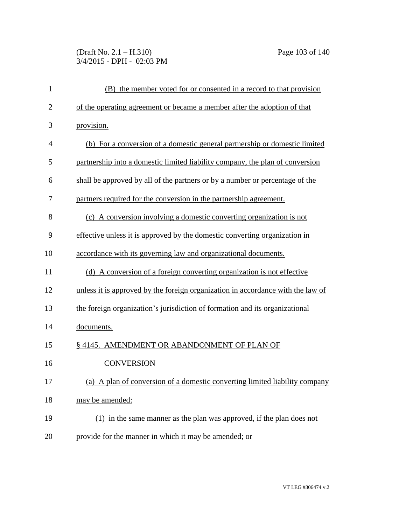(Draft No. 2.1 – H.310) Page 103 of 140 3/4/2015 - DPH - 02:03 PM

| $\mathbf{1}$   | (B) the member voted for or consented in a record to that provision             |
|----------------|---------------------------------------------------------------------------------|
| $\overline{2}$ | of the operating agreement or became a member after the adoption of that        |
| 3              | provision.                                                                      |
| $\overline{4}$ | (b) For a conversion of a domestic general partnership or domestic limited      |
| 5              | partnership into a domestic limited liability company, the plan of conversion   |
| 6              | shall be approved by all of the partners or by a number or percentage of the    |
| 7              | partners required for the conversion in the partnership agreement.              |
| 8              | (c) A conversion involving a domestic converting organization is not            |
| 9              | effective unless it is approved by the domestic converting organization in      |
| 10             | accordance with its governing law and organizational documents.                 |
| 11             | (d) A conversion of a foreign converting organization is not effective          |
| 12             | unless it is approved by the foreign organization in accordance with the law of |
| 13             | the foreign organization's jurisdiction of formation and its organizational     |
| 14             | documents.                                                                      |
| 15             | § 4145. AMENDMENT OR ABANDONMENT OF PLAN OF                                     |
| 16             | <b>CONVERSION</b>                                                               |
| 17             | (a) A plan of conversion of a domestic converting limited liability company     |
| 18             | may be amended:                                                                 |
| 19             | (1) in the same manner as the plan was approved, if the plan does not           |
| 20             | provide for the manner in which it may be amended; or                           |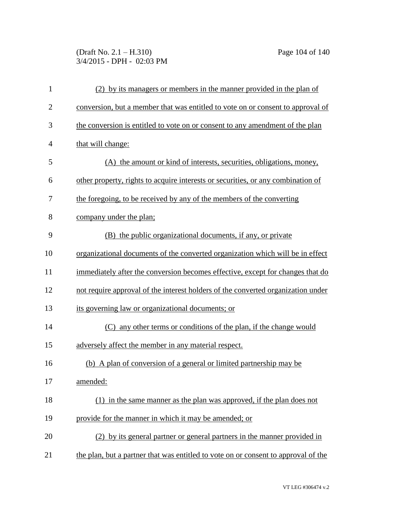(Draft No. 2.1 – H.310) Page 104 of 140 3/4/2015 - DPH - 02:03 PM

| $\mathbf{1}$   | (2) by its managers or members in the manner provided in the plan of               |
|----------------|------------------------------------------------------------------------------------|
| $\overline{2}$ | conversion, but a member that was entitled to vote on or consent to approval of    |
| 3              | the conversion is entitled to vote on or consent to any amendment of the plan      |
| $\overline{4}$ | that will change:                                                                  |
| 5              | (A) the amount or kind of interests, securities, obligations, money,               |
| 6              | other property, rights to acquire interests or securities, or any combination of   |
| 7              | the foregoing, to be received by any of the members of the converting              |
| 8              | company under the plan;                                                            |
| 9              | (B) the public organizational documents, if any, or private                        |
| 10             | organizational documents of the converted organization which will be in effect     |
| 11             | immediately after the conversion becomes effective, except for changes that do     |
| 12             | not require approval of the interest holders of the converted organization under   |
| 13             | its governing law or organizational documents; or                                  |
| 14             | (C) any other terms or conditions of the plan, if the change would                 |
| 15             | adversely affect the member in any material respect.                               |
| 16             | (b) A plan of conversion of a general or limited partnership may be                |
| 17             | amended:                                                                           |
| 18             | (1) in the same manner as the plan was approved, if the plan does not              |
| 19             | provide for the manner in which it may be amended; or                              |
| 20             | (2) by its general partner or general partners in the manner provided in           |
| 21             | the plan, but a partner that was entitled to vote on or consent to approval of the |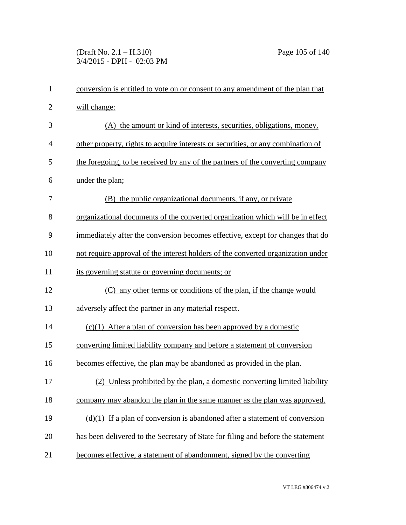(Draft No. 2.1 – H.310) Page 105 of 140 3/4/2015 - DPH - 02:03 PM

| $\mathbf{1}$   | conversion is entitled to vote on or consent to any amendment of the plan that   |
|----------------|----------------------------------------------------------------------------------|
| $\mathbf{2}$   | will change:                                                                     |
| 3              | (A) the amount or kind of interests, securities, obligations, money,             |
| $\overline{4}$ | other property, rights to acquire interests or securities, or any combination of |
| 5              | the foregoing, to be received by any of the partners of the converting company   |
| 6              | under the plan;                                                                  |
| 7              | (B) the public organizational documents, if any, or private                      |
| 8              | organizational documents of the converted organization which will be in effect   |
| 9              | immediately after the conversion becomes effective, except for changes that do   |
| 10             | not require approval of the interest holders of the converted organization under |
| 11             | its governing statute or governing documents; or                                 |
| 12             | (C) any other terms or conditions of the plan, if the change would               |
| 13             | adversely affect the partner in any material respect.                            |
| 14             | $(c)(1)$ After a plan of conversion has been approved by a domestic              |
| 15             | converting limited liability company and before a statement of conversion        |
| 16             | becomes effective, the plan may be abandoned as provided in the plan.            |
| 17             | (2) Unless prohibited by the plan, a domestic converting limited liability       |
| 18             | company may abandon the plan in the same manner as the plan was approved.        |
| 19             | $(d)(1)$ If a plan of conversion is abandoned after a statement of conversion    |
| 20             | has been delivered to the Secretary of State for filing and before the statement |
| 21             | becomes effective, a statement of abandonment, signed by the converting          |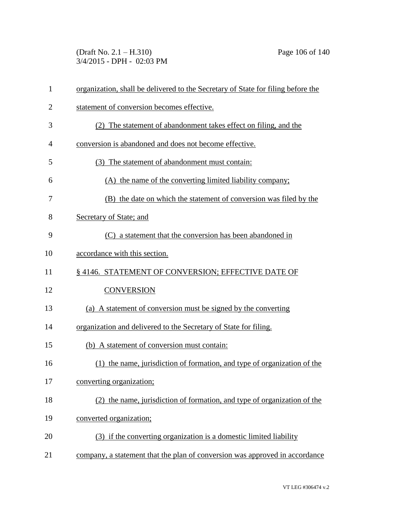(Draft No. 2.1 – H.310) Page 106 of 140 3/4/2015 - DPH - 02:03 PM

| $\mathbf{1}$ | organization, shall be delivered to the Secretary of State for filing before the |
|--------------|----------------------------------------------------------------------------------|
| 2            | statement of conversion becomes effective.                                       |
| 3            | (2) The statement of abandonment takes effect on filing, and the                 |
| 4            | conversion is abandoned and does not become effective.                           |
| 5            | (3) The statement of abandonment must contain:                                   |
| 6            | (A) the name of the converting limited liability company;                        |
| 7            | (B) the date on which the statement of conversion was filed by the               |
| 8            | Secretary of State; and                                                          |
| 9            | (C) a statement that the conversion has been abandoned in                        |
| 10           | accordance with this section.                                                    |
| 11           | §4146. STATEMENT OF CONVERSION; EFFECTIVE DATE OF                                |
| 12           | <b>CONVERSION</b>                                                                |
| 13           | (a) A statement of conversion must be signed by the converting                   |
| 14           | organization and delivered to the Secretary of State for filing.                 |
| 15           | (b) A statement of conversion must contain:                                      |
| 16           | (1) the name, jurisdiction of formation, and type of organization of the         |
| 17           | converting organization;                                                         |
| 18           | (2) the name, jurisdiction of formation, and type of organization of the         |
| 19           | converted organization;                                                          |
| 20           | (3) if the converting organization is a domestic limited liability               |
| 21           | company, a statement that the plan of conversion was approved in accordance      |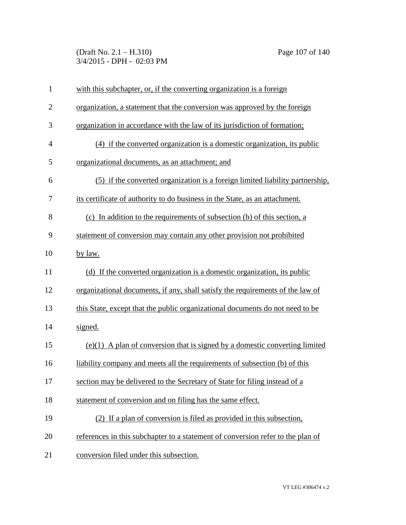(Draft No. 2.1 – H.310) Page 107 of 140 3/4/2015 - DPH - 02:03 PM

| $\mathbf{1}$   | with this subchapter, or, if the converting organization is a foreign           |
|----------------|---------------------------------------------------------------------------------|
| $\overline{2}$ | organization, a statement that the conversion was approved by the foreign       |
| 3              | organization in accordance with the law of its jurisdiction of formation;       |
| $\overline{4}$ | (4) if the converted organization is a domestic organization, its public        |
| 5              | organizational documents, as an attachment; and                                 |
| 6              | (5) if the converted organization is a foreign limited liability partnership,   |
| 7              | its certificate of authority to do business in the State, as an attachment.     |
| 8              | (c) In addition to the requirements of subsection (b) of this section, a        |
| 9              | statement of conversion may contain any other provision not prohibited          |
| 10             | by law.                                                                         |
| 11             | (d) If the converted organization is a domestic organization, its public        |
| 12             | organizational documents, if any, shall satisfy the requirements of the law of  |
| 13             | this State, except that the public organizational documents do not need to be   |
| 14             | signed.                                                                         |
| 15             | $(e)(1)$ A plan of conversion that is signed by a domestic converting limited   |
| 16             | liability company and meets all the requirements of subsection (b) of this      |
| 17             | section may be delivered to the Secretary of State for filing instead of a      |
| 18             | statement of conversion and on filing has the same effect.                      |
| 19             | (2) If a plan of conversion is filed as provided in this subsection,            |
| 20             | references in this subchapter to a statement of conversion refer to the plan of |
| 21             | conversion filed under this subsection.                                         |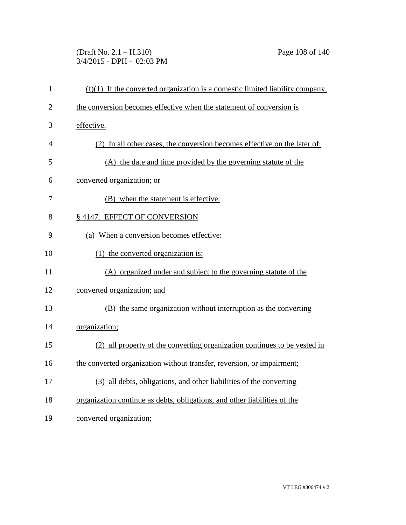(Draft No. 2.1 – H.310) Page 108 of 140 3/4/2015 - DPH - 02:03 PM

| $\mathbf{1}$   | $(f)(1)$ If the converted organization is a domestic limited liability company, |
|----------------|---------------------------------------------------------------------------------|
| $\overline{2}$ | the conversion becomes effective when the statement of conversion is            |
| 3              | effective.                                                                      |
| 4              | (2) In all other cases, the conversion becomes effective on the later of:       |
| 5              | (A) the date and time provided by the governing statute of the                  |
| 6              | converted organization; or                                                      |
| 7              | (B) when the statement is effective.                                            |
| 8              | § 4147. EFFECT OF CONVERSION                                                    |
| 9              | (a) When a conversion becomes effective:                                        |
| 10             | (1) the converted organization is:                                              |
| 11             | (A) organized under and subject to the governing statute of the                 |
| 12             | converted organization; and                                                     |
| 13             | (B) the same organization without interruption as the converting                |
| 14             | organization;                                                                   |
| 15             | (2) all property of the converting organization continues to be vested in       |
| 16             | the converted organization without transfer, reversion, or impairment;          |
| 17             | (3) all debts, obligations, and other liabilities of the converting             |
| 18             | organization continue as debts, obligations, and other liabilities of the       |
| 19             | converted organization;                                                         |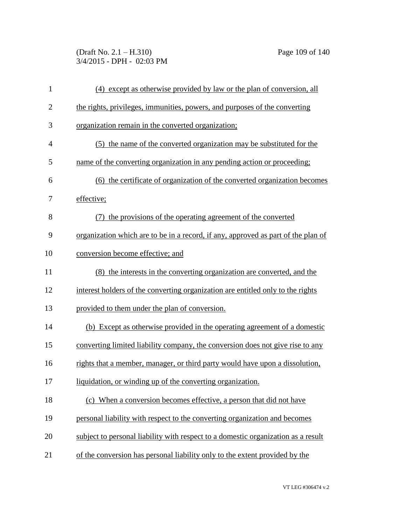(Draft No. 2.1 – H.310) Page 109 of 140 3/4/2015 - DPH - 02:03 PM

| $\mathbf{1}$   | (4) except as otherwise provided by law or the plan of conversion, all                   |
|----------------|------------------------------------------------------------------------------------------|
| $\overline{c}$ | the rights, privileges, immunities, powers, and purposes of the converting               |
| 3              | organization remain in the converted organization;                                       |
| $\overline{4}$ | (5) the name of the converted organization may be substituted for the                    |
| 5              | name of the converting organization in any pending action or proceeding;                 |
| 6              | (6) the certificate of organization of the converted organization becomes                |
| 7              | effective;                                                                               |
| 8              | (7) the provisions of the operating agreement of the converted                           |
| 9              | <u>organization which are to be in a record, if any, approved as part of the plan of</u> |
| 10             | conversion become effective; and                                                         |
| 11             | (8) the interests in the converting organization are converted, and the                  |
| 12             | interest holders of the converting organization are entitled only to the rights          |
| 13             | provided to them under the plan of conversion.                                           |
| 14             | (b) Except as otherwise provided in the operating agreement of a domestic                |
| 15             | converting limited liability company, the conversion does not give rise to any           |
| 16             | rights that a member, manager, or third party would have upon a dissolution,             |
| 17             | liquidation, or winding up of the converting organization.                               |
| 18             | (c) When a conversion becomes effective, a person that did not have                      |
| 19             | personal liability with respect to the converting organization and becomes               |
| 20             | subject to personal liability with respect to a domestic organization as a result        |
| 21             | of the conversion has personal liability only to the extent provided by the              |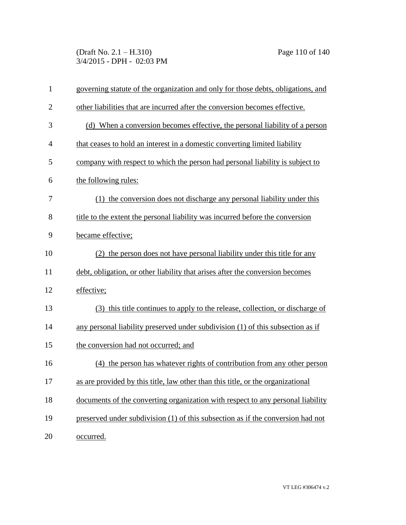(Draft No. 2.1 – H.310) Page 110 of 140 3/4/2015 - DPH - 02:03 PM

| $\mathbf{1}$   | governing statute of the organization and only for those debts, obligations, and |
|----------------|----------------------------------------------------------------------------------|
| $\overline{2}$ | other liabilities that are incurred after the conversion becomes effective.      |
| 3              | (d) When a conversion becomes effective, the personal liability of a person      |
| $\overline{4}$ | that ceases to hold an interest in a domestic converting limited liability       |
| 5              | company with respect to which the person had personal liability is subject to    |
| 6              | the following rules:                                                             |
| 7              | (1) the conversion does not discharge any personal liability under this          |
| 8              | title to the extent the personal liability was incurred before the conversion    |
| 9              | became effective;                                                                |
| 10             | (2) the person does not have personal liability under this title for any         |
| 11             | debt, obligation, or other liability that arises after the conversion becomes    |
| 12             | effective;                                                                       |
| 13             | (3) this title continues to apply to the release, collection, or discharge of    |
| 14             | any personal liability preserved under subdivision (1) of this subsection as if  |
| 15             | the conversion had not occurred; and                                             |
| 16             | (4) the person has whatever rights of contribution from any other person         |
| 17             | as are provided by this title, law other than this title, or the organizational  |
| 18             | documents of the converting organization with respect to any personal liability  |
| 19             | preserved under subdivision (1) of this subsection as if the conversion had not  |
| 20             | occurred.                                                                        |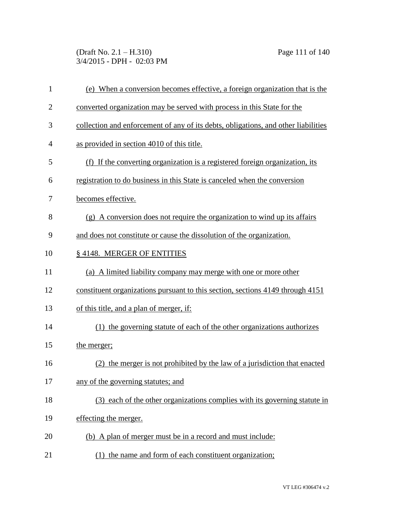(Draft No. 2.1 – H.310) Page 111 of 140 3/4/2015 - DPH - 02:03 PM

| $\mathbf{1}$   | (e) When a conversion becomes effective, a foreign organization that is the        |
|----------------|------------------------------------------------------------------------------------|
| $\overline{2}$ | converted organization may be served with process in this State for the            |
| 3              | collection and enforcement of any of its debts, obligations, and other liabilities |
| 4              | as provided in section 4010 of this title.                                         |
| 5              | (f) If the converting organization is a registered foreign organization, its       |
| 6              | registration to do business in this State is canceled when the conversion          |
| 7              | becomes effective.                                                                 |
| 8              | (g) A conversion does not require the organization to wind up its affairs          |
| 9              | and does not constitute or cause the dissolution of the organization.              |
| 10             | §4148. MERGER OF ENTITIES                                                          |
| 11             | (a) A limited liability company may merge with one or more other                   |
| 12             | constituent organizations pursuant to this section, sections 4149 through 4151     |
| 13             | of this title, and a plan of merger, if:                                           |
| 14             | (1) the governing statute of each of the other organizations authorizes            |
| 15             | the merger;                                                                        |
| 16             | the merger is not prohibited by the law of a jurisdiction that enacted<br>(2)      |
| 17             | any of the governing statutes; and                                                 |
| 18             | (3) each of the other organizations complies with its governing statute in         |
| 19             | effecting the merger.                                                              |
| 20             | (b) A plan of merger must be in a record and must include:                         |
| 21             | (1) the name and form of each constituent organization;                            |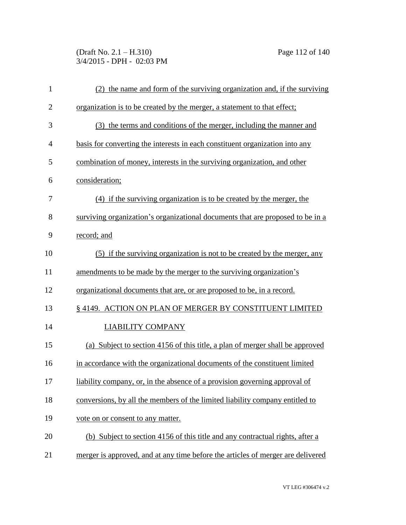(Draft No. 2.1 – H.310) Page 112 of 140 3/4/2015 - DPH - 02:03 PM

| $\mathbf{1}$   | (2) the name and form of the surviving organization and, if the surviving       |
|----------------|---------------------------------------------------------------------------------|
| $\overline{2}$ | <u>organization is to be created by the merger, a statement to that effect;</u> |
| 3              | (3) the terms and conditions of the merger, including the manner and            |
| 4              | basis for converting the interests in each constituent organization into any    |
| 5              | combination of money, interests in the surviving organization, and other        |
| 6              | consideration;                                                                  |
| 7              | (4) if the surviving organization is to be created by the merger, the           |
| 8              | surviving organization's organizational documents that are proposed to be in a  |
| 9              | record; and                                                                     |
| 10             | (5) if the surviving organization is not to be created by the merger, any       |
| 11             | amendments to be made by the merger to the surviving organization's             |
| 12             | <u>organizational documents that are, or are proposed to be, in a record.</u>   |
| 13             | § 4149. ACTION ON PLAN OF MERGER BY CONSTITUENT LIMITED                         |
| 14             | <b>LIABILITY COMPANY</b>                                                        |
| 15             | (a) Subject to section 4156 of this title, a plan of merger shall be approved   |
| 16             | in accordance with the organizational documents of the constituent limited      |
| 17             | liability company, or, in the absence of a provision governing approval of      |
| 18             | conversions, by all the members of the limited liability company entitled to    |
| 19             | vote on or consent to any matter.                                               |
| 20             | (b) Subject to section 4156 of this title and any contractual rights, after a   |
| 21             | merger is approved, and at any time before the articles of merger are delivered |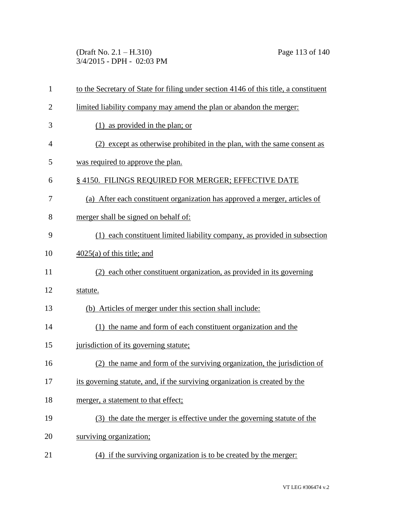(Draft No. 2.1 – H.310) Page 113 of 140 3/4/2015 - DPH - 02:03 PM

| $\mathbf{1}$   | to the Secretary of State for filing under section 4146 of this title, a constituent |
|----------------|--------------------------------------------------------------------------------------|
| $\overline{2}$ | limited liability company may amend the plan or abandon the merger:                  |
| 3              | as provided in the plan; or<br>(1)                                                   |
| 4              | (2) except as otherwise prohibited in the plan, with the same consent as             |
| 5              | was required to approve the plan.                                                    |
| 6              | §4150. FILINGS REQUIRED FOR MERGER; EFFECTIVE DATE                                   |
| 7              | (a) After each constituent organization has approved a merger, articles of           |
| 8              | merger shall be signed on behalf of:                                                 |
| 9              | (1) each constituent limited liability company, as provided in subsection            |
| 10             | $4025(a)$ of this title; and                                                         |
| 11             | (2) each other constituent organization, as provided in its governing                |
| 12             | statute.                                                                             |
| 13             | (b) Articles of merger under this section shall include:                             |
| 14             | (1) the name and form of each constituent organization and the                       |
| 15             | jurisdiction of its governing statute;                                               |
| 16             | the name and form of the surviving organization, the jurisdiction of<br>(2)          |
| 17             | its governing statute, and, if the surviving organization is created by the          |
| 18             | merger, a statement to that effect;                                                  |
| 19             | (3) the date the merger is effective under the governing statute of the              |
| 20             | surviving organization;                                                              |
| 21             | (4) if the surviving organization is to be created by the merger:                    |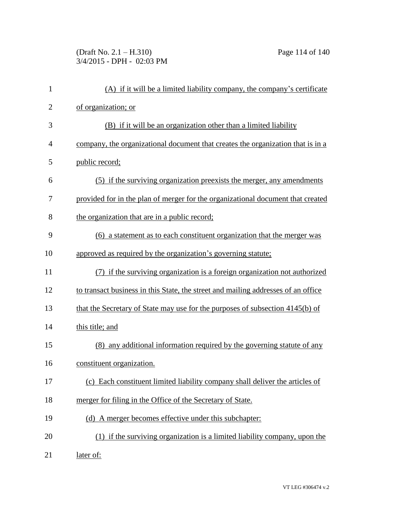(Draft No. 2.1 – H.310) Page 114 of 140 3/4/2015 - DPH - 02:03 PM

| $\mathbf{1}$   | (A) if it will be a limited liability company, the company's certificate          |
|----------------|-----------------------------------------------------------------------------------|
| $\overline{2}$ | of organization; or                                                               |
| 3              | (B) if it will be an organization other than a limited liability                  |
| 4              | company, the organizational document that creates the organization that is in a   |
| 5              | public record;                                                                    |
| 6              | (5) if the surviving organization preexists the merger, any amendments            |
| 7              | provided for in the plan of merger for the organizational document that created   |
| 8              | the organization that are in a public record;                                     |
| 9              | (6) a statement as to each constituent organization that the merger was           |
| 10             | approved as required by the organization's governing statute;                     |
| 11             | (7) if the surviving organization is a foreign organization not authorized        |
| 12             | to transact business in this State, the street and mailing addresses of an office |
| 13             | that the Secretary of State may use for the purposes of subsection 4145(b) of     |
| 14             | this title; and                                                                   |
| 15             | (8) any additional information required by the governing statute of any           |
| 16             | constituent organization.                                                         |
| 17             | (c) Each constituent limited liability company shall deliver the articles of      |
| 18             | merger for filing in the Office of the Secretary of State.                        |
| 19             | (d) A merger becomes effective under this subchapter:                             |
| 20             | (1) if the surviving organization is a limited liability company, upon the        |
| 21             | later of:                                                                         |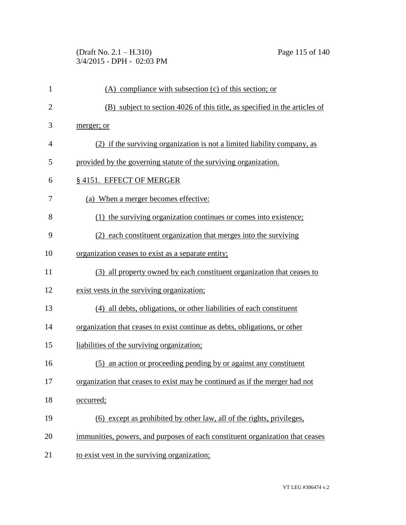(Draft No. 2.1 – H.310) Page 115 of 140 3/4/2015 - DPH - 02:03 PM

| $\mathbf{1}$   | $(A)$ compliance with subsection $(c)$ of this section; or                    |
|----------------|-------------------------------------------------------------------------------|
| $\overline{2}$ | (B) subject to section 4026 of this title, as specified in the articles of    |
| 3              | merger; or                                                                    |
| 4              | (2) if the surviving organization is not a limited liability company, as      |
| 5              | provided by the governing statute of the surviving organization.              |
| 6              | § 4151. EFFECT OF MERGER                                                      |
| 7              | (a) When a merger becomes effective:                                          |
| 8              | (1) the surviving organization continues or comes into existence;             |
| 9              | (2) each constituent organization that merges into the surviving              |
| 10             | organization ceases to exist as a separate entity;                            |
| 11             | (3) all property owned by each constituent organization that ceases to        |
| 12             | exist vests in the surviving organization;                                    |
| 13             | (4) all debts, obligations, or other liabilities of each constituent          |
| 14             | organization that ceases to exist continue as debts, obligations, or other    |
| 15             | liabilities of the surviving organization;                                    |
| 16             | (5) an action or proceeding pending by or against any constituent             |
| 17             | organization that ceases to exist may be continued as if the merger had not   |
| 18             | occurred;                                                                     |
| 19             | (6) except as prohibited by other law, all of the rights, privileges,         |
| 20             | immunities, powers, and purposes of each constituent organization that ceases |
| 21             | to exist vest in the surviving organization;                                  |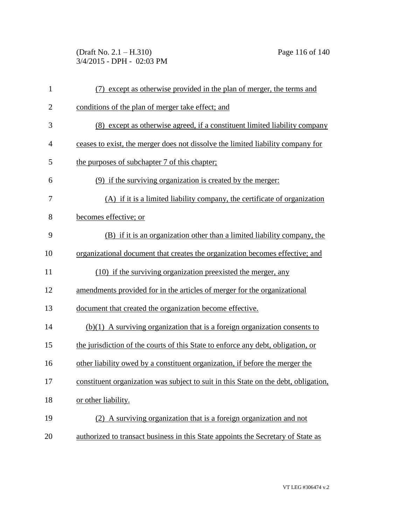(Draft No. 2.1 – H.310) Page 116 of 140 3/4/2015 - DPH - 02:03 PM

| $\mathbf{1}$   | (7) except as otherwise provided in the plan of merger, the terms and               |
|----------------|-------------------------------------------------------------------------------------|
| $\overline{2}$ | conditions of the plan of merger take effect; and                                   |
| 3              | (8) except as otherwise agreed, if a constituent limited liability company          |
| 4              | ceases to exist, the merger does not dissolve the limited liability company for     |
| 5              | the purposes of subchapter 7 of this chapter;                                       |
| 6              | (9) if the surviving organization is created by the merger:                         |
| 7              | (A) if it is a limited liability company, the certificate of organization           |
| 8              | becomes effective; or                                                               |
| 9              | (B) if it is an organization other than a limited liability company, the            |
| 10             | organizational document that creates the organization becomes effective; and        |
| 11             | (10) if the surviving organization preexisted the merger, any                       |
| 12             | amendments provided for in the articles of merger for the organizational            |
| 13             | document that created the organization become effective.                            |
| 14             | $(b)(1)$ A surviving organization that is a foreign organization consents to        |
| 15             | the jurisdiction of the courts of this State to enforce any debt, obligation, or    |
| 16             | other liability owed by a constituent organization, if before the merger the        |
| 17             | constituent organization was subject to suit in this State on the debt, obligation, |
| 18             | or other liability.                                                                 |
| 19             | (2) A surviving organization that is a foreign organization and not                 |
| 20             | authorized to transact business in this State appoints the Secretary of State as    |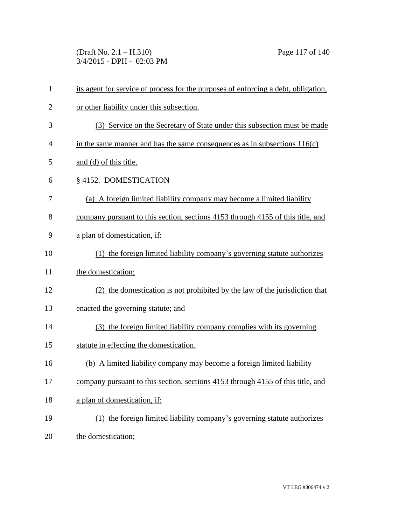(Draft No. 2.1 – H.310) Page 117 of 140 3/4/2015 - DPH - 02:03 PM

| $\mathbf{1}$   | its agent for service of process for the purposes of enforcing a debt, obligation, |
|----------------|------------------------------------------------------------------------------------|
| $\overline{2}$ | or other liability under this subsection.                                          |
| 3              | (3) Service on the Secretary of State under this subsection must be made           |
| 4              | in the same manner and has the same consequences as in subsections $116(c)$        |
| 5              | and (d) of this title.                                                             |
| 6              | §4152. DOMESTICATION                                                               |
| 7              | (a) A foreign limited liability company may become a limited liability             |
| 8              | company pursuant to this section, sections 4153 through 4155 of this title, and    |
| 9              | a plan of domestication, if:                                                       |
| 10             | (1) the foreign limited liability company's governing statute authorizes           |
| 11             | the domestication;                                                                 |
| 12             | (2) the domestication is not prohibited by the law of the jurisdiction that        |
| 13             | enacted the governing statute; and                                                 |
| 14             | (3) the foreign limited liability company complies with its governing              |
| 15             | statute in effecting the domestication.                                            |
| 16             | (b) A limited liability company may become a foreign limited liability             |
| 17             | company pursuant to this section, sections 4153 through 4155 of this title, and    |
| 18             | a plan of domestication, if:                                                       |
| 19             | (1) the foreign limited liability company's governing statute authorizes           |
| 20             | the domestication;                                                                 |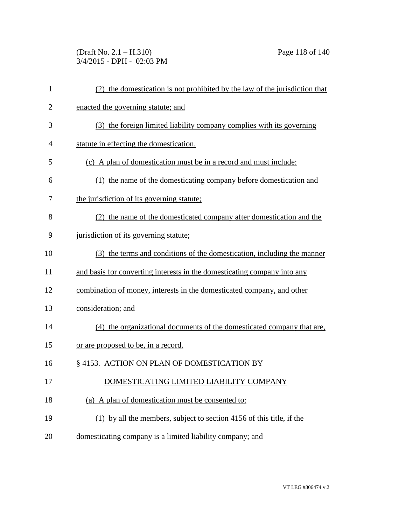(Draft No. 2.1 – H.310) Page 118 of 140 3/4/2015 - DPH - 02:03 PM

| $\mathbf{1}$   | (2) the domestication is not prohibited by the law of the jurisdiction that |
|----------------|-----------------------------------------------------------------------------|
| $\overline{2}$ | enacted the governing statute; and                                          |
| 3              | (3) the foreign limited liability company complies with its governing       |
| 4              | statute in effecting the domestication.                                     |
| 5              | (c) A plan of domestication must be in a record and must include:           |
| 6              | (1) the name of the domesticating company before domestication and          |
| 7              | the jurisdiction of its governing statute;                                  |
| 8              | (2) the name of the domesticated company after domestication and the        |
| 9              | jurisdiction of its governing statute;                                      |
| 10             | (3) the terms and conditions of the domestication, including the manner     |
| 11             | and basis for converting interests in the domesticating company into any    |
| 12             | combination of money, interests in the domesticated company, and other      |
| 13             | consideration; and                                                          |
| 14             | (4) the organizational documents of the domesticated company that are,      |
| 15             | <u>or are proposed to be, in a record.</u>                                  |
| 16             | § 4153. ACTION ON PLAN OF DOMESTICATION BY                                  |
| 17             | DOMESTICATING LIMITED LIABILITY COMPANY                                     |
| 18             | (a) A plan of domestication must be consented to:                           |
| 19             | (1) by all the members, subject to section 4156 of this title, if the       |
| 20             | domesticating company is a limited liability company; and                   |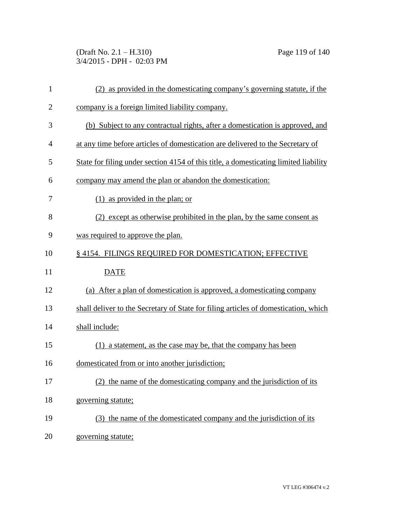(Draft No. 2.1 – H.310) Page 119 of 140 3/4/2015 - DPH - 02:03 PM

| $\mathbf{1}$   | (2) as provided in the domesticating company's governing statute, if the             |
|----------------|--------------------------------------------------------------------------------------|
| $\overline{2}$ | company is a foreign limited liability company.                                      |
| 3              | (b) Subject to any contractual rights, after a domestication is approved, and        |
| 4              | at any time before articles of domestication are delivered to the Secretary of       |
| 5              | State for filing under section 4154 of this title, a domesticating limited liability |
| 6              | company may amend the plan or abandon the domestication:                             |
| 7              | $(1)$ as provided in the plan; or                                                    |
| 8              | (2) except as otherwise prohibited in the plan, by the same consent as               |
| 9              | was required to approve the plan.                                                    |
| 10             | §4154. FILINGS REQUIRED FOR DOMESTICATION; EFFECTIVE                                 |
| 11             | <b>DATE</b>                                                                          |
| 12             | (a) After a plan of domestication is approved, a domesticating company               |
| 13             | shall deliver to the Secretary of State for filing articles of domestication, which  |
| 14             | shall include:                                                                       |
| 15             | (1) a statement, as the case may be, that the company has been                       |
| 16             | domesticated from or into another jurisdiction;                                      |
| 17             |                                                                                      |
|                | (2) the name of the domesticating company and the jurisdiction of its                |
| 18             | governing statute;                                                                   |
| 19             | (3) the name of the domesticated company and the jurisdiction of its                 |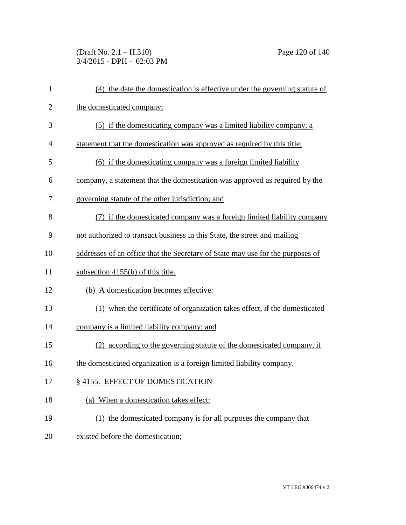(Draft No. 2.1 – H.310) Page 120 of 140 3/4/2015 - DPH - 02:03 PM

| $\mathbf{1}$   | (4) the date the domestication is effective under the governing statute of     |
|----------------|--------------------------------------------------------------------------------|
| $\overline{2}$ | the domesticated company;                                                      |
| 3              | (5) if the domesticating company was a limited liability company, a            |
| $\overline{4}$ | statement that the domestication was approved as required by this title;       |
| 5              | (6) if the domesticating company was a foreign limited liability               |
| 6              | company, a statement that the domestication was approved as required by the    |
| 7              | governing statute of the other jurisdiction; and                               |
| 8              | (7) if the domesticated company was a foreign limited liability company        |
| 9              | not authorized to transact business in this State, the street and mailing      |
| 10             | addresses of an office that the Secretary of State may use for the purposes of |
| 11             | subsection $4155(b)$ of this title.                                            |
| 12             | (b) A domestication becomes effective:                                         |
| 13             | (1) when the certificate of organization takes effect, if the domesticated     |
| 14             | company is a limited liability company; and                                    |
| 15             | (2) according to the governing statute of the domesticated company, if         |
| 16             | the domesticated organization is a foreign limited liability company.          |
| 17             | § 4155. EFFECT OF DOMESTICATION                                                |
| 18             | (a) When a domestication takes effect:                                         |
| 19             | (1) the domesticated company is for all purposes the company that              |
| 20             | existed before the domestication;                                              |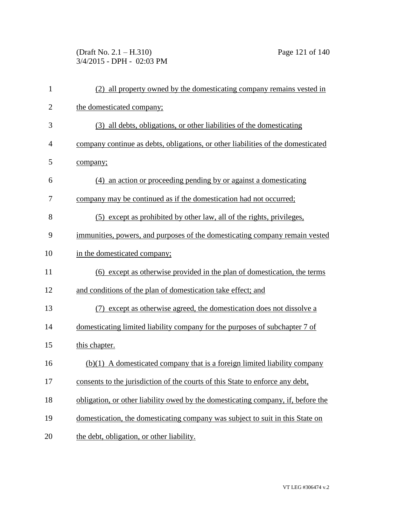(Draft No. 2.1 – H.310) Page 121 of 140 3/4/2015 - DPH - 02:03 PM

| $\mathbf{1}$   | (2) all property owned by the domesticating company remains vested in            |
|----------------|----------------------------------------------------------------------------------|
| $\overline{2}$ | the domesticated company;                                                        |
| 3              | (3) all debts, obligations, or other liabilities of the domesticating            |
| 4              | company continue as debts, obligations, or other liabilities of the domesticated |
| 5              | company;                                                                         |
| 6              | (4) an action or proceeding pending by or against a domesticating                |
| 7              | company may be continued as if the domestication had not occurred;               |
| 8              | (5) except as prohibited by other law, all of the rights, privileges,            |
| 9              | immunities, powers, and purposes of the domesticating company remain vested      |
| 10             | in the domesticated company;                                                     |
| 11             | (6) except as otherwise provided in the plan of domestication, the terms         |
| 12             | and conditions of the plan of domestication take effect; and                     |
| 13             | (7) except as otherwise agreed, the domestication does not dissolve a            |
| 14             | domesticating limited liability company for the purposes of subchapter 7 of      |
| 15             | this chapter.                                                                    |
| 16             | $(b)(1)$ A domesticated company that is a foreign limited liability company      |
| 17             | consents to the jurisdiction of the courts of this State to enforce any debt,    |
| 18             | obligation, or other liability owed by the domesticating company, if, before the |
| 19             | domestication, the domesticating company was subject to suit in this State on    |
| 20             | the debt, obligation, or other liability.                                        |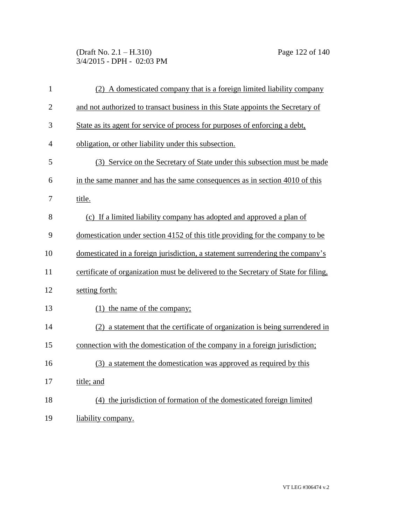(Draft No. 2.1 – H.310) Page 122 of 140 3/4/2015 - DPH - 02:03 PM

| $\mathbf{1}$   | (2) A domesticated company that is a foreign limited liability company              |
|----------------|-------------------------------------------------------------------------------------|
| $\overline{2}$ | and not authorized to transact business in this State appoints the Secretary of     |
| 3              | State as its agent for service of process for purposes of enforcing a debt,         |
| $\overline{4}$ | obligation, or other liability under this subsection.                               |
| 5              | (3) Service on the Secretary of State under this subsection must be made            |
| 6              | in the same manner and has the same consequences as in section 4010 of this         |
| 7              | title.                                                                              |
| 8              | (c) If a limited liability company has adopted and approved a plan of               |
| 9              | domestication under section 4152 of this title providing for the company to be      |
| 10             | domesticated in a foreign jurisdiction, a statement surrendering the company's      |
| 11             | certificate of organization must be delivered to the Secretary of State for filing, |
| 12             | setting forth:                                                                      |
| 13             | (1) the name of the company;                                                        |
| 14             | (2) a statement that the certificate of organization is being surrendered in        |
| 15             | connection with the domestication of the company in a foreign jurisdiction;         |
| 16             | (3) a statement the domestication was approved as required by this                  |
| 17             | title; and                                                                          |
| 18             | (4) the jurisdiction of formation of the domesticated foreign limited               |
| 19             | liability company.                                                                  |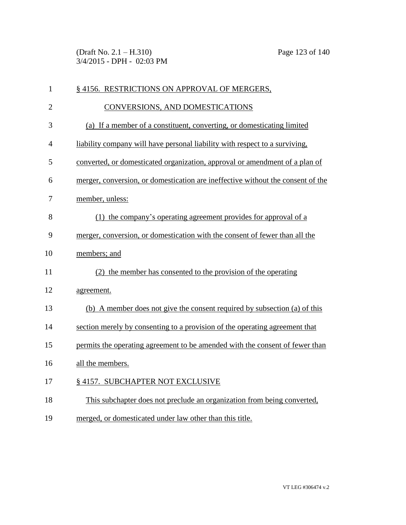(Draft No. 2.1 – H.310) Page 123 of 140 3/4/2015 - DPH - 02:03 PM

| $\mathbf{1}$   | § 4156. RESTRICTIONS ON APPROVAL OF MERGERS,                                    |
|----------------|---------------------------------------------------------------------------------|
| $\overline{2}$ | CONVERSIONS, AND DOMESTICATIONS                                                 |
| 3              | (a) If a member of a constituent, converting, or domesticating limited          |
| $\overline{4}$ | liability company will have personal liability with respect to a surviving,     |
| 5              | converted, or domesticated organization, approval or amendment of a plan of     |
| 6              | merger, conversion, or domestication are ineffective without the consent of the |
| 7              | member, unless:                                                                 |
| 8              | (1) the company's operating agreement provides for approval of a                |
| 9              | merger, conversion, or domestication with the consent of fewer than all the     |
| 10             | members; and                                                                    |
| 11             | (2) the member has consented to the provision of the operating                  |
| 12             | agreement.                                                                      |
| 13             | (b) A member does not give the consent required by subsection (a) of this       |
| 14             | section merely by consenting to a provision of the operating agreement that     |
| 15             | permits the operating agreement to be amended with the consent of fewer than    |
| 16             | all the members.                                                                |
| 17             | § 4157. SUBCHAPTER NOT EXCLUSIVE                                                |
| 18             | This subchapter does not preclude an organization from being converted,         |
| 19             | merged, or domesticated under law other than this title.                        |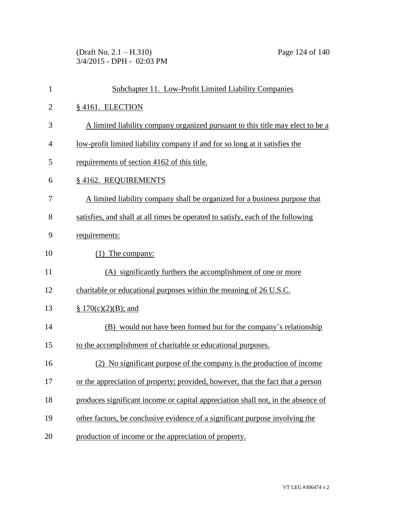(Draft No. 2.1 – H.310) Page 124 of 140 3/4/2015 - DPH - 02:03 PM

| $\mathbf{1}$   | Subchapter 11. Low-Profit Limited Liability Companies                            |
|----------------|----------------------------------------------------------------------------------|
| $\overline{c}$ | §4161. ELECTION                                                                  |
| 3              | A limited liability company organized pursuant to this title may elect to be a   |
| $\overline{4}$ | low-profit limited liability company if and for so long at it satisfies the      |
| 5              | requirements of section 4162 of this title.                                      |
| 6              | § 4162. REQUIREMENTS                                                             |
| 7              | A limited liability company shall be organized for a business purpose that       |
| 8              | satisfies, and shall at all times be operated to satisfy, each of the following  |
| 9              | requirements:                                                                    |
| 10             | $(1)$ The company:                                                               |
| 11             | (A) significantly furthers the accomplishment of one or more                     |
| 12             | charitable or educational purposes within the meaning of 26 U.S.C.               |
| 13             | § $170(c)(2)(B)$ ; and                                                           |
| 14             | (B) would not have been formed but for the company's relationship                |
| 15             | to the accomplishment of charitable or educational purposes.                     |
| 16             | (2) No significant purpose of the company is the production of income            |
| 17             | or the appreciation of property; provided, however, that the fact that a person  |
| 18             | produces significant income or capital appreciation shall not, in the absence of |
| 19             | other factors, be conclusive evidence of a significant purpose involving the     |
| 20             | production of income or the appreciation of property.                            |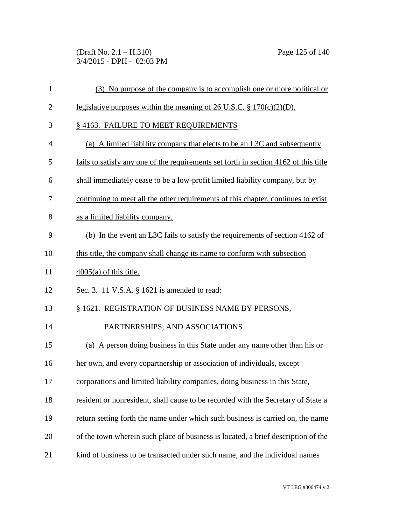(Draft No. 2.1 – H.310) Page 125 of 140 3/4/2015 - DPH - 02:03 PM

| 1              | (3) No purpose of the company is to accomplish one or more political or              |
|----------------|--------------------------------------------------------------------------------------|
| $\overline{2}$ | legislative purposes within the meaning of 26 U.S.C. $\S 170(c)(2)(D)$ .             |
| 3              | § 4163. FAILURE TO MEET REQUIREMENTS                                                 |
| $\overline{4}$ | (a) A limited liability company that elects to be an L3C and subsequently            |
| 5              | fails to satisfy any one of the requirements set forth in section 4162 of this title |
| 6              | shall immediately cease to be a low-profit limited liability company, but by         |
| 7              | continuing to meet all the other requirements of this chapter, continues to exist    |
| 8              | as a limited liability company.                                                      |
| 9              | (b) In the event an L3C fails to satisfy the requirements of section 4162 of         |
| 10             | this title, the company shall change its name to conform with subsection             |
| 11             | $\frac{4005(a)}{6}$ of this title.                                                   |
| 12             | Sec. 3. 11 V.S.A. § 1621 is amended to read:                                         |
| 13             | § 1621. REGISTRATION OF BUSINESS NAME BY PERSONS,                                    |
| 14             | PARTNERSHIPS, AND ASSOCIATIONS                                                       |
| 15             | (a) A person doing business in this State under any name other than his or           |
| 16             | her own, and every copartnership or association of individuals, except               |
| 17             | corporations and limited liability companies, doing business in this State,          |
| 18             | resident or nonresident, shall cause to be recorded with the Secretary of State a    |
| 19             | return setting forth the name under which such business is carried on, the name      |
| 20             | of the town wherein such place of business is located, a brief description of the    |
| 21             | kind of business to be transacted under such name, and the individual names          |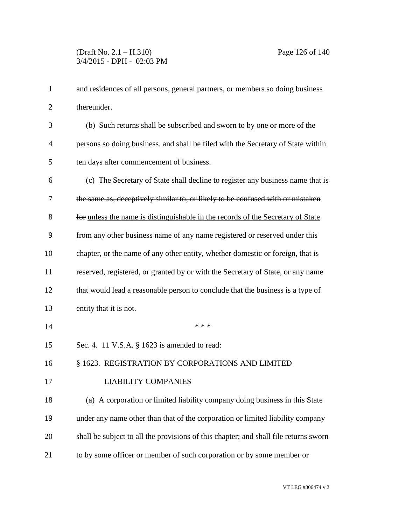| 1              | and residences of all persons, general partners, or members so doing business        |
|----------------|--------------------------------------------------------------------------------------|
| $\overline{2}$ | thereunder.                                                                          |
| 3              | (b) Such returns shall be subscribed and sworn to by one or more of the              |
| 4              | persons so doing business, and shall be filed with the Secretary of State within     |
| 5              | ten days after commencement of business.                                             |
| 6              | (c) The Secretary of State shall decline to register any business name that is       |
| 7              | the same as, deceptively similar to, or likely to be confused with or mistaken       |
| 8              | for unless the name is distinguishable in the records of the Secretary of State      |
| 9              | from any other business name of any name registered or reserved under this           |
| 10             | chapter, or the name of any other entity, whether domestic or foreign, that is       |
| 11             | reserved, registered, or granted by or with the Secretary of State, or any name      |
| 12             | that would lead a reasonable person to conclude that the business is a type of       |
| 13             | entity that it is not.                                                               |
| 14             | * * *                                                                                |
| 15             | Sec. 4. 11 V.S.A. § 1623 is amended to read:                                         |
| 16             | § 1623. REGISTRATION BY CORPORATIONS AND LIMITED                                     |
| 17             | <b>LIABILITY COMPANIES</b>                                                           |
| 18             | (a) A corporation or limited liability company doing business in this State          |
| 19             | under any name other than that of the corporation or limited liability company       |
| 20             | shall be subject to all the provisions of this chapter; and shall file returns sworn |
|                |                                                                                      |

to by some officer or member of such corporation or by some member or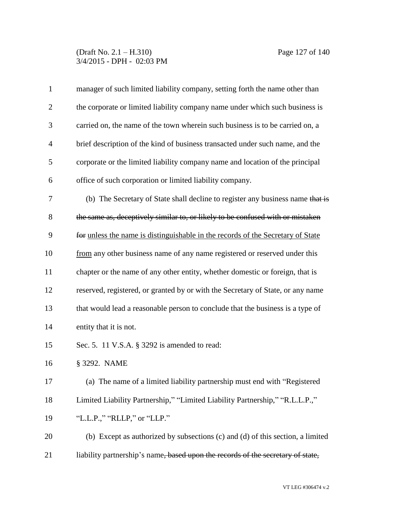# (Draft No. 2.1 – H.310) Page 127 of 140 3/4/2015 - DPH - 02:03 PM

| $\mathbf{1}$   | manager of such limited liability company, setting forth the name other than    |
|----------------|---------------------------------------------------------------------------------|
| $\overline{2}$ | the corporate or limited liability company name under which such business is    |
| 3              | carried on, the name of the town wherein such business is to be carried on, a   |
| $\overline{4}$ | brief description of the kind of business transacted under such name, and the   |
| 5              | corporate or the limited liability company name and location of the principal   |
| 6              | office of such corporation or limited liability company.                        |
| 7              | (b) The Secretary of State shall decline to register any business name that is  |
| 8              | the same as, deceptively similar to, or likely to be confused with or mistaken  |
| 9              | for unless the name is distinguishable in the records of the Secretary of State |
| 10             | from any other business name of any name registered or reserved under this      |
| 11             | chapter or the name of any other entity, whether domestic or foreign, that is   |
| 12             | reserved, registered, or granted by or with the Secretary of State, or any name |
| 13             | that would lead a reasonable person to conclude that the business is a type of  |
| 14             | entity that it is not.                                                          |
| 15             | Sec. 5. 11 V.S.A. § 3292 is amended to read:                                    |
| 16             | § 3292. NAME                                                                    |
| 17             | (a) The name of a limited liability partnership must end with "Registered       |
| 18             | Limited Liability Partnership," "Limited Liability Partnership," "R.L.L.P.,"    |
| 19             | "L.L.P.," "RLLP," or "LLP."                                                     |
| 20             | (b) Except as authorized by subsections (c) and (d) of this section, a limited  |
| 21             | liability partnership's name, based upon the records of the secretary of state, |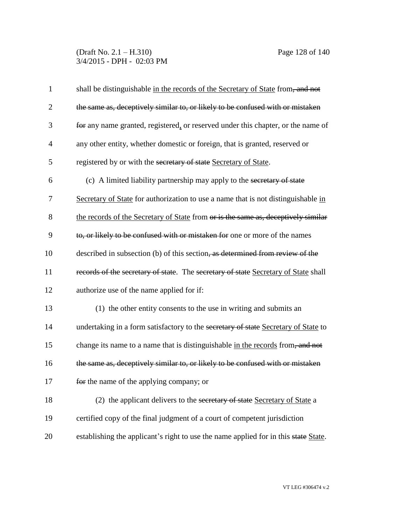# (Draft No. 2.1 – H.310) Page 128 of 140 3/4/2015 - DPH - 02:03 PM

| $\mathbf{1}$   | shall be distinguishable in the records of the Secretary of State from, and not     |
|----------------|-------------------------------------------------------------------------------------|
| $\overline{2}$ | the same as, deceptively similar to, or likely to be confused with or mistaken      |
| 3              | for any name granted, registered, or reserved under this chapter, or the name of    |
| $\overline{4}$ | any other entity, whether domestic or foreign, that is granted, reserved or         |
| 5              | registered by or with the secretary of state Secretary of State.                    |
| 6              | (c) A limited liability partnership may apply to the secretary of state             |
| 7              | Secretary of State for authorization to use a name that is not distinguishable in   |
| 8              | the records of the Secretary of State from or is the same as, deceptively similar   |
| 9              | to, or likely to be confused with or mistaken for one or more of the names          |
| 10             | described in subsection (b) of this section, as determined from review of the       |
| 11             | records of the secretary of state. The secretary of state Secretary of State shall  |
| 12             | authorize use of the name applied for if:                                           |
| 13             | (1) the other entity consents to the use in writing and submits an                  |
| 14             | undertaking in a form satisfactory to the secretary of state Secretary of State to  |
| 15             | change its name to a name that is distinguishable in the records from, and not      |
| 16             | the same as, deceptively similar to, or likely to be confused with or mistaken      |
| 17             | for the name of the applying company; or                                            |
| 18             | (2) the applicant delivers to the secretary of state Secretary of State a           |
| 19             | certified copy of the final judgment of a court of competent jurisdiction           |
| 20             | establishing the applicant's right to use the name applied for in this state State. |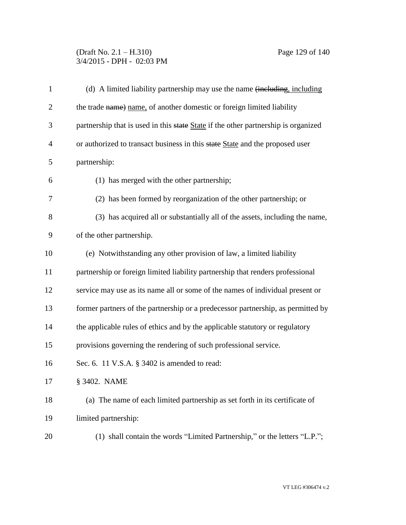# (Draft No. 2.1 – H.310) Page 129 of 140 3/4/2015 - DPH - 02:03 PM

| $\mathbf{1}$   | (d) A limited liability partnership may use the name (including, including         |
|----------------|------------------------------------------------------------------------------------|
| $\overline{2}$ | the trade name) name, of another domestic or foreign limited liability             |
| 3              | partnership that is used in this state State if the other partnership is organized |
| $\overline{4}$ | or authorized to transact business in this state State and the proposed user       |
| 5              | partnership:                                                                       |
| 6              | (1) has merged with the other partnership;                                         |
| 7              | (2) has been formed by reorganization of the other partnership; or                 |
| 8              | (3) has acquired all or substantially all of the assets, including the name,       |
| 9              | of the other partnership.                                                          |
| 10             | (e) Notwithstanding any other provision of law, a limited liability                |
| 11             | partnership or foreign limited liability partnership that renders professional     |
| 12             | service may use as its name all or some of the names of individual present or      |
| 13             | former partners of the partnership or a predecessor partnership, as permitted by   |
| 14             | the applicable rules of ethics and by the applicable statutory or regulatory       |
| 15             | provisions governing the rendering of such professional service.                   |
| 16             | Sec. 6. 11 V.S.A. § 3402 is amended to read:                                       |
| 17             | § 3402. NAME                                                                       |
| 18             | (a) The name of each limited partnership as set forth in its certificate of        |
| 19             | limited partnership:                                                               |
| 20             | (1) shall contain the words "Limited Partnership," or the letters "L.P.";          |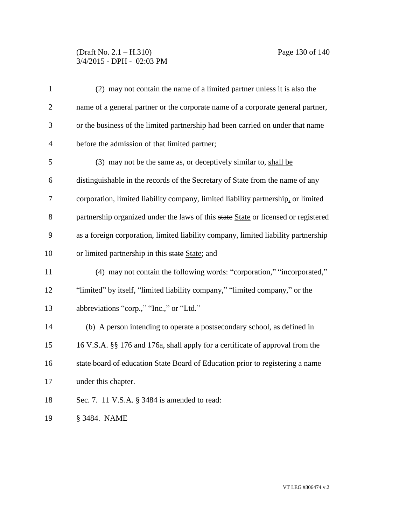# (Draft No. 2.1 – H.310) Page 130 of 140 3/4/2015 - DPH - 02:03 PM

| $\mathbf{1}$   | (2) may not contain the name of a limited partner unless it is also the            |
|----------------|------------------------------------------------------------------------------------|
| $\mathbf{2}$   | name of a general partner or the corporate name of a corporate general partner,    |
| 3              | or the business of the limited partnership had been carried on under that name     |
| $\overline{4}$ | before the admission of that limited partner;                                      |
| 5              | (3) may not be the same as, or deceptively similar to, shall be                    |
| 6              | distinguishable in the records of the Secretary of State from the name of any      |
| 7              | corporation, limited liability company, limited liability partnership, or limited  |
| $8\,$          | partnership organized under the laws of this state State or licensed or registered |
| 9              | as a foreign corporation, limited liability company, limited liability partnership |
| 10             | or limited partnership in this state State; and                                    |
| 11             | (4) may not contain the following words: "corporation," "incorporated,"            |
| 12             | "limited" by itself, "limited liability company," "limited company," or the        |
| 13             | abbreviations "corp.," "Inc.," or "Ltd."                                           |
| 14             | (b) A person intending to operate a postsecondary school, as defined in            |
| 15             | 16 V.S.A. §§ 176 and 176a, shall apply for a certificate of approval from the      |
| 16             | state board of education State Board of Education prior to registering a name      |
| 17             | under this chapter.                                                                |
| 18             | Sec. 7. 11 V.S.A. § 3484 is amended to read:                                       |
| 19             | § 3484. NAME                                                                       |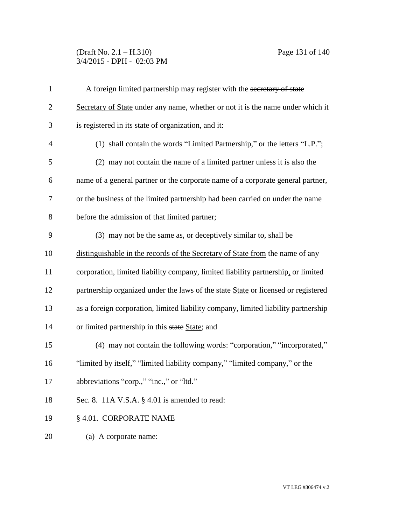(Draft No. 2.1 – H.310) Page 131 of 140 3/4/2015 - DPH - 02:03 PM

| $\mathbf{1}$   | A foreign limited partnership may register with the secretary of state             |
|----------------|------------------------------------------------------------------------------------|
| $\overline{2}$ | Secretary of State under any name, whether or not it is the name under which it    |
| 3              | is registered in its state of organization, and it:                                |
| $\overline{4}$ | (1) shall contain the words "Limited Partnership," or the letters "L.P.";          |
| 5              | (2) may not contain the name of a limited partner unless it is also the            |
| 6              | name of a general partner or the corporate name of a corporate general partner,    |
| $\overline{7}$ | or the business of the limited partnership had been carried on under the name      |
| 8              | before the admission of that limited partner;                                      |
| 9              | (3) may not be the same as, or deceptively similar to, shall be                    |
| 10             | distinguishable in the records of the Secretary of State from the name of any      |
| 11             | corporation, limited liability company, limited liability partnership, or limited  |
| 12             | partnership organized under the laws of the state State or licensed or registered  |
| 13             | as a foreign corporation, limited liability company, limited liability partnership |
| 14             | or limited partnership in this state State; and                                    |
| 15             | (4) may not contain the following words: "corporation," "incorporated,"            |
| 16             | "limited by itself," "limited liability company," "limited company," or the        |
| 17             | abbreviations "corp.," "inc.," or "ltd."                                           |
| 18             | Sec. 8. 11A V.S.A. § 4.01 is amended to read:                                      |
| 19             | § 4.01. CORPORATE NAME                                                             |
| 20             | (a) A corporate name:                                                              |
|                |                                                                                    |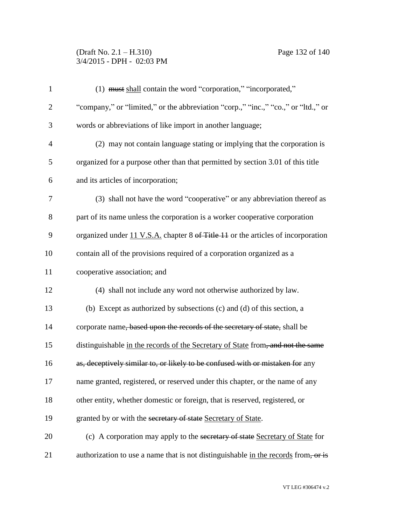# (Draft No. 2.1 – H.310) Page 132 of 140 3/4/2015 - DPH - 02:03 PM

| $\mathbf{1}$   | (1) must shall contain the word "corporation," "incorporated,"                     |
|----------------|------------------------------------------------------------------------------------|
| $\overline{2}$ | "company," or "limited," or the abbreviation "corp.," "inc.," "co.," or "ltd.," or |
| 3              | words or abbreviations of like import in another language;                         |
| $\overline{4}$ | (2) may not contain language stating or implying that the corporation is           |
| 5              | organized for a purpose other than that permitted by section 3.01 of this title    |
| 6              | and its articles of incorporation;                                                 |
| 7              | (3) shall not have the word "cooperative" or any abbreviation thereof as           |
| 8              | part of its name unless the corporation is a worker cooperative corporation        |
| 9              | organized under 11 V.S.A. chapter 8 of Title 11 or the articles of incorporation   |
| 10             | contain all of the provisions required of a corporation organized as a             |
| 11             | cooperative association; and                                                       |
| 12             | (4) shall not include any word not otherwise authorized by law.                    |
| 13             | (b) Except as authorized by subsections (c) and (d) of this section, a             |
| 14             | corporate name, based upon the records of the secretary of state, shall be         |
| 15             | distinguishable in the records of the Secretary of State from, and not the same    |
| 16             | as, deceptively similar to, or likely to be confused with or mistaken for any      |
| 17             | name granted, registered, or reserved under this chapter, or the name of any       |
| 18             | other entity, whether domestic or foreign, that is reserved, registered, or        |
| 19             | granted by or with the secretary of state Secretary of State.                      |
| 20             | (c) A corporation may apply to the secretary of state Secretary of State for       |
| 21             | authorization to use a name that is not distinguishable in the records from, or is |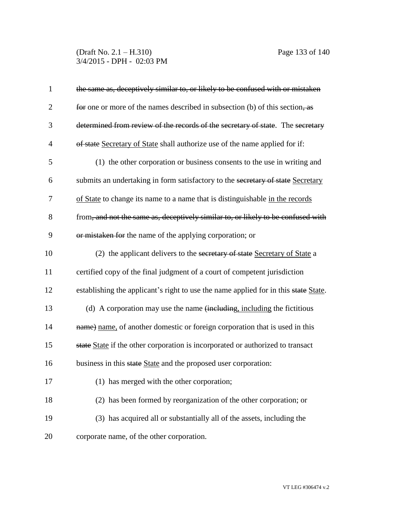(Draft No. 2.1 – H.310) Page 133 of 140 3/4/2015 - DPH - 02:03 PM

| $\mathbf{1}$   | the same as, deceptively similar to, or likely to be confused with or mistaken      |
|----------------|-------------------------------------------------------------------------------------|
| $\overline{2}$ | for one or more of the names described in subsection $(b)$ of this section, as      |
| 3              | determined from review of the records of the secretary of state. The secretary      |
| $\overline{4}$ | of state Secretary of State shall authorize use of the name applied for if:         |
| 5              | (1) the other corporation or business consents to the use in writing and            |
| 6              | submits an undertaking in form satisfactory to the secretary of state Secretary     |
| 7              | of State to change its name to a name that is distinguishable in the records        |
| 8              | from, and not the same as, deceptively similar to, or likely to be confused with    |
| 9              | or mistaken for the name of the applying corporation; or                            |
| 10             | (2) the applicant delivers to the secretary of state Secretary of State a           |
| 11             | certified copy of the final judgment of a court of competent jurisdiction           |
| 12             | establishing the applicant's right to use the name applied for in this state State. |
| 13             | (d) A corporation may use the name (including, including the fictitious             |
| 14             | name) name, of another domestic or foreign corporation that is used in this         |
| 15             | state State if the other corporation is incorporated or authorized to transact      |
| 16             | business in this state State and the proposed user corporation:                     |
| 17             | (1) has merged with the other corporation;                                          |
| 18             | (2) has been formed by reorganization of the other corporation; or                  |
| 19             | (3) has acquired all or substantially all of the assets, including the              |
| 20             | corporate name, of the other corporation.                                           |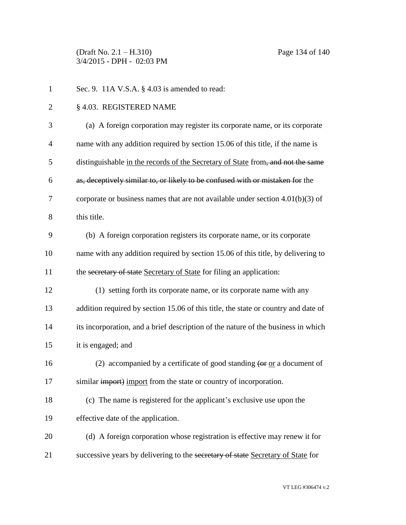(Draft No. 2.1 – H.310) Page 134 of 140 3/4/2015 - DPH - 02:03 PM

| $\mathbf{1}$   | Sec. 9. $11A$ V.S.A. § 4.03 is amended to read:                                                     |
|----------------|-----------------------------------------------------------------------------------------------------|
| $\overline{2}$ | § 4.03. REGISTERED NAME                                                                             |
| 3              | (a) A foreign corporation may register its corporate name, or its corporate                         |
| $\overline{4}$ | name with any addition required by section 15.06 of this title, if the name is                      |
| 5              | distinguishable in the records of the Secretary of State from, and not the same                     |
| 6              | as, deceptively similar to, or likely to be confused with or mistaken for the                       |
| 7              | corporate or business names that are not available under section $4.01(b)(3)$ of                    |
| 8              | this title.                                                                                         |
| 9              | (b) A foreign corporation registers its corporate name, or its corporate                            |
| 10             | name with any addition required by section 15.06 of this title, by delivering to                    |
| 11             | the secretary of state Secretary of State for filing an application:                                |
| 12             | (1) setting forth its corporate name, or its corporate name with any                                |
| 13             | addition required by section 15.06 of this title, the state or country and date of                  |
| 14             | its incorporation, and a brief description of the nature of the business in which                   |
| 15             | it is engaged; and                                                                                  |
| 16             | (2) accompanied by a certificate of good standing $\left(\text{or } \text{or a document of}\right)$ |
| 17             | similar <i>import</i> ) <i>import</i> from the state or country of incorporation.                   |
| 18             | (c) The name is registered for the applicant's exclusive use upon the                               |
| 19             | effective date of the application.                                                                  |
| 20             | (d) A foreign corporation whose registration is effective may renew it for                          |
| 21             | successive years by delivering to the secretary of state Secretary of State for                     |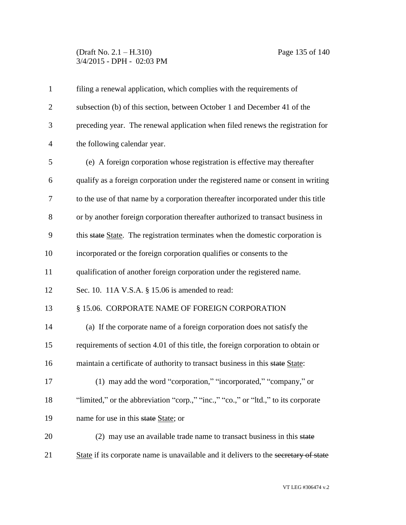# (Draft No. 2.1 – H.310) Page 135 of 140 3/4/2015 - DPH - 02:03 PM

| $\mathbf{1}$   | filing a renewal application, which complies with the requirements of                |
|----------------|--------------------------------------------------------------------------------------|
| $\overline{2}$ | subsection (b) of this section, between October 1 and December 41 of the             |
| 3              | preceding year. The renewal application when filed renews the registration for       |
| $\overline{4}$ | the following calendar year.                                                         |
| 5              | (e) A foreign corporation whose registration is effective may thereafter             |
| 6              | qualify as a foreign corporation under the registered name or consent in writing     |
| 7              | to the use of that name by a corporation thereafter incorporated under this title    |
| 8              | or by another foreign corporation thereafter authorized to transact business in      |
| 9              | this state State. The registration terminates when the domestic corporation is       |
| 10             | incorporated or the foreign corporation qualifies or consents to the                 |
| 11             | qualification of another foreign corporation under the registered name.              |
| 12             | Sec. 10. 11A V.S.A. § 15.06 is amended to read:                                      |
| 13             | § 15.06. CORPORATE NAME OF FOREIGN CORPORATION                                       |
| 14             | (a) If the corporate name of a foreign corporation does not satisfy the              |
| 15             | requirements of section 4.01 of this title, the foreign corporation to obtain or     |
| 16             | maintain a certificate of authority to transact business in this state State:        |
| 17             | (1) may add the word "corporation," "incorporated," "company," or                    |
| 18             | "limited," or the abbreviation "corp.," "inc.," "co.," or "ltd.," to its corporate   |
| 19             | name for use in this state State; or                                                 |
| 20             | (2) may use an available trade name to transact business in this state               |
| 21             | State if its corporate name is unavailable and it delivers to the secretary of state |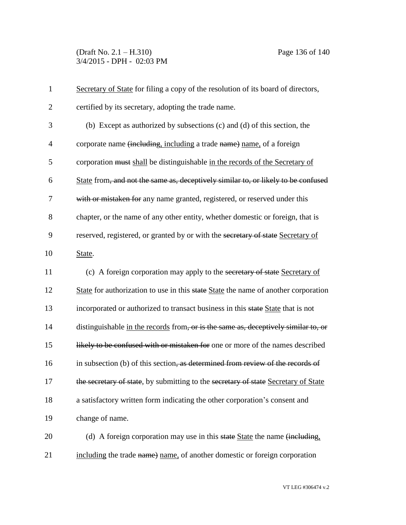(Draft No. 2.1 – H.310) Page 136 of 140 3/4/2015 - DPH - 02:03 PM

| $\mathbf{1}$   | Secretary of State for filing a copy of the resolution of its board of directors,       |
|----------------|-----------------------------------------------------------------------------------------|
| $\mathbf{2}$   | certified by its secretary, adopting the trade name.                                    |
| 3              | (b) Except as authorized by subsections (c) and (d) of this section, the                |
| $\overline{4}$ | corporate name (including, including a trade name) name, of a foreign                   |
| 5              | corporation must shall be distinguishable in the records of the Secretary of            |
| 6              | State from, and not the same as, deceptively similar to, or likely to be confused       |
| 7              | with or mistaken for any name granted, registered, or reserved under this               |
| 8              | chapter, or the name of any other entity, whether domestic or foreign, that is          |
| 9              | reserved, registered, or granted by or with the secretary of state Secretary of         |
| 10             | State.                                                                                  |
| 11             | (c) A foreign corporation may apply to the secretary of state Secretary of              |
| 12             | State for authorization to use in this state State the name of another corporation      |
| 13             | incorporated or authorized to transact business in this state State that is not         |
| 14             | distinguishable in the records from, or is the same as, deceptively similar to, or      |
| 15             | likely to be confused with or mistaken for one or more of the names described           |
| 16             | in subsection (b) of this section, as determined from review of the records of          |
| 17             | the secretary of state, by submitting to the secretary of state Secretary of State      |
| 18             | a satisfactory written form indicating the other corporation's consent and              |
| 19             | change of name.                                                                         |
| 20             | (d) A foreign corporation may use in this state State the name $\overline{(including)}$ |
| 21             | including the trade name) name, of another domestic or foreign corporation              |

VT LEG #306474 v.2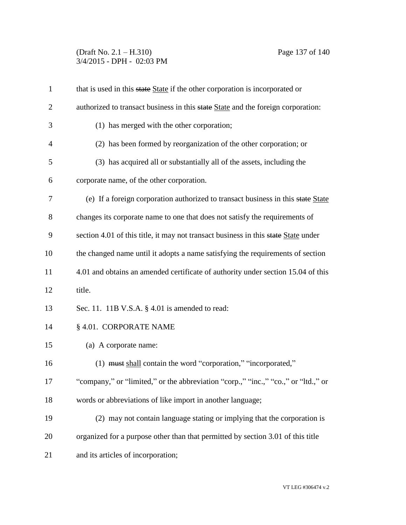(Draft No. 2.1 – H.310) Page 137 of 140 3/4/2015 - DPH - 02:03 PM

| $\mathbf{1}$   | that is used in this state State if the other corporation is incorporated or       |
|----------------|------------------------------------------------------------------------------------|
| $\overline{2}$ | authorized to transact business in this state State and the foreign corporation:   |
| 3              | (1) has merged with the other corporation;                                         |
| $\overline{4}$ | (2) has been formed by reorganization of the other corporation; or                 |
| 5              | (3) has acquired all or substantially all of the assets, including the             |
| 6              | corporate name, of the other corporation.                                          |
| 7              | (e) If a foreign corporation authorized to transact business in this state State   |
| 8              | changes its corporate name to one that does not satisfy the requirements of        |
| 9              | section 4.01 of this title, it may not transact business in this state State under |
| 10             | the changed name until it adopts a name satisfying the requirements of section     |
| 11             | 4.01 and obtains an amended certificate of authority under section 15.04 of this   |
| 12             | title.                                                                             |
| 13             | Sec. 11. 11B V.S.A. § 4.01 is amended to read:                                     |
| 14             | § 4.01. CORPORATE NAME                                                             |
| 15             | (a) A corporate name:                                                              |
| 16             | (1) must shall contain the word "corporation," "incorporated,"                     |
| 17             | "company," or "limited," or the abbreviation "corp.," "inc.," "co.," or "ltd.," or |
| 18             | words or abbreviations of like import in another language;                         |
| 19             | (2) may not contain language stating or implying that the corporation is           |
| 20             | organized for a purpose other than that permitted by section 3.01 of this title    |
| 21             | and its articles of incorporation;                                                 |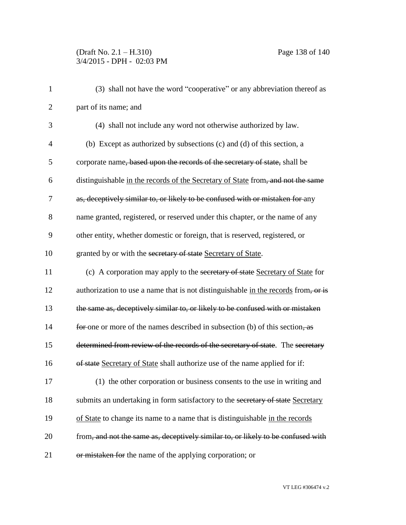# (Draft No. 2.1 – H.310) Page 138 of 140 3/4/2015 - DPH - 02:03 PM

| $\mathbf{1}$   | (3) shall not have the word "cooperative" or any abbreviation thereof as                  |
|----------------|-------------------------------------------------------------------------------------------|
| $\overline{2}$ | part of its name; and                                                                     |
| 3              | (4) shall not include any word not otherwise authorized by law.                           |
| $\overline{4}$ | (b) Except as authorized by subsections (c) and (d) of this section, a                    |
| 5              | corporate name, based upon the records of the secretary of state, shall be                |
| 6              | distinguishable in the records of the Secretary of State from, and not the same           |
| $\tau$         | as, deceptively similar to, or likely to be confused with or mistaken for any             |
| 8              | name granted, registered, or reserved under this chapter, or the name of any              |
| 9              | other entity, whether domestic or foreign, that is reserved, registered, or               |
| 10             | granted by or with the secretary of state Secretary of State.                             |
| 11             | (c) A corporation may apply to the secretary of state Secretary of State for              |
| 12             | authorization to use a name that is not distinguishable in the records from, or is        |
| 13             | the same as, deceptively similar to, or likely to be confused with or mistaken            |
| 14             | for one or more of the names described in subsection (b) of this section, $\frac{1}{100}$ |
| 15             | determined from review of the records of the secretary of state. The secretary            |
| 16             | of state Secretary of State shall authorize use of the name applied for if:               |
| 17             | (1) the other corporation or business consents to the use in writing and                  |
| 18             | submits an undertaking in form satisfactory to the secretary of state Secretary           |
| 19             | of State to change its name to a name that is distinguishable in the records              |
| 20             | from, and not the same as, deceptively similar to, or likely to be confused with          |
| 21             | or mistaken for the name of the applying corporation; or                                  |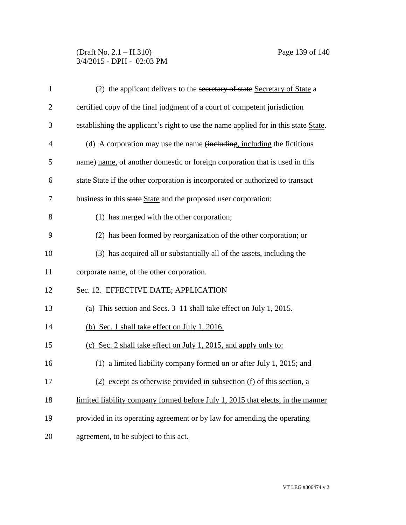# (Draft No. 2.1 – H.310) Page 139 of 140 3/4/2015 - DPH - 02:03 PM

| $\mathbf{1}$   | (2) the applicant delivers to the secretary of state Secretary of State a           |
|----------------|-------------------------------------------------------------------------------------|
| $\overline{2}$ | certified copy of the final judgment of a court of competent jurisdiction           |
| 3              | establishing the applicant's right to use the name applied for in this state State. |
| 4              | (d) A corporation may use the name (including, including the fictitious             |
| 5              | name) name, of another domestic or foreign corporation that is used in this         |
| 6              | state State if the other corporation is incorporated or authorized to transact      |
| 7              | business in this state State and the proposed user corporation:                     |
| 8              | (1) has merged with the other corporation;                                          |
| 9              | (2) has been formed by reorganization of the other corporation; or                  |
| 10             | (3) has acquired all or substantially all of the assets, including the              |
| 11             | corporate name, of the other corporation.                                           |
| 12             | Sec. 12. EFFECTIVE DATE; APPLICATION                                                |
| 13             | (a) This section and Secs. 3–11 shall take effect on July 1, 2015.                  |
| 14             | (b) Sec. 1 shall take effect on July 1, 2016.                                       |
| 15             | (c) Sec. 2 shall take effect on July 1, 2015, and apply only to:                    |
| 16             | (1) a limited liability company formed on or after July 1, 2015; and                |
| 17             | (2) except as otherwise provided in subsection (f) of this section, a               |
| 18             | limited liability company formed before July 1, 2015 that elects, in the manner     |
| 19             | provided in its operating agreement or by law for amending the operating            |
| 20             | agreement, to be subject to this act.                                               |